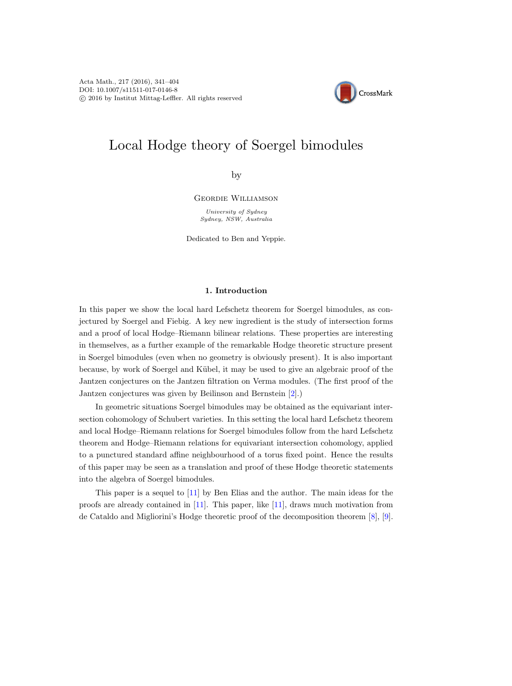

# Local Hodge theory of Soergel bimodules

by

Geordie Williamson

University of Sydney Sydney, NSW, Australia

Dedicated to Ben and Yeppie.

# 1. Introduction

In this paper we show the local hard Lefschetz theorem for Soergel bimodules, as conjectured by Soergel and Fiebig. A key new ingredient is the study of intersection forms and a proof of local Hodge–Riemann bilinear relations. These properties are interesting in themselves, as a further example of the remarkable Hodge theoretic structure present in Soergel bimodules (even when no geometry is obviously present). It is also important because, by work of Soergel and Kübel, it may be used to give an algebraic proof of the Jantzen conjectures on the Jantzen filtration on Verma modules. (The first proof of the Jantzen conjectures was given by Beilinson and Bernstein [\[2\]](#page-61-0).)

In geometric situations Soergel bimodules may be obtained as the equivariant intersection cohomology of Schubert varieties. In this setting the local hard Lefschetz theorem and local Hodge–Riemann relations for Soergel bimodules follow from the hard Lefschetz theorem and Hodge–Riemann relations for equivariant intersection cohomology, applied to a punctured standard affine neighbourhood of a torus fixed point. Hence the results of this paper may be seen as a translation and proof of these Hodge theoretic statements into the algebra of Soergel bimodules.

This paper is a sequel to [\[11\]](#page-62-0) by Ben Elias and the author. The main ideas for the proofs are already contained in [\[11\]](#page-62-0). This paper, like [\[11\]](#page-62-0), draws much motivation from de Cataldo and Migliorini's Hodge theoretic proof of the decomposition theorem [\[8\]](#page-62-1), [\[9\]](#page-62-2).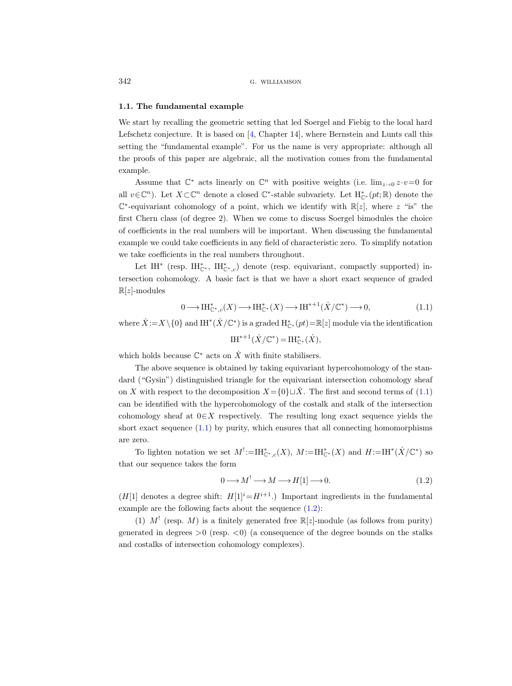#### 1.1. The fundamental example

We start by recalling the geometric setting that led Soergel and Fiebig to the local hard Lefschetz conjecture. It is based on [\[4,](#page-61-1) Chapter 14], where Bernstein and Lunts call this setting the "fundamental example". For us the name is very appropriate: although all the proofs of this paper are algebraic, all the motivation comes from the fundamental example.

Assume that  $\mathbb{C}^*$  acts linearly on  $\mathbb{C}^n$  with positive weights (i.e.  $\lim_{z\to 0} z\cdot v=0$  for all  $v \in \mathbb{C}^n$ ). Let  $X \subset \mathbb{C}^n$  denote a closed  $\mathbb{C}^*$ -stable subvariety. Let  $H^*_{\mathbb{C}^*}(pt;\mathbb{R})$  denote the  $\mathbb{C}^*$ -equivariant cohomology of a point, which we identify with  $\mathbb{R}[z]$ , where z "is" the first Chern class (of degree 2). When we come to discuss Soergel bimodules the choice of coefficients in the real numbers will be important. When discussing the fundamental example we could take coefficients in any field of characteristic zero. To simplify notation we take coefficients in the real numbers throughout.

Let IH<sup>\*</sup> (resp. IH<sup>\*</sup><sub>C\*</sub>, IH<sup>\*</sup><sub>C\*</sub>,c) denote (resp. equivariant, compactly supported) intersection cohomology. A basic fact is that we have a short exact sequence of graded  $\mathbb{R}[z]$ -modules

<span id="page-1-0"></span>
$$
0 \longrightarrow \operatorname{IH}_{\mathbb{C}^*,c}^*(X) \longrightarrow \operatorname{IH}_{\mathbb{C}^*}^*(X) \longrightarrow \operatorname{IH}^{*+1}(\dot{X}/\mathbb{C}^*) \longrightarrow 0,
$$
\n(1.1)

where  $\dot{X} = X \setminus \{0\}$  and  $IH^*(\dot{X}/\mathbb{C}^*)$  is a graded  $H^*_{\mathbb{C}^*}(pt) = \mathbb{R}[z]$  module via the identification

$$
IH^{*+1}(\dot{X}/\mathbb{C}^*) = IH^*_{\mathbb{C}^*}(\dot{X}),
$$

which holds because  $\mathbb{C}^*$  acts on  $\dot{X}$  with finite stabilisers.

The above sequence is obtained by taking equivariant hypercohomology of the standard ("Gysin") distinguished triangle for the equivariant intersection cohomology sheaf on X with respect to the decomposition  $X = \{0\} \sqcup \dot{X}$ . The first and second terms of  $(1.1)$ can be identified with the hypercohomology of the costalk and stalk of the intersection cohomology sheaf at  $0 \in X$  respectively. The resulting long exact sequence yields the short exact sequence  $(1.1)$  by purity, which ensures that all connecting homomorphisms are zero.

To lighten notation we set  $M^! := H^*_{\mathbb{C}^*,c}(X)$ ,  $M := H^*_{\mathbb{C}^*}(X)$  and  $H := H^*(X/\mathbb{C}^*)$  so that our sequence takes the form

<span id="page-1-1"></span>
$$
0 \longrightarrow M^! \longrightarrow M \longrightarrow H[1] \longrightarrow 0. \tag{1.2}
$$

 $(H[1]$  denotes a degree shift:  $H[1]$ <sup>i</sup>= $H^{i+1}$ .) Important ingredients in the fundamental example are the following facts about the sequence [\(1.2\)](#page-1-1):

(1)  $M^!$  (resp. M) is a finitely generated free  $\mathbb{R}[z]$ -module (as follows from purity) generated in degrees  $>0$  (resp.  $< 0$ ) (a consequence of the degree bounds on the stalks and costalks of intersection cohomology complexes).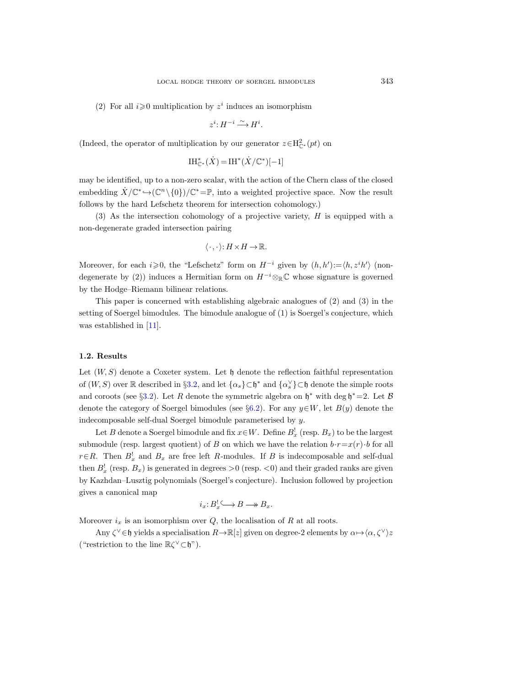(2) For all  $i \geq 0$  multiplication by  $z^i$  induces an isomorphism

$$
z^i \colon H^{-i} \xrightarrow{\sim} H^i.
$$

(Indeed, the operator of multiplication by our generator  $z \in H^2_{\mathbb{C}^*}(pt)$  on

$$
IH_{\mathbb{C}^*}^*(\dot{X}) = IH^*(\dot{X}/\mathbb{C}^*)[-1]
$$

may be identified, up to a non-zero scalar, with the action of the Chern class of the closed embedding  $\dot{X}/\mathbb{C}^*$   $\hookrightarrow$   $(\mathbb{C}^n \setminus \{0\})/\mathbb{C}^*$  = P, into a weighted projective space. Now the result follows by the hard Lefschetz theorem for intersection cohomology.)

(3) As the intersection cohomology of a projective variety,  $H$  is equipped with a non-degenerate graded intersection pairing

$$
\langle \cdot, \cdot \rangle \colon H \times H \to \mathbb{R}.
$$

Moreover, for each  $i \geq 0$ , the "Lefschetz" form on  $H^{-i}$  given by  $(h, h') := \langle h, z^i h' \rangle$  (nondegenerate by (2)) induces a Hermitian form on  $H^{-i}\otimes_{\mathbb{R}}\mathbb{C}$  whose signature is governed by the Hodge–Riemann bilinear relations.

This paper is concerned with establishing algebraic analogues of (2) and (3) in the setting of Soergel bimodules. The bimodule analogue of (1) is Soergel's conjecture, which was established in [\[11\]](#page-62-0).

#### 1.2. Results

Let  $(W, S)$  denote a Coxeter system. Let  $\mathfrak h$  denote the reflection faithful representation of  $(W, S)$  over R described in §[3.2,](#page-12-0) and let  $\{\alpha_s\} \subset \mathfrak{h}^*$  and  $\{\alpha_s\} \subset \mathfrak{h}$  denote the simple roots and coroots (see §[3.2\)](#page-12-0). Let R denote the symmetric algebra on  $\mathfrak{h}^*$  with deg  $\mathfrak{h}^*=2$ . Let B denote the category of Soergel bimodules (see §[6.2\)](#page-30-0). For any  $y \in W$ , let  $B(y)$  denote the indecomposable self-dual Soergel bimodule parameterised by y.

Let B denote a Soergel bimodule and fix  $x \in W$ . Define  $B_x^!$  (resp.  $B_x$ ) to be the largest submodule (resp. largest quotient) of B on which we have the relation  $b\cdot r=x(r)\cdot b$  for all  $r \in R$ . Then  $B_x^!$  and  $B_x$  are free left R-modules. If B is indecomposable and self-dual then  $B_x^!$  (resp.  $B_x$ ) is generated in degrees  $>0$  (resp.  $<$ 0) and their graded ranks are given by Kazhdan–Lusztig polynomials (Soergel's conjecture). Inclusion followed by projection gives a canonical map

$$
i_x: B_x^! \longrightarrow B \longrightarrow B_x.
$$

Moreover  $i_x$  is an isomorphism over  $Q$ , the localisation of  $R$  at all roots.

Any  $\zeta^{\vee} \in \mathfrak{h}$  yields a specialisation  $R \to \mathbb{R}[z]$  given on degree-2 elements by  $\alpha \mapsto \langle \alpha, \zeta^{\vee} \rangle z$ ("restriction to the line  $\mathbb{R}\zeta^{\vee}\subset\mathfrak{h}$ ").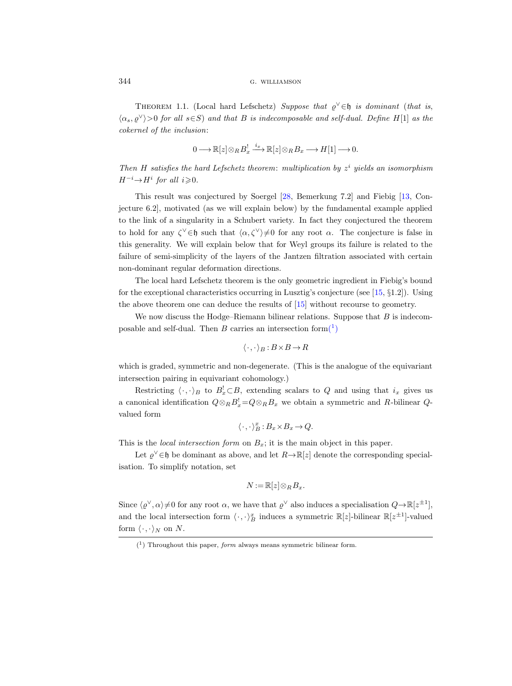<span id="page-3-1"></span>THEOREM 1.1. (Local hard Lefschetz) Suppose that  $\varrho^{\vee} \in \mathfrak{h}$  is dominant (that is,  $\langle \alpha_s, \rho^\vee \rangle >0$  for all  $s \in S$ ) and that B is indecomposable and self-dual. Define H[1] as the cokernel of the inclusion:

$$
0 \longrightarrow \mathbb{R}[z] \otimes_R B_x^! \xrightarrow{i_x} \mathbb{R}[z] \otimes_R B_x \longrightarrow H[1] \longrightarrow 0.
$$

Then H satisfies the hard Lefschetz theorem: multiplication by  $z^i$  yields an isomorphism  $H^{-i} \rightarrow H^i$  for all  $i \geq 0$ .

This result was conjectured by Soergel [\[28,](#page-62-3) Bemerkung 7.2] and Fiebig [\[13,](#page-62-4) Conjecture 6.2], motivated (as we will explain below) by the fundamental example applied to the link of a singularity in a Schubert variety. In fact they conjectured the theorem to hold for any  $\zeta^{\vee} \in \mathfrak{h}$  such that  $\langle \alpha, \zeta^{\vee} \rangle \neq 0$  for any root  $\alpha$ . The conjecture is false in this generality. We will explain below that for Weyl groups its failure is related to the failure of semi-simplicity of the layers of the Jantzen filtration associated with certain non-dominant regular deformation directions.

The local hard Lefschetz theorem is the only geometric ingredient in Fiebig's bound for the exceptional characteristics occurring in Lusztig's conjecture (see [\[15,](#page-62-5)  $\S 1.2$ ]). Using the above theorem one can deduce the results of [\[15\]](#page-62-5) without recourse to geometry.

We now discuss the Hodge–Riemann bilinear relations. Suppose that  $B$  is indecomposable and self-dual. Then B carries an intersection form $(1)$ 

$$
\langle \cdot , \cdot \rangle_B : B \times B \to R
$$

which is graded, symmetric and non-degenerate. (This is the analogue of the equivariant intersection pairing in equivariant cohomology.)

Restricting  $\langle \cdot, \cdot \rangle_B$  to  $B_x^! \subset B$ , extending scalars to Q and using that  $i_x$  gives us a canonical identification  $Q \otimes_R B_x^! = Q \otimes_R B_x$  we obtain a symmetric and R-bilinear  $Q$ valued form

$$
\langle \cdot , \cdot \rangle_B^x : B_x \times B_x \to Q.
$$

This is the *local intersection form* on  $B_x$ ; it is the main object in this paper.

Let  $\varrho^{\vee} \in \mathfrak{h}$  be dominant as above, and let  $R \to \mathbb{R}[z]$  denote the corresponding specialisation. To simplify notation, set

$$
N:=\mathbb{R}[z]\otimes_R B_x.
$$

Since  $\langle \varrho^{\vee}, \alpha \rangle \neq 0$  for any root  $\alpha$ , we have that  $\varrho^{\vee}$  also induces a specialisation  $Q \to \mathbb{R}[z^{\pm 1}]$ , and the local intersection form  $\langle \cdot, \cdot \rangle_B^x$  induces a symmetric  $\mathbb{R}[z]$ -bilinear  $\mathbb{R}[z^{\pm 1}]$ -valued form  $\langle \cdot, \cdot \rangle_N$  on N.

<span id="page-3-0"></span> $(1)$  Throughout this paper, *form* always means symmetric bilinear form.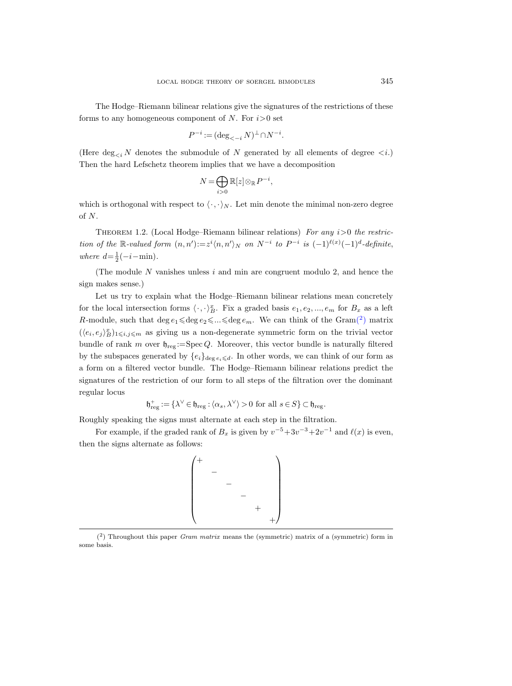The Hodge–Riemann bilinear relations give the signatures of the restrictions of these forms to any homogeneous component of N. For  $i>0$  set

$$
P^{-i} := (\deg_{<-i} N)^{\perp} \cap N^{-i}.
$$

(Here  $\deg_{\leq i} N$  denotes the submodule of N generated by all elements of degree  $\leq i$ .) Then the hard Lefschetz theorem implies that we have a decomposition

$$
N = \bigoplus_{i>0} \mathbb{R}[z] \otimes_{\mathbb{R}} P^{-i},
$$

which is orthogonal with respect to  $\langle \cdot, \cdot \rangle_N$ . Let min denote the minimal non-zero degree of N.

<span id="page-4-1"></span>THEOREM 1.2. (Local Hodge–Riemann bilinear relations) For any  $i>0$  the restriction of the R-valued form  $(n, n') := z^{i} \langle n, n' \rangle_N$  on  $N^{-i}$  to  $P^{-i}$  is  $(-1)^{\ell(x)} (-1)^{d}$ -definite, where  $d=\frac{1}{2}(-i-\min)$ .

(The module  $N$  vanishes unless  $i$  and min are congruent modulo 2, and hence the sign makes sense.)

Let us try to explain what the Hodge–Riemann bilinear relations mean concretely for the local intersection forms  $\langle \cdot, \cdot \rangle_B^x$ . Fix a graded basis  $e_1, e_2, ..., e_m$  for  $B_x$  as a left R-module, such that  $\deg e_1 \leq \deg e_2 \leq \ldots \leq \deg e_m$ . We can think of the Gra[m\(](#page-4-0)<sup>2</sup>) matrix  $(\langle e_i, e_j \rangle_B^x)_{1 \leq i,j \leq m}$  as giving us a non-degenerate symmetric form on the trivial vector bundle of rank m over  $\mathfrak{h}_{reg}:=Spec Q$ . Moreover, this vector bundle is naturally filtered by the subspaces generated by  $\{e_i\}_{\text{deg }e_i\leq d}$ . In other words, we can think of our form as a form on a filtered vector bundle. The Hodge–Riemann bilinear relations predict the signatures of the restriction of our form to all steps of the filtration over the dominant regular locus

$$
\mathfrak{h}^+_{\mathrm{reg}}:=\{\lambda^\vee\in\mathfrak{h}_{\mathrm{reg}}:\langle\alpha_s,\lambda^\vee\rangle>0\text{ for all }s\in S\}\subset\mathfrak{h}_{\mathrm{reg}}.
$$

Roughly speaking the signs must alternate at each step in the filtration.

For example, if the graded rank of  $B_x$  is given by  $v^{-5}+3v^{-3}+2v^{-1}$  and  $\ell(x)$  is even, then the signs alternate as follows:

$$
\begin{pmatrix} + & & & & \\ & - & & & \\ & & - & & \\ & & & - & \\ & & & & + \\ & & & & + \end{pmatrix}
$$

<span id="page-4-0"></span> $(2)$  Throughout this paper Gram matrix means the (symmetric) matrix of a (symmetric) form in some basis.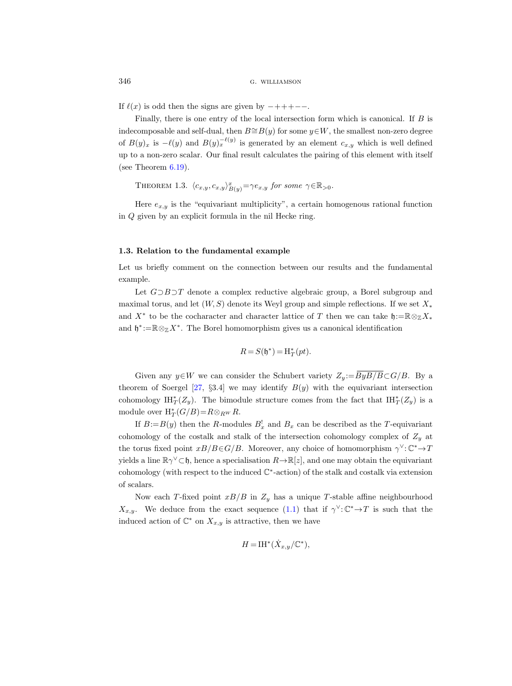If  $\ell(x)$  is odd then the signs are given by  $-+++--$ .

Finally, there is one entry of the local intersection form which is canonical. If B is indecomposable and self-dual, then  $B \cong B(y)$  for some  $y \in W$ , the smallest non-zero degree of  $B(y)_x$  is  $-\ell(y)$  and  $B(y)_x^{-\ell(y)}$  is generated by an element  $c_{x,y}$  which is well defined up to a non-zero scalar. Our final result calculates the pairing of this element with itself (see Theorem [6.19\)](#page-39-0).

<span id="page-5-1"></span>THEOREM 1.3.  $\langle c_{x,y}, c_{x,y} \rangle_{B(y)}^x = \gamma e_{x,y}$  for some  $\gamma \in \mathbb{R}_{>0}$ .

Here  $e_{x,y}$  is the "equivariant multiplicity", a certain homogenous rational function in Q given by an explicit formula in the nil Hecke ring.

#### <span id="page-5-0"></span>1.3. Relation to the fundamental example

Let us briefly comment on the connection between our results and the fundamental example.

Let G⊃B⊃T denote a complex reductive algebraic group, a Borel subgroup and maximal torus, and let  $(W, S)$  denote its Weyl group and simple reflections. If we set  $X_*$ and  $X^*$  to be the cocharacter and character lattice of T then we can take  $\mathfrak{h}:=\mathbb{R} \otimes_{\mathbb{Z}} X_*$ and  $\mathfrak{h}^* := \mathbb{R} \otimes_{\mathbb{Z}} X^*$ . The Borel homomorphism gives us a canonical identification

$$
R = S(\mathfrak{h}^*) = \mathcal{H}_T^*(pt).
$$

Given any  $y \in W$  we can consider the Schubert variety  $Z_y := \overline{ByB/B} \subset G/B$ . By a theorem of Soergel [\[27,](#page-62-6)  $\S 3.4$ ] we may identify  $B(y)$  with the equivariant intersection cohomology  $\mathrm{IH}_{T}^{*}(Z_{y})$ . The bimodule structure comes from the fact that  $\mathrm{IH}_{T}^{*}(Z_{y})$  is a module over  $H^*_{T}(G/B) = R \otimes_{R^W} R$ .

If  $B:=B(y)$  then the R-modules  $B_x^!$  and  $B_x$  can be described as the T-equivariant cohomology of the costalk and stalk of the intersection cohomology complex of  $Z_y$  at the torus fixed point  $xB/BCG/B$ . Moreover, any choice of homomorphism  $\gamma^{\vee}$ :  $\mathbb{C}^* \rightarrow T$ yields a line  $\mathbb{R}\gamma^{\vee}\subset\mathfrak{h}$ , hence a specialisation  $R\rightarrow\mathbb{R}[z]$ , and one may obtain the equivariant cohomology (with respect to the induced C ∗ -action) of the stalk and costalk via extension of scalars.

Now each T-fixed point  $xB/B$  in  $Z_y$  has a unique T-stable affine neighbourhood  $X_{x,y}$ . We deduce from the exact sequence [\(1.1\)](#page-1-0) that if  $\gamma^{\vee}:\mathbb{C}^*\to T$  is such that the induced action of  $\mathbb{C}^*$  on  $X_{x,y}$  is attractive, then we have

$$
H = \mathrm{IH}^*(\dot{X}_{x,y}/\mathbb{C}^*),
$$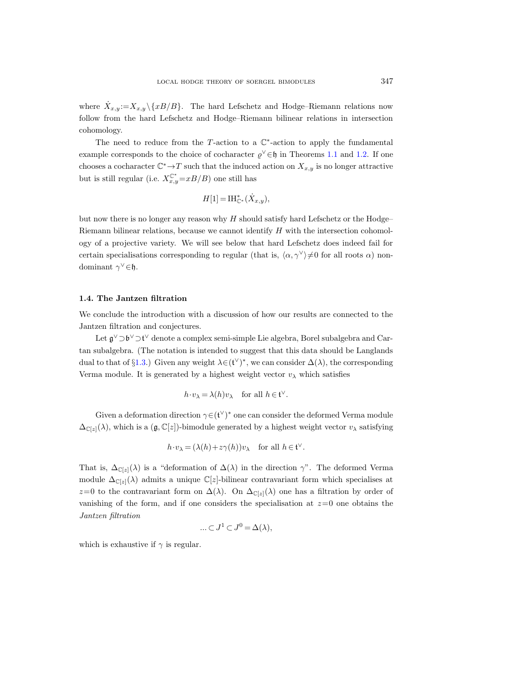where  $\dot{X}_{x,y} := X_{x,y} \setminus \{xB/B\}$ . The hard Lefschetz and Hodge–Riemann relations now follow from the hard Lefschetz and Hodge–Riemann bilinear relations in intersection cohomology.

The need to reduce from the  $T$ -action to a  $\mathbb{C}^*$ -action to apply the fundamental example corresponds to the choice of cocharacter  $\varrho^{\vee} \in \mathfrak{h}$  in Theorems [1.1](#page-3-1) and [1.2.](#page-4-1) If one chooses a cocharacter  $\mathbb{C}^* \to T$  such that the induced action on  $X_{x,y}$  is no longer attractive but is still regular (i.e.  $X_{x,y}^{\mathbb{C}^*} = xB/B$ ) one still has

$$
H[1] = \mathrm{IH}_{\mathbb{C}^*}^*(\dot{X}_{x,y}),
$$

but now there is no longer any reason why  $H$  should satisfy hard Lefschetz or the Hodge– Riemann bilinear relations, because we cannot identify  $H$  with the intersection cohomology of a projective variety. We will see below that hard Lefschetz does indeed fail for certain specialisations corresponding to regular (that is,  $\langle \alpha, \gamma^{\vee} \rangle \neq 0$  for all roots  $\alpha$ ) nondominant  $\gamma^{\vee} \in \mathfrak{h}$ .

# 1.4. The Jantzen filtration

We conclude the introduction with a discussion of how our results are connected to the Jantzen filtration and conjectures.

Let  $\mathfrak{g}^{\vee} \supset \mathfrak{b}^{\vee} \supset \mathfrak{t}^{\vee}$  denote a complex semi-simple Lie algebra, Borel subalgebra and Cartan subalgebra. (The notation is intended to suggest that this data should be Langlands dual to that of §[1.3.](#page-5-0)) Given any weight  $\lambda \in (t^{\vee})^*$ , we can consider  $\Delta(\lambda)$ , the corresponding Verma module. It is generated by a highest weight vector  $v_{\lambda}$  which satisfies

$$
h \cdot v_{\lambda} = \lambda(h)v_{\lambda}
$$
 for all  $h \in \mathfrak{t}^{\vee}$ .

Given a deformation direction  $\gamma \in (t^{\vee})^*$  one can consider the deformed Verma module  $\Delta_{\mathbb{C}[z]}(\lambda)$ , which is a  $(\mathfrak{g},\mathbb{C}[z])$ -bimodule generated by a highest weight vector  $v_{\lambda}$  satisfying

$$
h \cdot v_{\lambda} = (\lambda(h) + z\gamma(h))v_{\lambda}
$$
 for all  $h \in \mathfrak{t}^{\vee}$ .

That is,  $\Delta_{\mathbb{C}[z]}(\lambda)$  is a "deformation of  $\Delta(\lambda)$  in the direction  $\gamma$ ". The deformed Verma module  $\Delta_{\mathbb{C}[z]}(\lambda)$  admits a unique  $\mathbb{C}[z]$ -bilinear contravariant form which specialises at z=0 to the contravariant form on  $\Delta(\lambda)$ . On  $\Delta_{\mathbb{C}[z]}(\lambda)$  one has a filtration by order of vanishing of the form, and if one considers the specialisation at  $z=0$  one obtains the Jantzen filtration

$$
\ldots \subset J^1 \subset J^0 = \Delta(\lambda),
$$

which is exhaustive if  $\gamma$  is regular.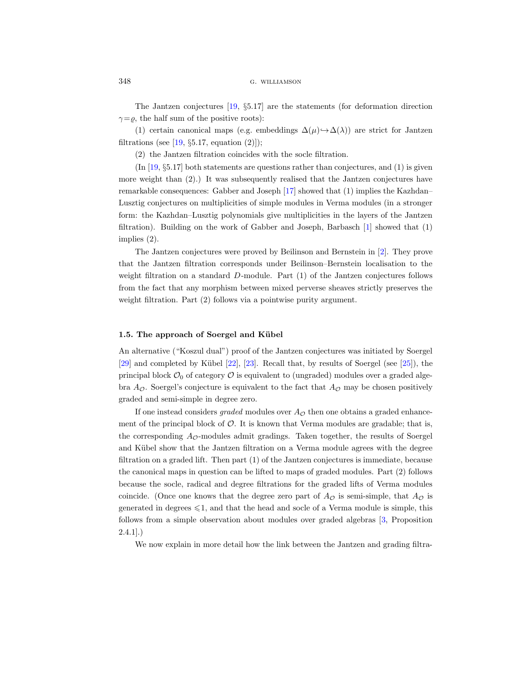The Jantzen conjectures [\[19,](#page-62-7) §5.17] are the statements (for deformation direction  $\gamma = \rho$ , the half sum of the positive roots):

(1) certain canonical maps (e.g. embeddings  $\Delta(\mu) \rightarrow \Delta(\lambda)$ ) are strict for Jantzen filtrations (see  $[19, §5.17, equation (2)]$ );

(2) the Jantzen filtration coincides with the socle filtration.

(In [\[19,](#page-62-7) §5.17] both statements are questions rather than conjectures, and (1) is given more weight than (2).) It was subsequently realised that the Jantzen conjectures have remarkable consequences: Gabber and Joseph [\[17\]](#page-62-8) showed that (1) implies the Kazhdan– Lusztig conjectures on multiplicities of simple modules in Verma modules (in a stronger form: the Kazhdan–Lusztig polynomials give multiplicities in the layers of the Jantzen filtration). Building on the work of Gabber and Joseph, Barbasch [\[1\]](#page-61-2) showed that (1) implies (2).

The Jantzen conjectures were proved by Beilinson and Bernstein in [\[2\]](#page-61-0). They prove that the Jantzen filtration corresponds under Beilinson–Bernstein localisation to the weight filtration on a standard D-module. Part (1) of the Jantzen conjectures follows from the fact that any morphism between mixed perverse sheaves strictly preserves the weight filtration. Part (2) follows via a pointwise purity argument.

# 1.5. The approach of Soergel and Kübel

An alternative ("Koszul dual") proof of the Jantzen conjectures was initiated by Soergel  $[29]$  and completed by Kübel  $[22]$ ,  $[23]$ . Recall that, by results of Soergel (see  $[25]$ ), the principal block  $\mathcal{O}_0$  of category  $\mathcal O$  is equivalent to (ungraded) modules over a graded algebra  $A_{\mathcal{O}}$ . Soergel's conjecture is equivalent to the fact that  $A_{\mathcal{O}}$  may be chosen positively graded and semi-simple in degree zero.

If one instead considers graded modules over  $A_{\mathcal{O}}$  then one obtains a graded enhancement of the principal block of  $\mathcal{O}$ . It is known that Verma modules are gradable; that is, the corresponding  $A_{\mathcal{O}}$ -modules admit gradings. Taken together, the results of Soergel and Kübel show that the Jantzen filtration on a Verma module agrees with the degree filtration on a graded lift. Then part (1) of the Jantzen conjectures is immediate, because the canonical maps in question can be lifted to maps of graded modules. Part (2) follows because the socle, radical and degree filtrations for the graded lifts of Verma modules coincide. (Once one knows that the degree zero part of  $A_{\mathcal{O}}$  is semi-simple, that  $A_{\mathcal{O}}$  is generated in degrees  $\leq 1$ , and that the head and socle of a Verma module is simple, this follows from a simple observation about modules over graded algebras [\[3,](#page-61-3) Proposition 2.4.1].)

We now explain in more detail how the link between the Jantzen and grading filtra-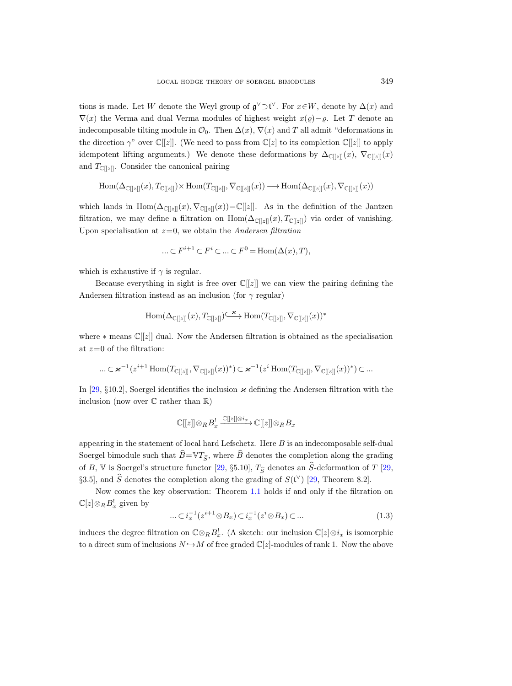tions is made. Let W denote the Weyl group of  $\mathfrak{g}^{\vee} \supset \mathfrak{t}^{\vee}$ . For  $x \in W$ , denote by  $\Delta(x)$  and  $\nabla(x)$  the Verma and dual Verma modules of highest weight  $x(\varrho)-\varrho$ . Let T denote an indecomposable tilting module in  $\mathcal{O}_0$ . Then  $\Delta(x)$ ,  $\nabla(x)$  and T all admit "deformations in the direction  $\gamma$ " over  $\mathbb{C}[[z]]$ . (We need to pass from  $\mathbb{C}[z]$  to its completion  $\mathbb{C}[[z]]$  to apply idempotent lifting arguments.) We denote these deformations by  $\Delta_{\mathbb{C}[[z]]}(x)$ ,  $\nabla_{\mathbb{C}[[z]]}(x)$ and  $T_{\mathbb{C}[[z]]}$ . Consider the canonical pairing

$$
\mathrm{Hom}(\Delta_{\mathbb{C}[[z]]}(x),T_{\mathbb{C}[[z]]})\times \mathrm{Hom}(T_{\mathbb{C}[[z]]},\nabla_{\mathbb{C}[[z]]}(x))\longrightarrow \mathrm{Hom}(\Delta_{\mathbb{C}[[z]]}(x),\nabla_{\mathbb{C}[[z]]}(x))
$$

which lands in  $\text{Hom}(\Delta_{\mathbb{C}[[z]]}(x), \nabla_{\mathbb{C}[[z]]}(x)) = \mathbb{C}[[z]].$  As in the definition of the Jantzen filtration, we may define a filtration on  $Hom(\Delta_{\mathbb{C}[[z]]}(x), T_{\mathbb{C}[[z]]})$  via order of vanishing. Upon specialisation at  $z=0$ , we obtain the Andersen filtration

$$
\dots \subset F^{i+1} \subset F^i \subset \dots \subset F^0 = \text{Hom}(\Delta(x), T),
$$

which is exhaustive if  $\gamma$  is regular.

Because everything in sight is free over  $\mathbb{C}[[z]]$  we can view the pairing defining the Andersen filtration instead as an inclusion (for  $\gamma$  regular)

$$
\operatorname{Hom}(\Delta_{\mathbb{C}[[z]]}(x),T_{\mathbb{C}[[z]]})\overset{\varkappa}{\longrightarrow}\operatorname{Hom}(T_{\mathbb{C}[[z]]},\nabla_{\mathbb{C}[[z]]}(x))^*
$$

where  $*$  means  $\mathbb{C}[[z]]$  dual. Now the Andersen filtration is obtained as the specialisation at  $z=0$  of the filtration:

$$
\ldots \subset \varkappa^{-1}(z^{i+1} \operatorname{Hom} (T_{{\mathbb C} [[z]]}, \nabla_{{\mathbb C} [[z]]}(x))^*) \subset \varkappa^{-1}(z^{i} \operatorname{Hom} (T_{{\mathbb C} [[z]]}, \nabla_{{\mathbb C} [[z]]}(x))^*) \subset \ldots
$$

In [\[29,](#page-62-9) §10.2], Soergel identifies the inclusion  $\varkappa$  defining the Andersen filtration with the inclusion (now over  $\mathbb C$  rather than  $\mathbb R$ )

$$
\mathbb{C}[[z]]\otimes_R B_x^!\xrightarrow{\mathbb{C}[[z]]\otimes i_x} \mathbb{C}[[z]]\otimes_R B_x
$$

appearing in the statement of local hard Lefschetz. Here  $B$  is an indecomposable self-dual Soergel bimodule such that  $\widehat{B}=\mathbb{V}T_{\widehat{S}}$ , where  $\widehat{B}$  denotes the completion along the grading of B, V is Soergel's structure functor [\[29,](#page-62-9) §5.10],  $T_{\widehat{S}}$  denotes an  $\widehat{S}$ -deformation of T [\[29,](#page-62-9) §3.5], and  $\hat{S}$  denotes the completion along the grading of  $S(t^{\vee})$  [\[29,](#page-62-9) Theorem 8.2].

Now comes the key observation: Theorem [1.1](#page-3-1) holds if and only if the filtration on  $\mathbb{C}[z] \otimes_R B_x^!$  given by

$$
\dots \subset i_x^{-1}(z^{i+1} \otimes B_x) \subset i_x^{-1}(z^i \otimes B_x) \subset \dots \tag{1.3}
$$

induces the degree filtration on  $\mathbb{C} \otimes_R B_x^!$ . (A sketch: our inclusion  $\mathbb{C}[z] \otimes i_x$  is isomorphic to a direct sum of inclusions  $N \rightarrow M$  of free graded  $\mathbb{C}[z]$ -modules of rank 1. Now the above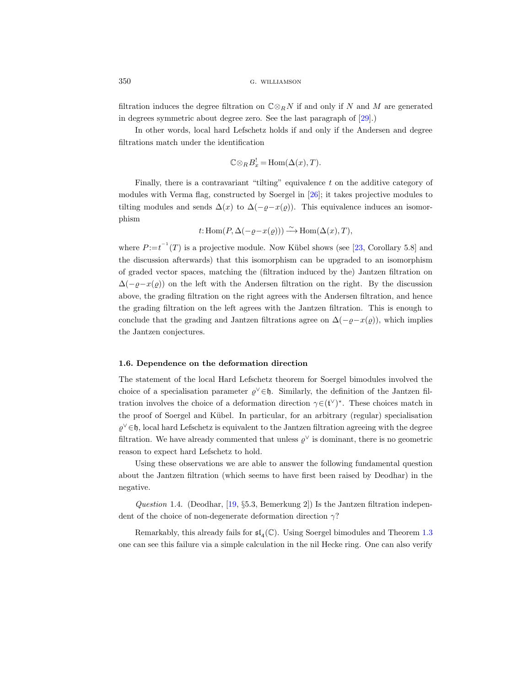filtration induces the degree filtration on  $\mathbb{C} \otimes_R N$  if and only if N and M are generated in degrees symmetric about degree zero. See the last paragraph of [\[29\]](#page-62-9).)

In other words, local hard Lefschetz holds if and only if the Andersen and degree filtrations match under the identification

$$
\mathbb{C} \otimes_R B_x^! = \text{Hom}(\Delta(x), T).
$$

Finally, there is a contravariant "tilting" equivalence  $t$  on the additive category of modules with Verma flag, constructed by Soergel in [\[26\]](#page-62-13); it takes projective modules to tilting modules and sends  $\Delta(x)$  to  $\Delta(-\varrho-x(\varrho))$ . This equivalence induces an isomorphism

$$
t: \text{Hom}(P, \Delta(-\varrho - x(\varrho))) \xrightarrow{\sim} \text{Hom}(\Delta(x), T),
$$

where  $P:=t^{-1}(T)$  is a projective module. Now Kübel shows (see [\[23,](#page-62-11) Corollary 5.8] and the discussion afterwards) that this isomorphism can be upgraded to an isomorphism of graded vector spaces, matching the (filtration induced by the) Jantzen filtration on  $\Delta(-\rho-x(\rho))$  on the left with the Andersen filtration on the right. By the discussion above, the grading filtration on the right agrees with the Andersen filtration, and hence the grading filtration on the left agrees with the Jantzen filtration. This is enough to conclude that the grading and Jantzen filtrations agree on  $\Delta(-\rho-x(\rho))$ , which implies the Jantzen conjectures.

## 1.6. Dependence on the deformation direction

The statement of the local Hard Lefschetz theorem for Soergel bimodules involved the choice of a specialisation parameter  $\varrho^{\vee} \in \mathfrak{h}$ . Similarly, the definition of the Jantzen filtration involves the choice of a deformation direction  $\gamma \in (t^{\vee})^*$ . These choices match in the proof of Soergel and Kübel. In particular, for an arbitrary (regular) specialisation  $\varrho^{\vee} \in \mathfrak{h}$ , local hard Lefschetz is equivalent to the Jantzen filtration agreeing with the degree filtration. We have already commented that unless  $\varrho^{\vee}$  is dominant, there is no geometric reason to expect hard Lefschetz to hold.

Using these observations we are able to answer the following fundamental question about the Jantzen filtration (which seems to have first been raised by Deodhar) in the negative.

Question 1.4. (Deodhar, [\[19,](#page-62-7) §5.3, Bemerkung 2]) Is the Jantzen filtration independent of the choice of non-degenerate deformation direction  $\gamma$ ?

Remarkably, this already fails for  $\mathfrak{sl}_4(\mathbb{C})$ . Using Soergel bimodules and Theorem [1.3](#page-5-1) one can see this failure via a simple calculation in the nil Hecke ring. One can also verify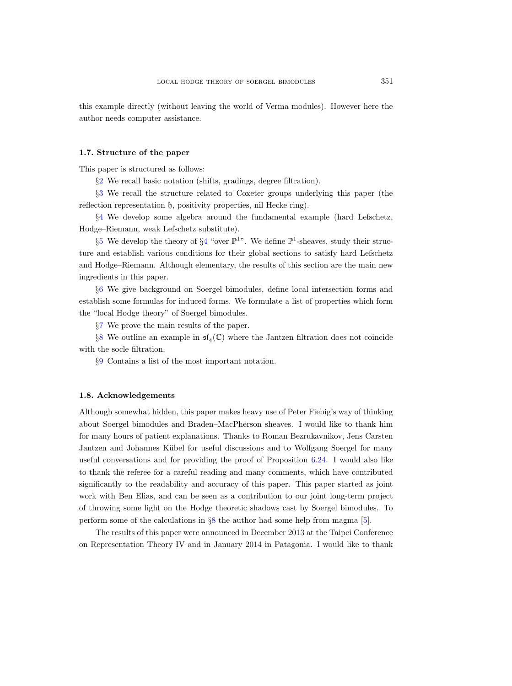this example directly (without leaving the world of Verma modules). However here the author needs computer assistance.

# 1.7. Structure of the paper

This paper is structured as follows:

§[2](#page-11-0) We recall basic notation (shifts, gradings, degree filtration).

§[3](#page-12-1) We recall the structure related to Coxeter groups underlying this paper (the reflection representation h, positivity properties, nil Hecke ring).

§[4](#page-16-0) We develop some algebra around the fundamental example (hard Lefschetz, Hodge–Riemann, weak Lefschetz substitute).

§[5](#page-19-0) We develop the theory of §[4](#page-16-0) "over  $\mathbb{P}^{1}$ ". We define  $\mathbb{P}^{1}$ -sheaves, study their structure and establish various conditions for their global sections to satisfy hard Lefschetz and Hodge–Riemann. Although elementary, the results of this section are the main new ingredients in this paper.

§[6](#page-29-0) We give background on Soergel bimodules, define local intersection forms and establish some formulas for induced forms. We formulate a list of properties which form the "local Hodge theory" of Soergel bimodules.

§[7](#page-44-0) We prove the main results of the paper.

§[8](#page-56-0) We outline an example in  $\mathfrak{sl}_4(\mathbb{C})$  where the Jantzen filtration does not coincide with the socle filtration.

§[9](#page-61-4) Contains a list of the most important notation.

# 1.8. Acknowledgements

Although somewhat hidden, this paper makes heavy use of Peter Fiebig's way of thinking about Soergel bimodules and Braden–MacPherson sheaves. I would like to thank him for many hours of patient explanations. Thanks to Roman Bezrukavnikov, Jens Carsten Jantzen and Johannes Kübel for useful discussions and to Wolfgang Soergel for many useful conversations and for providing the proof of Proposition [6.24.](#page-41-0) I would also like to thank the referee for a careful reading and many comments, which have contributed significantly to the readability and accuracy of this paper. This paper started as joint work with Ben Elias, and can be seen as a contribution to our joint long-term project of throwing some light on the Hodge theoretic shadows cast by Soergel bimodules. To perform some of the calculations in §[8](#page-56-0) the author had some help from magma [\[5\]](#page-61-5).

The results of this paper were announced in December 2013 at the Taipei Conference on Representation Theory IV and in January 2014 in Patagonia. I would like to thank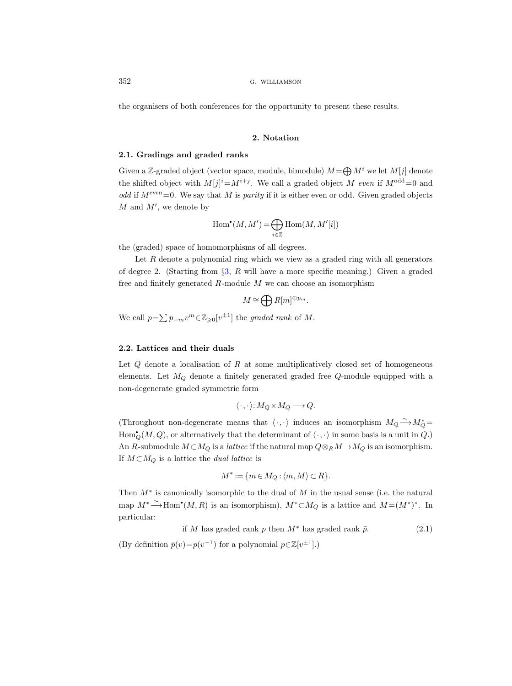the organisers of both conferences for the opportunity to present these results.

# 2. Notation

#### <span id="page-11-1"></span><span id="page-11-0"></span>2.1. Gradings and graded ranks

Given a Z-graded object (vector space, module, bimodule)  $M = \bigoplus M^i$  we let  $M[j]$  denote the shifted object with  $M[j] = M^{i+j}$ . We call a graded object M even if  $M^{\text{odd}}=0$  and odd if  $M^{\text{even}}=0$ . We say that M is parity if it is either even or odd. Given graded objects  $M$  and  $M'$ , we denote by

$$
\operatorname{Hom}^\bullet(M,M') = \bigoplus_{i \in \mathbb{Z}} \operatorname{Hom}(M,M'[i])
$$

the (graded) space of homomorphisms of all degrees.

Let  $R$  denote a polynomial ring which we view as a graded ring with all generators of degree 2. (Starting from §[3,](#page-12-1) R will have a more specific meaning.) Given a graded free and finitely generated  $R$ -module  $M$  we can choose an isomorphism

$$
M \cong \bigoplus R[m]^{\oplus p_m}.
$$

We call  $p=\sum p_{-m}v^m\in\mathbb{Z}_{\geqslant 0}[v^{\pm 1}]$  the graded rank of M.

### 2.2. Lattices and their duals

Let  $Q$  denote a localisation of  $R$  at some multiplicatively closed set of homogeneous elements. Let  $M_Q$  denote a finitely generated graded free  $Q$ -module equipped with a non-degenerate graded symmetric form

$$
\langle\,\cdot\,,\cdot\rangle\colon\!M_Q\!\times\!M_Q\longrightarrow\!Q.
$$

(Throughout non-degenerate means that  $\langle \cdot, \cdot \rangle$  induces an isomorphism  $M_Q \xrightarrow{\sim} M_Q^* =$  $\text{Hom}_Q^{\bullet}(M, Q)$ , or alternatively that the determinant of  $\langle \cdot, \cdot \rangle$  in some basis is a unit in  $Q$ .) An R-submodule  $M \subset M_Q$  is a *lattice* if the natural map  $Q \otimes_R M \to M_Q$  is an isomorphism. If  $M \subset M_Q$  is a lattice the *dual lattice* is

$$
M^*:=\{m\in M_Q:\langle m,M\rangle\subset R\}.
$$

Then  $M^*$  is canonically isomorphic to the dual of M in the usual sense (i.e. the natural map  $M^* \xrightarrow{\sim} \text{Hom}^{\bullet}(M, R)$  is an isomorphism),  $M^* \subset M_Q$  is a lattice and  $M = (M^*)^*$ . In particular:

if M has graded rank p then  $M^*$  has graded rank  $\bar{p}$ . (2.1)

(By definition  $\bar{p}(v) = p(v^{-1})$  for a polynomial  $p \in \mathbb{Z}[v^{\pm 1}]$ .)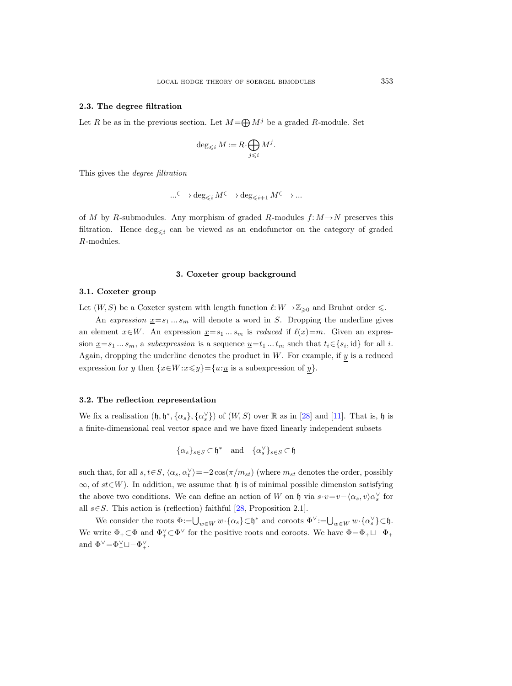### <span id="page-12-2"></span>2.3. The degree filtration

Let R be as in the previous section. Let  $M = \bigoplus M^{j}$  be a graded R-module. Set

$$
\deg_{\leqslant i} M\mathbin{:=} R{\cdot}\bigoplus_{j\leqslant i} M^j.
$$

This gives the degree filtration

$$
...\textcolor{red}{\bigodot} \deg_{\leqslant i} M \textcolor{red}{\bigodot} \deg_{\leqslant i+1} M \textcolor{red}{\bigodot} \dots
$$

of M by R-submodules. Any morphism of graded R-modules  $f: M \to N$  preserves this filtration. Hence  $\deg_{\leq i}$  can be viewed as an endofunctor on the category of graded R-modules.

### 3. Coxeter group background

#### <span id="page-12-3"></span><span id="page-12-1"></span>3.1. Coxeter group

Let  $(W, S)$  be a Coxeter system with length function  $\ell: W \to \mathbb{Z}_{\geq 0}$  and Bruhat order  $\leq$ .

An expression  $\underline{x}=s_1...s_m$  will denote a word in S. Dropping the underline gives an element  $x \in W$ . An expression  $\underline{x} = s_1 ... s_m$  is reduced if  $\ell(x) = m$ . Given an expression  $\underline{x} = s_1 ... s_m$ , a subexpression is a sequence  $\underline{u} = t_1 ... t_m$  such that  $t_i \in \{s_i, id\}$  for all i. Again, dropping the underline denotes the product in  $W$ . For example, if  $y$  is a reduced expression for y then  $\{x \in W : x \leq y\} = \{u : \underline{u} \text{ is a subexpression of } y\}.$ 

# <span id="page-12-0"></span>3.2. The reflection representation

We fix a realisation  $(\mathfrak{h}, \mathfrak{h}^*, {\alpha_s}$ ,  $\{\alpha_s^\vee\})$  of  $(W, S)$  over  $\mathbb R$  as in [\[28\]](#page-62-3) and [\[11\]](#page-62-0). That is,  $\mathfrak{h}$  is a finite-dimensional real vector space and we have fixed linearly independent subsets

$$
\{\alpha_s\}_{s\in S}\subset \mathfrak{h}^*\quad \text{and}\quad \{\alpha_s^\vee\}_{s\in S}\subset \mathfrak{h}
$$

such that, for all  $s, t \in S$ ,  $\langle \alpha_s, \alpha_t^{\vee} \rangle = -2 \cos(\pi/m_{st})$  (where  $m_{st}$  denotes the order, possibly  $\infty$ , of st∈W). In addition, we assume that h is of minimal possible dimension satisfying the above two conditions. We can define an action of W on h via  $s \cdot v = v - \langle \alpha_s, v \rangle \alpha_s^{\vee}$  for all  $s \in S$ . This action is (reflection) faithful [\[28,](#page-62-3) Proposition 2.1].

We consider the roots  $\Phi := \bigcup_{w \in W} w \cdot {\alpha_s} \} \subset \mathfrak{h}^*$  and coroots  $\Phi^{\vee} := \bigcup_{w \in W} w \cdot {\alpha_s^{\vee}} \} \subset \mathfrak{h}$ . We write  $\Phi_+ \subset \Phi$  and  $\Phi_+^{\vee} \subset \Phi^{\vee}$  for the positive roots and coroots. We have  $\Phi = \Phi_+ \cup -\Phi_+$ and  $\Phi^{\vee} = \Phi^{\vee}_+ \sqcup -\Phi^{\vee}_+$ .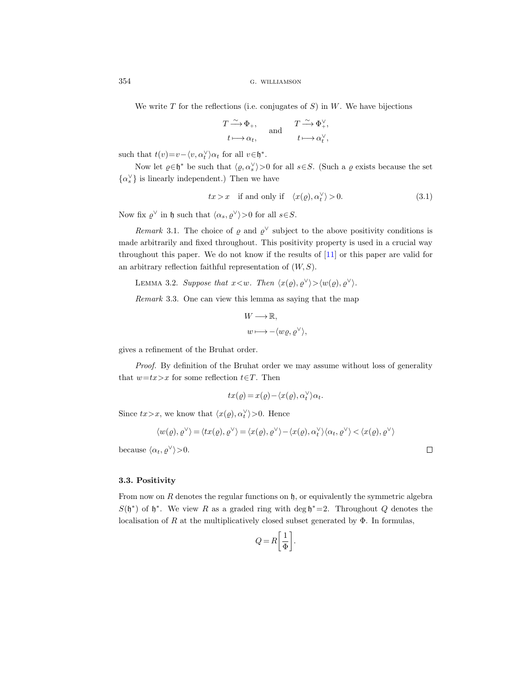We write  $T$  for the reflections (i.e. conjugates of  $S$ ) in  $W$ . We have bijections

$$
T \xrightarrow{\sim} \Phi_+, \quad \text{and} \quad T \xrightarrow{\sim} \Phi_+^{\vee},
$$
  

$$
t \longmapsto \alpha_t, \quad t \longmapsto \alpha_t^{\vee},
$$

such that  $t(v) = v - \langle v, \alpha_t^{\vee} \rangle \alpha_t$  for all  $v \in \mathfrak{h}^*$ .

Now let  $\varrho \in \mathfrak{h}^*$  be such that  $\langle \varrho, \alpha_s^{\vee} \rangle > 0$  for all  $s \in S$ . (Such a  $\varrho$  exists because the set  $\{\alpha_s^{\vee}\}\$ is linearly independent.) Then we have

<span id="page-13-1"></span>
$$
tx > x
$$
 if and only if  $\langle x(\varrho), \alpha_t^{\vee} \rangle > 0.$  (3.1)

Now fix  $\varrho^{\vee}$  in h such that  $\langle \alpha_s, \varrho^{\vee} \rangle > 0$  for all  $s \in S$ .

Remark 3.1. The choice of  $\varrho$  and  $\varrho^{\vee}$  subject to the above positivity conditions is made arbitrarily and fixed throughout. This positivity property is used in a crucial way throughout this paper. We do not know if the results of [\[11\]](#page-62-0) or this paper are valid for an arbitrary reflection faithful representation of  $(W, S)$ .

<span id="page-13-2"></span>LEMMA 3.2. Suppose that  $x < w$ . Then  $\langle x(\varrho), \varrho^\vee \rangle > \langle w(\varrho), \varrho^\vee \rangle$ .

Remark 3.3. One can view this lemma as saying that the map

$$
W \longrightarrow \mathbb{R},
$$
  

$$
w \longmapsto -\langle w \varrho, \varrho^{\vee} \rangle,
$$

gives a refinement of the Bruhat order.

Proof. By definition of the Bruhat order we may assume without loss of generality that  $w=tx>x$  for some reflection  $t\in T$ . Then

$$
tx(\varrho) = x(\varrho) - \langle x(\varrho), \alpha_t^{\vee} \rangle \alpha_t.
$$

Since  $tx \geq x$ , we know that  $\langle x(\varrho), \alpha_t^{\vee} \rangle > 0$ . Hence

$$
\langle w(\varrho),\varrho^\vee\rangle = \langle tx(\varrho),\varrho^\vee\rangle = \langle x(\varrho),\varrho^\vee\rangle - \langle x(\varrho),\alpha_t^\vee\rangle \langle \alpha_t,\varrho^\vee\rangle < \langle x(\varrho),\varrho^\vee\rangle
$$

because  $\langle \alpha_t, \rho^\vee \rangle > 0$ .

 $\Box$ 

# <span id="page-13-0"></span>3.3. Positivity

From now on  $R$  denotes the regular functions on  $\mathfrak{h}$ , or equivalently the symmetric algebra  $S(\mathfrak{h}^*)$  of  $\mathfrak{h}^*$ . We view R as a graded ring with deg  $\mathfrak{h}^*=2$ . Throughout Q denotes the localisation of R at the multiplicatively closed subset generated by  $\Phi$ . In formulas,

$$
Q = R\left[\frac{1}{\Phi}\right].
$$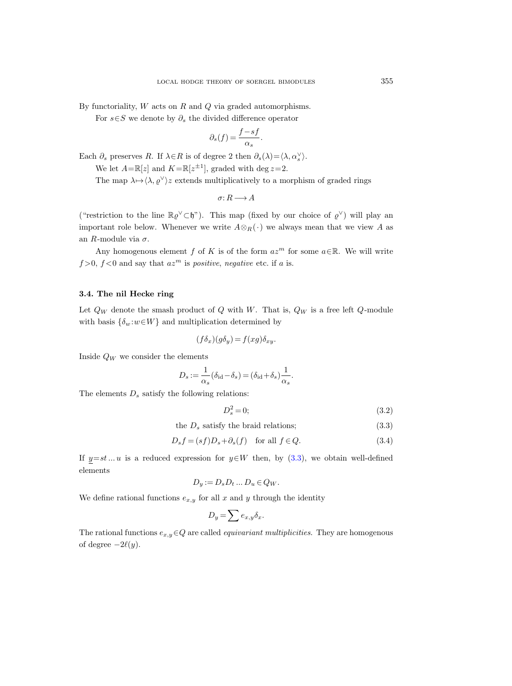By functoriality,  $W$  acts on  $R$  and  $Q$  via graded automorphisms.

For  $s \in S$  we denote by  $\partial_s$  the divided difference operator

$$
\partial_s(f) = \frac{f - sf}{\alpha_s}.
$$

Each  $\partial_s$  preserves R. If  $\lambda \in R$  is of degree 2 then  $\partial_s(\lambda) = \langle \lambda, \alpha_s^{\vee} \rangle$ .

We let  $A = \mathbb{R}[z]$  and  $K = \mathbb{R}[z^{\pm 1}]$ , graded with deg  $z = 2$ .

The map  $\lambda \mapsto \langle \lambda, \varrho^{\vee} \rangle$  extends multiplicatively to a morphism of graded rings

$$
\sigma\colon\! R\longrightarrow A
$$

("restriction to the line  $\mathbb{R}\varrho^{\vee}(\mathfrak{h})$ "). This map (fixed by our choice of  $\varrho^{\vee}$ ) will play an important role below. Whenever we write  $A \otimes_R (\cdot)$  we always mean that we view A as an R-module via  $\sigma$ .

Any homogenous element f of K is of the form  $az^m$  for some  $a \in \mathbb{R}$ . We will write  $f > 0$ ,  $f < 0$  and say that  $az<sup>m</sup>$  is *positive*, *negative* etc. if a is.

# <span id="page-14-3"></span>3.4. The nil Hecke ring

Let  $Q_W$  denote the smash product of  $Q$  with W. That is,  $Q_W$  is a free left  $Q$ -module with basis  $\{\delta_w : w \in W\}$  and multiplication determined by

$$
(f\delta_x)(g\delta_y) = f(xg)\delta_{xy}.
$$

Inside  $Q_W$  we consider the elements

$$
D_s:=\frac{1}{\alpha_s}\big(\delta_{\rm id}-\delta_s\big)=\big(\delta_{\rm id}+\delta_s\big)\frac{1}{\alpha_s}.
$$

The elements  $D_s$  satisfy the following relations:

<span id="page-14-2"></span><span id="page-14-1"></span><span id="page-14-0"></span>
$$
D_s^2 = 0;\t\t(3.2)
$$

the  $D_s$  satisfy the braid relations; (3.3)

$$
D_s f = (sf)D_s + \partial_s(f) \quad \text{for all } f \in Q. \tag{3.4}
$$

If  $y=st \dots u$  is a reduced expression for  $y \in W$  then, by [\(3.3\)](#page-14-0), we obtain well-defined elements

$$
D_y := D_s D_t \dots D_u \in Q_W.
$$

We define rational functions  $e_{x,y}$  for all x and y through the identity

$$
D_y=\sum e_{x,y}\delta_x.
$$

The rational functions  $e_{x,y} \in Q$  are called *equivariant multiplicities*. They are homogenous of degree  $-2\ell(y)$ .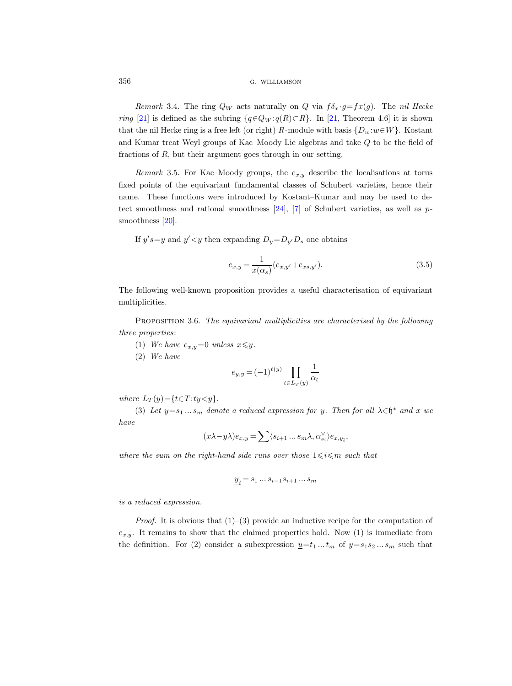Remark 3.4. The ring  $Q_W$  acts naturally on Q via  $f\delta_x \cdot g = fx(g)$ . The nil Hecke ring [\[21\]](#page-62-14) is defined as the subring  $\{q \in Q_W : q(R) \subset R\}$ . In [\[21,](#page-62-14) Theorem 4.6] it is shown that the nil Hecke ring is a free left (or right) R-module with basis  $\{D_w : w \in W\}$ . Kostant and Kumar treat Weyl groups of Kac–Moody Lie algebras and take Q to be the field of fractions of R, but their argument goes through in our setting.

Remark 3.5. For Kac–Moody groups, the  $e_{x,y}$  describe the localisations at torus fixed points of the equivariant fundamental classes of Schubert varieties, hence their name. These functions were introduced by Kostant–Kumar and may be used to detect smoothness and rational smoothness  $[24]$ ,  $[7]$  of Schubert varieties, as well as p-smoothness [\[20\]](#page-62-17).

If  $y's=y$  and  $y' < y$  then expanding  $D_y=D_{y'}D_s$  one obtains

$$
e_{x,y} = \frac{1}{x(\alpha_s)} (e_{x,y'} + e_{xs,y'}).
$$
\n(3.5)

The following well-known proposition provides a useful characterisation of equivariant multiplicities.

<span id="page-15-0"></span>PROPOSITION 3.6. The equivariant multiplicities are characterised by the following three properties:

- (1) We have  $e_{x,y}=0$  unless  $x \leq y$ .
- (2) We have

$$
e_{y,y} = (-1)^{\ell(y)} \prod_{t \in L_T(y)} \frac{1}{\alpha_t}
$$

where  $L_T(y) = \{t \in T : ty < y\}.$ 

(3) Let  $y=s_1...s_m$  denote a reduced expression for y. Then for all  $\lambda \in \mathfrak{h}^*$  and x we have

$$
(x\lambda-y\lambda)e_{x,y}=\sum \langle s_{i+1}\dots s_m\lambda,\alpha_{s_i}^\vee\rangle e_{x,y_i},
$$

where the sum on the right-hand side runs over those  $1 \leq i \leq m$  such that

$$
\underline{y}_{\hat{i}}=s_1\ldots s_{i-1}s_{i+1}\ldots s_m
$$

is a reduced expression.

*Proof.* It is obvious that  $(1)$ – $(3)$  provide an inductive recipe for the computation of  $e_{x,y}$ . It remains to show that the claimed properties hold. Now (1) is immediate from the definition. For (2) consider a subexpression  $\underline{u}=t_1 ... t_m$  of  $\underline{y}=s_1s_2 ... s_m$  such that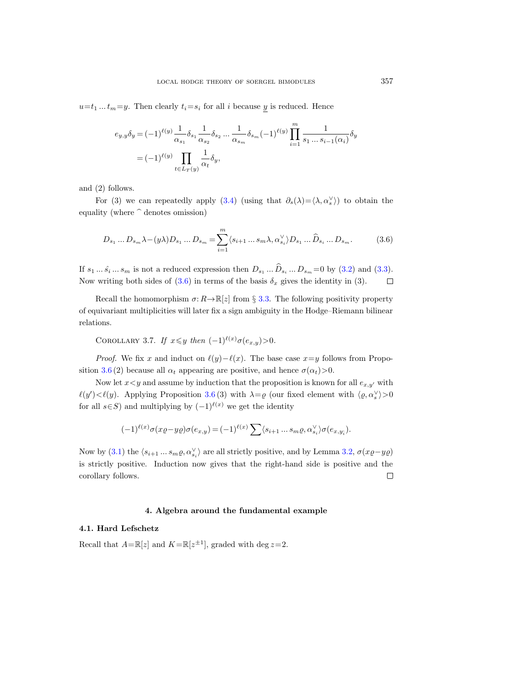$u=t_1... t_m=y$ . Then clearly  $t_i=s_i$  for all i because y is reduced. Hence

$$
\begin{aligned} e_{y,y}\delta_y &= (-1)^{\ell(y)}\frac{1}{\alpha_{s_1}}\delta_{s_1}\frac{1}{\alpha_{s_2}}\delta_{s_2}\ldots\frac{1}{\alpha_{s_m}}\delta_{s_m}(-1)^{\ell(y)}\prod_{i=1}^m\frac{1}{s_1\ldots s_{i-1}(\alpha_i)}\delta_y\\ &= (-1)^{\ell(y)}\prod_{t\in L_T(y)}\frac{1}{\alpha_t}\delta_y, \end{aligned}
$$

and (2) follows.

For (3) we can repeatedly apply [\(3.4\)](#page-14-1) (using that  $\partial_s(\lambda) = \langle \lambda, \alpha_s^{\vee} \rangle$ ) to obtain the equality (where  $\hat{\ }$  denotes omission)

<span id="page-16-1"></span>
$$
D_{s_1} \dots D_{s_m} \lambda - (y\lambda) D_{s_1} \dots D_{s_m} = \sum_{i=1}^m \langle s_{i+1} \dots s_m \lambda, \alpha_{s_i}^{\vee} \rangle D_{s_1} \dots \widehat{D}_{s_i} \dots D_{s_m}.
$$
 (3.6)

If  $s_1 \dots \hat{s_i} \dots s_m$  is not a reduced expression then  $D_{s_1} \dots D_{s_i} \dots D_{s_m} = 0$  by  $(3.2)$  and  $(3.3)$ . Now writing both sides of [\(3.6\)](#page-16-1) in terms of the basis  $\delta_x$  gives the identity in (3).  $\Box$ 

Recall the homomorphism  $\sigma: R \to \mathbb{R}[z]$  from § [3.3.](#page-13-0) The following positivity property of equivariant multiplicities will later fix a sign ambiguity in the Hodge–Riemann bilinear relations.

<span id="page-16-3"></span>COROLLARY 3.7. If  $x \leq y$  then  $(-1)^{\ell(x)} \sigma(e_{x,y})>0$ .

*Proof.* We fix x and induct on  $\ell(y)-\ell(x)$ . The base case  $x=y$  follows from Propo-sition [3.6](#page-15-0) (2) because all  $\alpha_t$  appearing are positive, and hence  $\sigma(\alpha_t) > 0$ .

Now let  $x < y$  and assume by induction that the proposition is known for all  $e_{x,y'}$  with  $\ell(y') < \ell(y)$ . Applying Proposition [3.6](#page-15-0) (3) with  $\lambda = \varrho$  (our fixed element with  $\langle \varrho, \alpha_s^{\vee} \rangle > 0$ for all  $s\in S$ ) and multiplying by  $(-1)^{\ell(x)}$  we get the identity

$$
(-1)^{\ell(x)}\sigma(x\varrho-y\varrho)\sigma(e_{x,y})=(-1)^{\ell(x)}\sum\langle s_{i+1}\dots s_m\varrho,\alpha_{s_i}^\vee\rangle\sigma(e_{x,y_i}).
$$

Now by [\(3.1\)](#page-13-1) the  $\langle s_{i+1} \dots s_m \varrho, \alpha_{s_i}^{\vee} \rangle$  are all strictly positive, and by Lemma [3.2,](#page-13-2)  $\sigma(x\varrho - y\varrho)$ is strictly positive. Induction now gives that the right-hand side is positive and the corollary follows.  $\Box$ 

#### 4. Algebra around the fundamental example

# <span id="page-16-2"></span><span id="page-16-0"></span>4.1. Hard Lefschetz

Recall that  $A = \mathbb{R}[z]$  and  $K = \mathbb{R}[z^{\pm 1}]$ , graded with deg  $z = 2$ .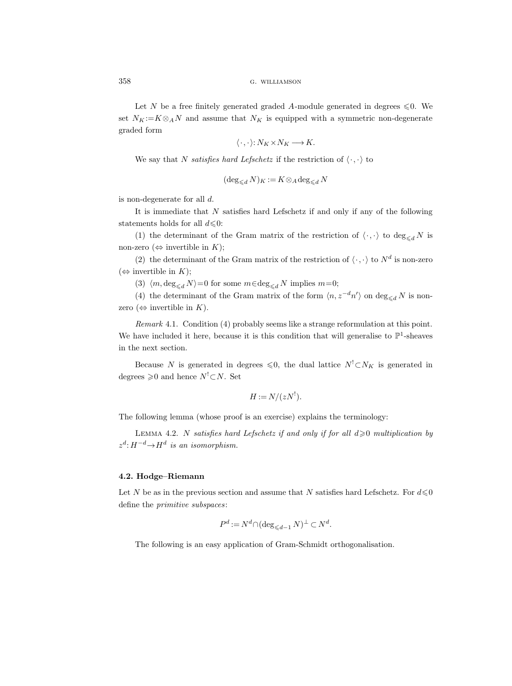Let N be a free finitely generated graded A-module generated in degrees  $\leq 0$ . We set  $N_K = K \otimes_A N$  and assume that  $N_K$  is equipped with a symmetric non-degenerate graded form

$$
\langle\,\cdot\,,\cdot\rangle\colon\! N_K\!\times\! N_K\longrightarrow\! K.
$$

We say that N satisfies hard Lefschetz if the restriction of  $\langle \cdot, \cdot \rangle$  to

$$
(\deg_{\leq d} N)_K := K \otimes_A \deg_{\leq d} N
$$

is non-degenerate for all d.

It is immediate that N satisfies hard Lefschetz if and only if any of the following statements holds for all  $d \leq 0$ :

(1) the determinant of the Gram matrix of the restriction of  $\langle \cdot, \cdot \rangle$  to  $\deg_{\le d} N$  is non-zero ( $\Leftrightarrow$  invertible in K);

(2) the determinant of the Gram matrix of the restriction of  $\langle \cdot, \cdot \rangle$  to  $N^d$  is non-zero  $(\Leftrightarrow$  invertible in K);

(3)  $\langle m, \deg_{\leq d} N \rangle = 0$  for some  $m \in \deg_{\leq d} N$  implies  $m=0$ ;

(4) the determinant of the Gram matrix of the form  $\langle n, z^{-d}n' \rangle$  on  $\deg_{\leq d} N$  is nonzero ( $\Leftrightarrow$  invertible in K).

<span id="page-17-0"></span>Remark 4.1. Condition (4) probably seems like a strange reformulation at this point. We have included it here, because it is this condition that will generalise to  $\mathbb{P}^1$ -sheaves in the next section.

Because N is generated in degrees  $\leq 0$ , the dual lattice  $N^! \subset N_K$  is generated in degrees  $\geq 0$  and hence  $N^! \subset N$ . Set

$$
H := N/(zN^!).
$$

The following lemma (whose proof is an exercise) explains the terminology:

<span id="page-17-2"></span>LEMMA 4.2. N satisfies hard Lefschetz if and only if for all  $d \geq 0$  multiplication by  $z^d$ :  $H^{-d} \rightarrow H^d$  is an isomorphism.

#### <span id="page-17-1"></span>4.2. Hodge–Riemann

Let N be as in the previous section and assume that N satisfies hard Lefschetz. For  $d \leq 0$ define the primitive subspaces:

$$
P^d := N^d \cap (\deg_{\leq d-1} N)^\perp \subset N^d.
$$

The following is an easy application of Gram-Schmidt orthogonalisation.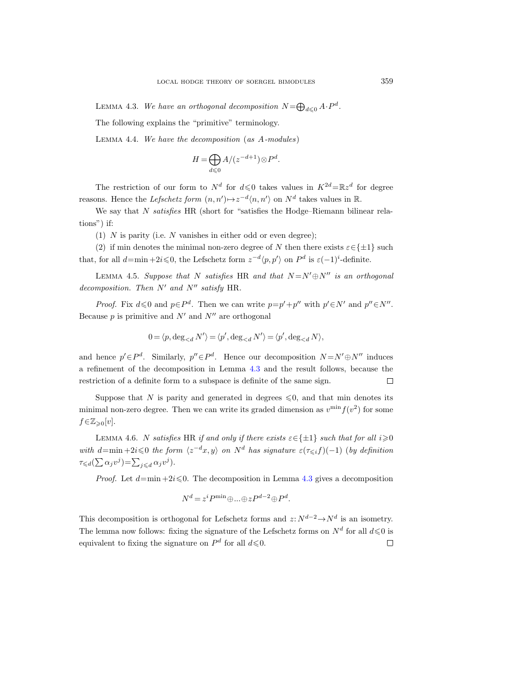<span id="page-18-0"></span>LEMMA 4.3. We have an orthogonal decomposition  $N = \bigoplus_{d \leq 0} A \cdot P^d$ .

The following explains the "primitive" terminology.

Lemma 4.4. We have the decomposition (as A-modules)

$$
H = \bigoplus_{d \leq 0} A/(z^{-d+1}) \otimes P^d.
$$

The restriction of our form to  $N^d$  for  $d \leq 0$  takes values in  $K^{2d} = \mathbb{R}z^d$  for degree reasons. Hence the Lefschetz form  $(n, n') \mapsto z^{-d} \langle n, n' \rangle$  on  $N^d$  takes values in R.

We say that N satisfies HR (short for "satisfies the Hodge–Riemann bilinear relations") if:

(1)  $N$  is parity (i.e.  $N$  vanishes in either odd or even degree);

(2) if min denotes the minimal non-zero degree of N then there exists  $\varepsilon \in \{\pm 1\}$  such that, for all  $d=\min +2i \leqslant 0$ , the Lefschetz form  $z^{-d}\langle p, p' \rangle$  on  $P^d$  is  $\varepsilon(-1)^i$ -definite.

<span id="page-18-2"></span>LEMMA 4.5. Suppose that N satisfies HR and that  $N = N' \oplus N''$  is an orthogonal decomposition. Then  $N'$  and  $N''$  satisfy HR.

*Proof.* Fix  $d \le 0$  and  $p \in P^d$ . Then we can write  $p = p' + p''$  with  $p' \in N'$  and  $p'' \in N''$ . Because  $p$  is primitive and  $N'$  and  $N''$  are orthogonal

$$
0 = \langle p, \deg_{
$$

and hence  $p' \in P^d$ . Similarly,  $p'' \in P^d$ . Hence our decomposition  $N = N' \oplus N''$  induces a refinement of the decomposition in Lemma [4.3](#page-18-0) and the result follows, because the restriction of a definite form to a subspace is definite of the same sign.  $\Box$ 

Suppose that N is parity and generated in degrees  $\leq 0$ , and that min denotes its minimal non-zero degree. Then we can write its graded dimension as  $v^{\min} f(v^2)$  for some  $f \in \mathbb{Z}_{\geqslant 0}[v].$ 

<span id="page-18-1"></span>LEMMA 4.6. N satisfies HR if and only if there exists  $\varepsilon \in \{\pm 1\}$  such that for all  $i \geqslant 0$ with d=min +2i subseteduce  $\langle z^{-d}x, y \rangle$  on  $N^d$  has signature  $\varepsilon(\tau_{\leq i}f)(-1)$  (by definition  $\tau_{\leq d}(\sum \alpha_j v^j) = \sum_{j \leq d} \alpha_j v^j$ .

*Proof.* Let  $d=\min +2i\leq 0$ . The decomposition in Lemma [4.3](#page-18-0) gives a decomposition

$$
N^d = z^i P^{\min} \oplus \dots \oplus z P^{d-2} \oplus P^d.
$$

This decomposition is orthogonal for Lefschetz forms and  $z: N^{d-2} \to N^d$  is an isometry. The lemma now follows: fixing the signature of the Lefschetz forms on  $N^d$  for all  $d \leq 0$  is equivalent to fixing the signature on  $P<sup>d</sup>$  for all  $d \leq 0$ .  $\Box$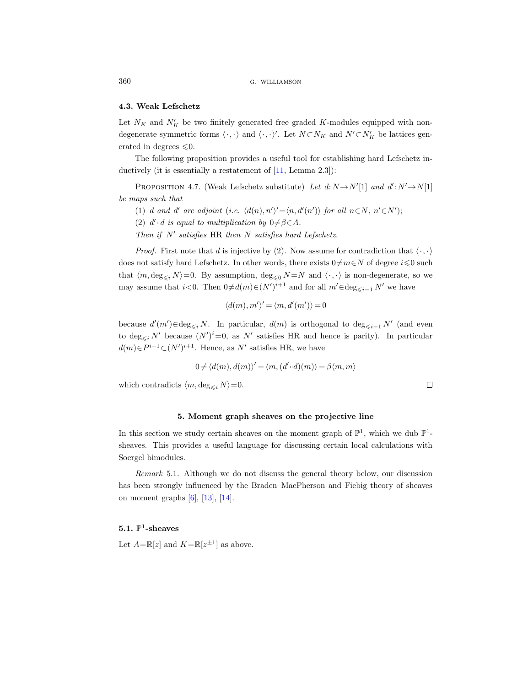# 4.3. Weak Lefschetz

Let  $N_K$  and  $N'_K$  be two finitely generated free graded K-modules equipped with nondegenerate symmetric forms  $\langle \cdot, \cdot \rangle$  and  $\langle \cdot, \cdot \rangle'$ . Let  $N \subset N_K$  and  $N' \subset N'_K$  be lattices generated in degrees  $\leq 0$ .

The following proposition provides a useful tool for establishing hard Lefschetz in-ductively (it is essentially a restatement of [\[11,](#page-62-0) Lemma 2.3]):

<span id="page-19-1"></span>PROPOSITION 4.7. (Weak Lefschetz substitute) Let  $d: N \rightarrow N'[1]$  and  $d': N' \rightarrow N[1]$ be maps such that

- (1) d and d' are adjoint (i.e.  $\langle d(n), n'\rangle' = \langle n, d'(n')\rangle$  for all  $n \in N, n' \in N'$ );
- (2)  $d' \circ d$  is equal to multiplication by  $0 \neq \beta \in A$ .
- Then if  $N'$  satisfies HR then  $N$  satisfies hard Lefschetz.

*Proof.* First note that d is injective by (2). Now assume for contradiction that  $\langle \cdot, \cdot \rangle$ does not satisfy hard Lefschetz. In other words, there exists  $0 \neq m \in N$  of degree  $i \leq 0$  such that  $\langle m, \deg_{\leq i} N \rangle = 0$ . By assumption,  $\deg_{\leq 0} N = N$  and  $\langle \cdot, \cdot \rangle$  is non-degenerate, so we may assume that  $i<0$ . Then  $0 \neq d(m) \in (N')^{i+1}$  and for all  $m' \in \text{deg}_{\leq i-1} N'$  we have

$$
\langle d(m), m'\rangle' = \langle m, d'(m')\rangle = 0
$$

because  $d'(m') \in \deg_{\leq i} N$ . In particular,  $d(m)$  is orthogonal to  $\deg_{\leq i-1} N'$  (and even to  $\deg_{\leq i} N'$  because  $(N')^i=0$ , as N' satisfies HR and hence is parity). In particular  $d(m) \in P^{i+1} \subset (N')^{i+1}$ . Hence, as N' satisfies HR, we have

$$
0 \neq \langle d(m), d(m) \rangle' = \langle m, (d' \circ d)(m) \rangle = \beta \langle m, m \rangle
$$

which contradicts  $\langle m, \deg_{\leq i} N \rangle = 0$ .

# 5. Moment graph sheaves on the projective line

<span id="page-19-0"></span>In this section we study certain sheaves on the moment graph of  $\mathbb{P}^1$ , which we dub  $\mathbb{P}^1$ sheaves. This provides a useful language for discussing certain local calculations with Soergel bimodules.

Remark 5.1. Although we do not discuss the general theory below, our discussion has been strongly influenced by the Braden–MacPherson and Fiebig theory of sheaves on moment graphs [\[6\]](#page-62-18), [\[13\]](#page-62-4), [\[14\]](#page-62-19).

# 5.1.  $\mathbb{P}^1$ -sheaves

Let  $A = \mathbb{R}[z]$  and  $K = \mathbb{R}[z^{\pm 1}]$  as above.

 $\Box$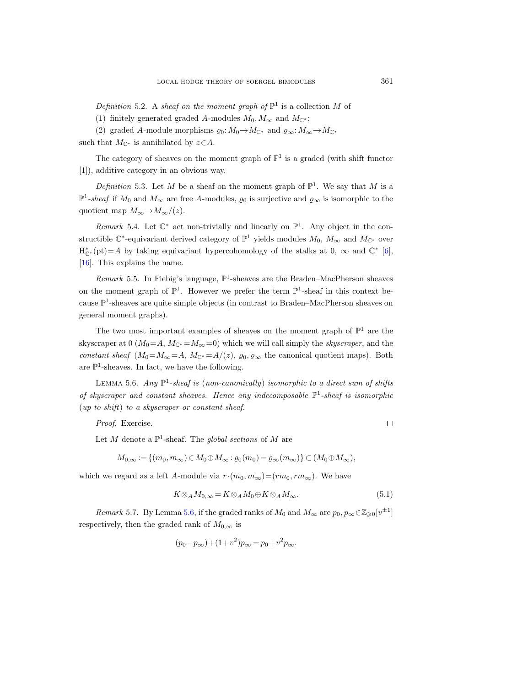Definition 5.2. A sheaf on the moment graph of  $\mathbb{P}^1$  is a collection M of

(1) finitely generated graded A-modules  $M_0, M_\infty$  and  $M_{\mathbb{C}^*}$ ;

(2) graded A-module morphisms  $\varrho_0: M_0 \to M_{\mathbb{C}^*}$  and  $\varrho_\infty: M_\infty \to M_{\mathbb{C}^*}$ such that  $M_{\mathbb{C}^*}$  is annihilated by  $z \in A$ .

The category of sheaves on the moment graph of  $\mathbb{P}^1$  is a graded (with shift functor [1]), additive category in an obvious way.

Definition 5.3. Let M be a sheaf on the moment graph of  $\mathbb{P}^1$ . We say that M is a  $\mathbb{P}^1$ -sheaf if  $M_0$  and  $M_\infty$  are free A-modules,  $\varrho_0$  is surjective and  $\varrho_\infty$  is isomorphic to the quotient map  $M_{\infty} \rightarrow M_{\infty}/(z)$ .

Remark 5.4. Let  $\mathbb{C}^*$  act non-trivially and linearly on  $\mathbb{P}^1$ . Any object in the constructible  $\mathbb{C}^*$ -equivariant derived category of  $\mathbb{P}^1$  yields modules  $M_0$ ,  $M_{\infty}$  and  $M_{\mathbb{C}^*}$  over  $H_{\mathbb{C}^*}^*(pt) = A$  by taking equivariant hypercohomology of the stalks at 0,  $\infty$  and  $\mathbb{C}^*$  [\[6\]](#page-62-18), [\[16\]](#page-62-20). This explains the name.

Remark 5.5. In Fiebig's language,  $\mathbb{P}^1$ -sheaves are the Braden–MacPherson sheaves on the moment graph of  $\mathbb{P}^1$ . However we prefer the term  $\mathbb{P}^1$ -sheaf in this context because P 1 -sheaves are quite simple objects (in contrast to Braden–MacPherson sheaves on general moment graphs).

The two most important examples of sheaves on the moment graph of  $\mathbb{P}^1$  are the skyscraper at 0 ( $M_0 = A$ ,  $M_{\mathbb{C}^*} = M_{\infty} = 0$ ) which we will call simply the *skyscraper*, and the constant sheaf  $(M_0=M_\infty=A, M_{\mathbb{C}^*}=A/(z), \varrho_0, \varrho_\infty$  the canonical quotient maps). Both are  $\mathbb{P}^1$ -sheaves. In fact, we have the following.

<span id="page-20-0"></span>LEMMA 5.6. Any  $\mathbb{P}^1$ -sheaf is (non-canonically) isomorphic to a direct sum of shifts of skyscraper and constant sheaves. Hence any indecomposable  $\mathbb{P}^1$ -sheaf is isomorphic (up to shift) to a skyscraper or constant sheaf.

Proof. Exercise.

Let M denote a  $\mathbb{P}^1$ -sheaf. The global sections of M are

$$
M_{0,\infty} := \{ (m_0, m_\infty) \in M_0 \oplus M_\infty : \varrho_0(m_0) = \varrho_\infty(m_\infty) \} \subset (M_0 \oplus M_\infty),
$$

which we regard as a left A-module via  $r \cdot (m_0, m_\infty) = (rm_0, rm_\infty)$ . We have

<span id="page-20-1"></span>
$$
K \otimes_A M_{0,\infty} = K \otimes_A M_0 \oplus K \otimes_A M_\infty. \tag{5.1}
$$

Remark 5.7. By Lemma [5.6,](#page-20-0) if the graded ranks of  $M_0$  and  $M_\infty$  are  $p_0, p_\infty \in \mathbb{Z}_{\geqslant 0}[v^{\pm 1}]$ respectively, then the graded rank of  $M_{0,\infty}$  is

$$
(p_0 - p_{\infty}) + (1 + v^2)p_{\infty} = p_0 + v^2 p_{\infty}.
$$

 $\Box$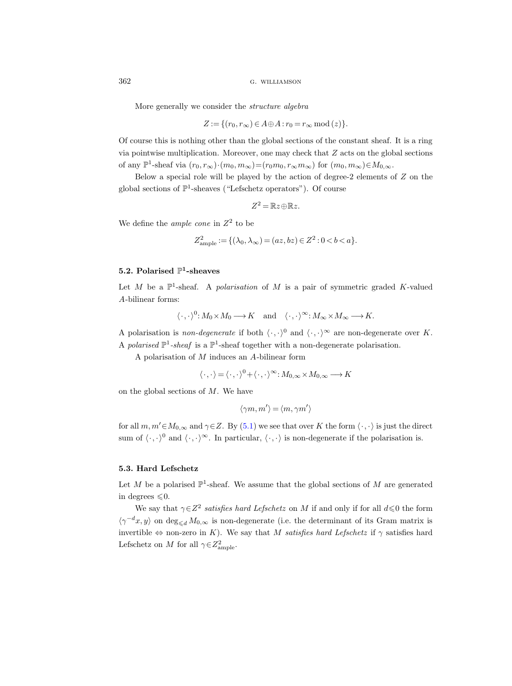More generally we consider the structure algebra

$$
Z := \{ (r_0, r_\infty) \in A \oplus A : r_0 = r_\infty \bmod(z) \}.
$$

Of course this is nothing other than the global sections of the constant sheaf. It is a ring via pointwise multiplication. Moreover, one may check that  $Z$  acts on the global sections of any  $\mathbb{P}^1$ -sheaf via  $(r_0, r_\infty)\cdot(m_0, m_\infty)=(r_0m_0, r_\infty m_\infty)$  for  $(m_0, m_\infty)\in M_{0,\infty}$ .

Below a special role will be played by the action of degree-2 elements of  $Z$  on the global sections of  $\mathbb{P}^1$ -sheaves ("Lefschetz operators"). Of course

$$
Z^2 = \mathbb{R}z \oplus \mathbb{R}z.
$$

We define the *ample cone* in  $Z^2$  to be

$$
Z_{\rm ample}^2 := \{ (\lambda_0, \lambda_{\infty}) = (az, bz) \in Z^2 : 0 < b < a \}.
$$

# <span id="page-21-0"></span>5.2. Polarised  $\mathbb{P}^1$ -sheaves

Let M be a  $\mathbb{P}^1$ -sheaf. A *polarisation* of M is a pair of symmetric graded K-valued A-bilinear forms:

$$
\langle \cdot, \cdot \rangle^0: M_0 \times M_0 \longrightarrow K \text{ and } \langle \cdot, \cdot \rangle^{\infty}: M_{\infty} \times M_{\infty} \longrightarrow K.
$$

A polarisation is *non-degenerate* if both  $\langle \cdot, \cdot \rangle^0$  and  $\langle \cdot, \cdot \rangle^{\infty}$  are non-degenerate over K. A polarised  $\mathbb{P}^1$ -sheaf is a  $\mathbb{P}^1$ -sheaf together with a non-degenerate polarisation.

A polarisation of M induces an A-bilinear form

$$
\langle \cdot, \cdot \rangle = \langle \cdot, \cdot \rangle^0 + \langle \cdot, \cdot \rangle^{\infty} \colon M_{0,\infty} \times M_{0,\infty} \longrightarrow K
$$

on the global sections of  $M$ . We have

$$
\langle \gamma m, m' \rangle = \langle m, \gamma m' \rangle
$$

for all  $m, m' \in M_{0,\infty}$  and  $\gamma \in \mathbb{Z}$ . By [\(5.1\)](#page-20-1) we see that over K the form  $\langle \cdot, \cdot \rangle$  is just the direct sum of  $\langle \cdot, \cdot \rangle^0$  and  $\langle \cdot, \cdot \rangle^{\infty}$ . In particular,  $\langle \cdot, \cdot \rangle$  is non-degenerate if the polarisation is.

### 5.3. Hard Lefschetz

Let M be a polarised  $\mathbb{P}^1$ -sheaf. We assume that the global sections of M are generated in degrees  $\leq 0$ .

We say that  $\gamma \in Z^2$  satisfies hard Lefschetz on M if and only if for all  $d \leq 0$  the form  $\langle \gamma^{-d}x, y \rangle$  on  $\deg_{\leq d} M_{0,\infty}$  is non-degenerate (i.e. the determinant of its Gram matrix is invertible  $\Leftrightarrow$  non-zero in K). We say that M satisfies hard Lefschetz if  $\gamma$  satisfies hard Lefschetz on M for all  $\gamma \in Z^2_{\rm ample}$ .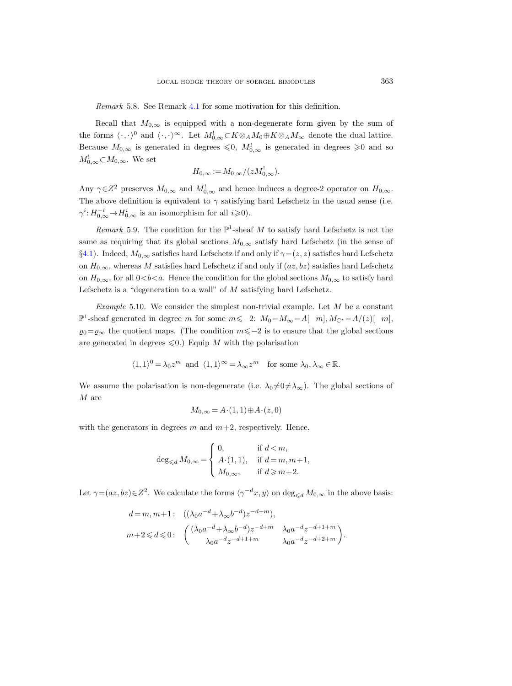Remark 5.8. See Remark [4.1](#page-17-0) for some motivation for this definition.

Recall that  $M_{0,\infty}$  is equipped with a non-degenerate form given by the sum of the forms  $\langle \cdot, \cdot \rangle^0$  and  $\langle \cdot, \cdot \rangle^{\infty}$ . Let  $M^!_{0,\infty} \subset K \otimes_A M_0 \oplus K \otimes_A M_\infty$  denote the dual lattice. Because  $M_{0,\infty}$  is generated in degrees  $\leq 0$ ,  $M_{0,\infty}^!$  is generated in degrees  $\geq 0$  and so  $M^!_{0,\infty} \subset M_{0,\infty}$ . We set

$$
H_{0,\infty} := M_{0,\infty} / (z M_{0,\infty}^!).
$$

Any  $\gamma \in \mathbb{Z}^2$  preserves  $M_{0,\infty}$  and  $M_{0,\infty}^!$  and hence induces a degree-2 operator on  $H_{0,\infty}$ . The above definition is equivalent to  $\gamma$  satisfying hard Lefschetz in the usual sense (i.e.  $\gamma^i: H^{-i}_{0,\infty} \to H^i_{0,\infty}$  is an isomorphism for all  $i \geqslant 0$ ).

<span id="page-22-0"></span>Remark 5.9. The condition for the  $\mathbb{P}^1$ -sheaf M to satisfy hard Lefschetz is not the same as requiring that its global sections  $M_{0,\infty}$  satisfy hard Lefschetz (in the sense of §[4.1\)](#page-16-2). Indeed,  $M_{0,\infty}$  satisfies hard Lefschetz if and only if  $\gamma = (z, z)$  satisfies hard Lefschetz on  $H_{0,\infty}$ , whereas M satisfies hard Lefschetz if and only if  $(az, bz)$  satisfies hard Lefschetz on  $H_{0,\infty}$ , for all  $0 < b < a$ . Hence the condition for the global sections  $M_{0,\infty}$  to satisfy hard Lefschetz is a "degeneration to a wall" of  $M$  satisfying hard Lefschetz.

<span id="page-22-1"></span>Example 5.10. We consider the simplest non-trivial example. Let  $M$  be a constant P<sup>1</sup>-sheaf generated in degree m for some  $m \leq -2$ :  $M_0 = M_\infty = A[-m]$ ,  $M_{\mathbb{C}^*} = A/(z)[-m]$ ,  $\varrho_0 = \varrho_\infty$  the quotient maps. (The condition  $m \leq -2$  is to ensure that the global sections are generated in degrees  $\leq 0$ .) Equip M with the polarisation

$$
\langle 1, 1 \rangle^0 = \lambda_0 z^m
$$
 and  $\langle 1, 1 \rangle^\infty = \lambda_\infty z^m$  for some  $\lambda_0, \lambda_\infty \in \mathbb{R}$ .

We assume the polarisation is non-degenerate (i.e.  $\lambda_0 \neq 0 \neq \lambda_\infty$ ). The global sections of M are

$$
M_{0,\infty} = A \cdot (1,1) \oplus A \cdot (z,0)
$$

with the generators in degrees m and  $m+2$ , respectively. Hence,

$$
\deg_{\leq d} M_{0,\infty} = \begin{cases} 0, & \text{if } d < m, \\ A \cdot (1,1), & \text{if } d = m, m+1, \\ M_{0,\infty}, & \text{if } d \geq m+2. \end{cases}
$$

Let  $\gamma = (az, bz) \in \mathbb{Z}^2$ . We calculate the forms  $\langle \gamma^{-d}x, y \rangle$  on  $\deg_{\leq d} M_{0,\infty}$  in the above basis:

d = m, m+1 : ((λ0a <sup>−</sup><sup>d</sup>+λ∞b −d )z <sup>−</sup>d+<sup>m</sup>), <sup>m</sup>+2 <sup>6</sup> <sup>d</sup> <sup>6</sup> 0 : (λ0a <sup>−</sup><sup>d</sup>+λ∞b −d )z <sup>−</sup>d+<sup>m</sup> λ0a −d z −d+1+m λ0a −d z <sup>−</sup>d+1+<sup>m</sup> λ0a −d z −d+2+m .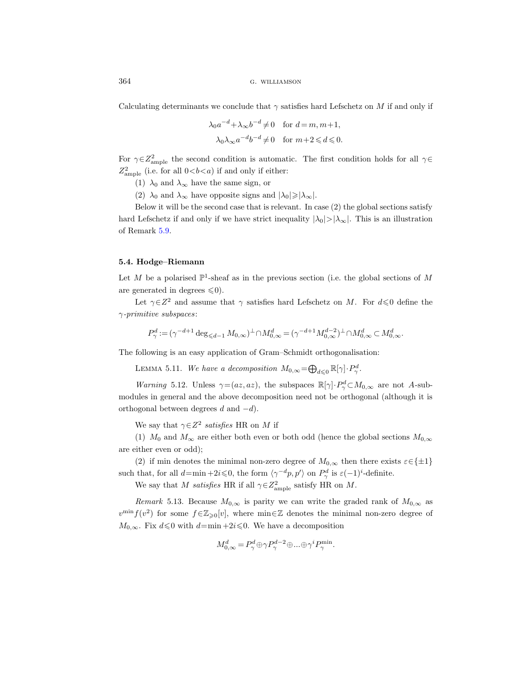Calculating determinants we conclude that  $\gamma$  satisfies hard Lefschetz on M if and only if

$$
\lambda_0 a^{-d} + \lambda_\infty b^{-d} \neq 0 \quad \text{for } d = m, m+1,
$$
  

$$
\lambda_0 \lambda_\infty a^{-d} b^{-d} \neq 0 \quad \text{for } m+2 \leq d \leq 0.
$$

For  $\gamma \in Z^2_{\text{ample}}$  the second condition is automatic. The first condition holds for all  $\gamma \in$  $Z_{\text{ample}}^2$  (i.e. for all  $0 < b < a$ ) if and only if either:

(1)  $\lambda_0$  and  $\lambda_\infty$  have the same sign, or

(2)  $\lambda_0$  and  $\lambda_\infty$  have opposite signs and  $|\lambda_0|\geqslant |\lambda_\infty|$ .

Below it will be the second case that is relevant. In case (2) the global sections satisfy hard Lefschetz if and only if we have strict inequality  $|\lambda_0| > |\lambda_{\infty}|$ . This is an illustration of Remark [5.9.](#page-22-0)

### 5.4. Hodge–Riemann

Let M be a polarised  $\mathbb{P}^1$ -sheaf as in the previous section (i.e. the global sections of M are generated in degrees  $\leq 0$ .

Let  $\gamma \in \mathbb{Z}^2$  and assume that  $\gamma$  satisfies hard Lefschetz on M. For  $d \leq 0$  define the  $\gamma$ -primitive subspaces:

$$
P^d_\gamma := (\gamma^{-d+1} \deg_{\leq d-1} M_{0,\infty})^\perp \cap M_{0,\infty}^d = (\gamma^{-d+1} M_{0,\infty}^{d-2})^\perp \cap M_{0,\infty}^d \subset M_{0,\infty}^d.
$$

The following is an easy application of Gram–Schmidt orthogonalisation:

LEMMA 5.11. We have a decomposition  $M_{0,\infty} = \bigoplus_{d \leq 0} \mathbb{R}[\gamma] \cdot P^d_{\gamma}$ .

Warning 5.12. Unless  $\gamma = (az, az)$ , the subspaces  $\mathbb{R}[\gamma] \cdot P_{\gamma}^d \subset M_{0,\infty}$  are not A-submodules in general and the above decomposition need not be orthogonal (although it is orthogonal between degrees d and  $-d$ ).

We say that  $\gamma \in \mathbb{Z}^2$  satisfies HR on M if

(1)  $M_0$  and  $M_\infty$  are either both even or both odd (hence the global sections  $M_{0,\infty}$ are either even or odd);

(2) if min denotes the minimal non-zero degree of  $M_{0,\infty}$  then there exists  $\varepsilon \in \{\pm 1\}$ such that, for all  $d=\min +2i \leqslant 0$ , the form  $\langle \gamma^{-d}p, p' \rangle$  on  $P^d_{\gamma}$  is  $\varepsilon(-1)^i$ -definite.

We say that M satisfies HR if all  $\gamma \in Z^2_{\text{ample}}$  satisfy HR on M.

<span id="page-23-0"></span>Remark 5.13. Because  $M_{0,\infty}$  is parity we can write the graded rank of  $M_{0,\infty}$  as  $v^{\min} f(v^2)$  for some  $f \in \mathbb{Z}_{\geqslant 0}[v]$ , where  $\min \in \mathbb{Z}$  denotes the minimal non-zero degree of  $M_{0,\infty}$ . Fix  $d \leq 0$  with  $d=\min +2i \leq 0$ . We have a decomposition

$$
M^d_{0,\infty}=P^d_\gamma\oplus \gamma P^{d-2}_\gamma\oplus...\oplus \gamma^iP^{ {\rm min}}_\gamma.
$$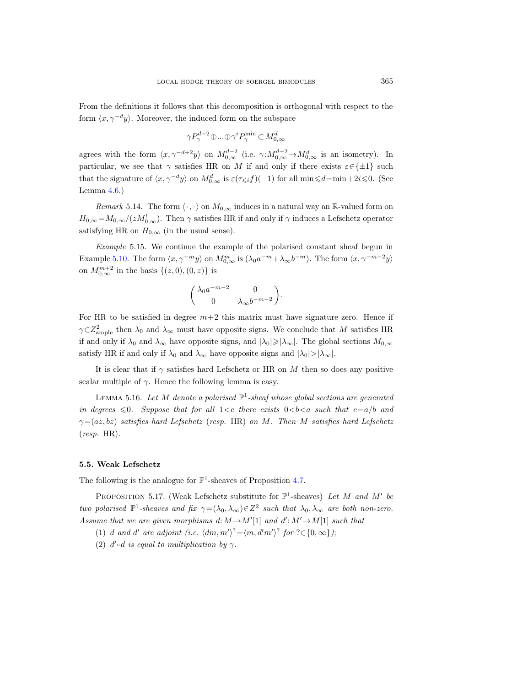From the definitions it follows that this decomposition is orthogonal with respect to the form  $\langle x, \gamma^{-d}y \rangle$ . Moreover, the induced form on the subspace

$$
\gamma P_\gamma^{d-2} \oplus ... \oplus \gamma^i P_\gamma^{\min} \subset M_{0,\infty}^d
$$

agrees with the form  $\langle x, \gamma^{-d+2}y \rangle$  on  $M_{0,\infty}^{d-2}$  (i.e.  $\gamma: M_{0,\infty}^{d-2} \to M_{0,\infty}^d$  is an isometry). In particular, we see that  $\gamma$  satisfies HR on M if and only if there exists  $\varepsilon \in \{\pm 1\}$  such that the signature of  $\langle x, \gamma^{-d}y \rangle$  on  $M_{0,\infty}^d$  is  $\varepsilon(\tau_{\leq i}f)(-1)$  for all  $\min \leq d=\min +2i \leq 0$ . (See Lemma [4.6.](#page-18-1))

Remark 5.14. The form  $\langle \cdot, \cdot \rangle$  on  $M_{0,\infty}$  induces in a natural way an R-valued form on  $H_{0,\infty} = M_{0,\infty}/(zM_{0,\infty}^!)$ . Then  $\gamma$  satisfies HR if and only if  $\gamma$  induces a Lefschetz operator satisfying HR on  $H_{0,\infty}$  (in the usual sense).

<span id="page-24-0"></span>Example 5.15. We continue the example of the polarised constant sheaf begun in Example [5.10.](#page-22-1) The form  $\langle x, \gamma^{-m}y \rangle$  on  $M_{0,\infty}^m$  is  $(\lambda_0 a^{-m} + \lambda_\infty b^{-m})$ . The form  $\langle x, \gamma^{-m-2}y \rangle$ on  $M_{0,\infty}^{m+2}$  in the basis  $\{(z,0),(0,z)\}\)$ 

$$
\begin{pmatrix} \lambda_0 a^{-m-2} & 0 \\ 0 & \lambda_\infty b^{-m-2} \end{pmatrix}\!.
$$

For HR to be satisfied in degree  $m+2$  this matrix must have signature zero. Hence if  $\gamma \in Z^2_{\rm ample}$  then  $\lambda_0$  and  $\lambda_\infty$  must have opposite signs. We conclude that M satisfies HR if and only if  $\lambda_0$  and  $\lambda_\infty$  have opposite signs, and  $|\lambda_0|\geqslant |\lambda_\infty|$ . The global sections  $M_{0,\infty}$ satisfy HR if and only if  $\lambda_0$  and  $\lambda_\infty$  have opposite signs and  $|\lambda_0| > |\lambda_\infty|$ .

It is clear that if  $\gamma$  satisfies hard Lefschetz or HR on M then so does any positive scalar multiple of  $\gamma$ . Hence the following lemma is easy.

<span id="page-24-2"></span>LEMMA 5.16. Let M denote a polarised  $\mathbb{P}^1$ -sheaf whose global sections are generated in degrees  $\leq 0$ . Suppose that for all 1  $\lt c$  there exists  $0 \lt b \lt a$  such that  $c = a/b$  and  $\gamma = (az, bz)$  satisfies hard Lefschetz (resp. HR) on M. Then M satisfies hard Lefschetz  $(resp. HR).$ 

#### 5.5. Weak Lefschetz

The following is the analogue for  $\mathbb{P}^1$ -sheaves of Proposition [4.7.](#page-19-1)

<span id="page-24-1"></span>PROPOSITION 5.17. (Weak Lefschetz substitute for  $\mathbb{P}^1$ -sheaves) Let M and M' be two polarised  $\mathbb{P}^1$ -sheaves and fix  $\gamma = (\lambda_0, \lambda_\infty) \in \mathbb{Z}^2$  such that  $\lambda_0, \lambda_\infty$  are both non-zero. Assume that we are given morphisms  $d: M \to M'[1]$  and  $d': M' \to M[1]$  such that

- (1) d and d' are adjoint (i.e.  $\langle dm, m'\rangle^2 = \langle m, d'm'\rangle^2$  for  $? \in \{0, \infty\}$ );
- (2)  $d' \circ d$  is equal to multiplication by  $\gamma$ .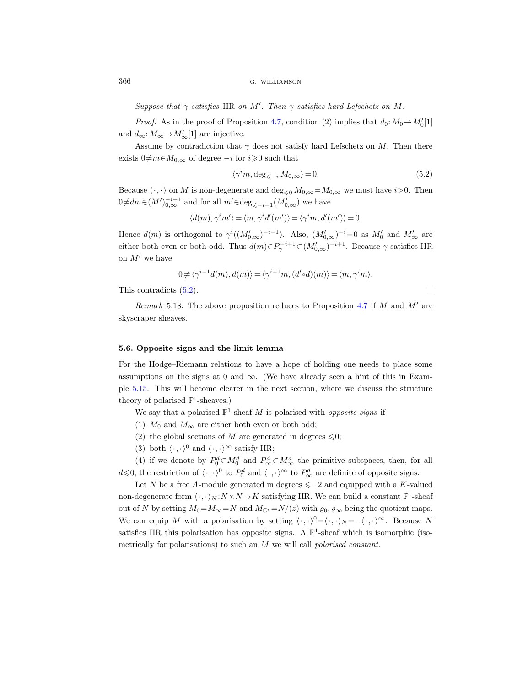Suppose that  $\gamma$  satisfies HR on M'. Then  $\gamma$  satisfies hard Lefschetz on M.

*Proof.* As in the proof of Proposition [4.7,](#page-19-1) condition (2) implies that  $d_0: M_0 \to M'_0[1]$ and  $d_{\infty}: M_{\infty} \to M'_{\infty}[1]$  are injective.

Assume by contradiction that  $\gamma$  does not satisfy hard Lefschetz on M. Then there exists  $0 \neq m \in M_{0,\infty}$  of degree  $-i$  for  $i \geq 0$  such that

<span id="page-25-0"></span>
$$
\langle \gamma^i m, \deg_{\leq -i} M_{0,\infty} \rangle = 0. \tag{5.2}
$$

 $\Box$ 

Because  $\langle \cdot, \cdot \rangle$  on M is non-degenerate and deg<sub><0</sub>  $M_{0,\infty} = M_{0,\infty}$  we must have *i*>0. Then  $0 \neq dm \in (M')_{0,\infty}^{-i+1}$  and for all  $m' \in \text{deg}_{\leq -i-1}(M'_{0,\infty})$  we have

$$
\langle d(m), \gamma^i m' \rangle = \langle m, \gamma^i d'(m') \rangle = \langle \gamma^i m, d'(m') \rangle = 0.
$$

Hence  $d(m)$  is orthogonal to  $\gamma^{i}((M'_{0,\infty})^{-i-1})$ . Also,  $(M'_{0,\infty})^{-i}=0$  as  $M'_{0}$  and  $M'_{\infty}$  are either both even or both odd. Thus  $d(m) \in P_\gamma^{-i+1} \subset (M'_{0,\infty})^{-i+1}$ . Because  $\gamma$  satisfies HR on  $M'$  we have

$$
0 \neq \langle \gamma^{i-1}d(m), d(m) \rangle = \langle \gamma^{i-1}m, (d' \circ d)(m) \rangle = \langle m, \gamma^i m \rangle.
$$

This contradicts [\(5.2\)](#page-25-0).

Remark 5.18. The above proposition reduces to Proposition [4.7](#page-19-1) if M and M' are skyscraper sheaves.

#### <span id="page-25-1"></span>5.6. Opposite signs and the limit lemma

For the Hodge–Riemann relations to have a hope of holding one needs to place some assumptions on the signs at 0 and  $\infty$ . (We have already seen a hint of this in Example [5.15.](#page-24-0) This will become clearer in the next section, where we discuss the structure theory of polarised  $\mathbb{P}^1$ -sheaves.)

We say that a polarised  $\mathbb{P}^1$ -sheaf M is polarised with *opposite signs* if

- (1)  $M_0$  and  $M_\infty$  are either both even or both odd;
- (2) the global sections of M are generated in degrees  $\leq 0$ ;
- (3) both  $\langle \cdot, \cdot \rangle^0$  and  $\langle \cdot, \cdot \rangle^{\infty}$  satisfy HR;

(4) if we denote by  $P_0^d \subset M_0^d$  and  $P_\infty^d \subset M_\infty^d$  the primitive subspaces, then, for all  $d \leq 0$ , the restriction of  $\langle \cdot, \cdot \rangle^0$  to  $P_0^d$  and  $\langle \cdot, \cdot \rangle^{\infty}$  to  $P_{\infty}^d$  are definite of opposite signs.

Let N be a free A-module generated in degrees  $\leq -2$  and equipped with a K-valued non-degenerate form  $\langle \cdot, \cdot \rangle_N : N \times N \to K$  satisfying HR. We can build a constant  $\mathbb{P}^1$ -sheaf out of N by setting  $M_0=M_\infty=N$  and  $M_{\mathbb{C}^*}=N/(z)$  with  $\varrho_0, \varrho_\infty$  being the quotient maps. We can equip M with a polarisation by setting  $\langle \cdot, \cdot \rangle^0 = \langle \cdot, \cdot \rangle_N = -\langle \cdot, \cdot \rangle^\infty$ . Because N satisfies HR this polarisation has opposite signs. A  $\mathbb{P}^1$ -sheaf which is isomorphic (isometrically for polarisations) to such an M we will call polarised constant.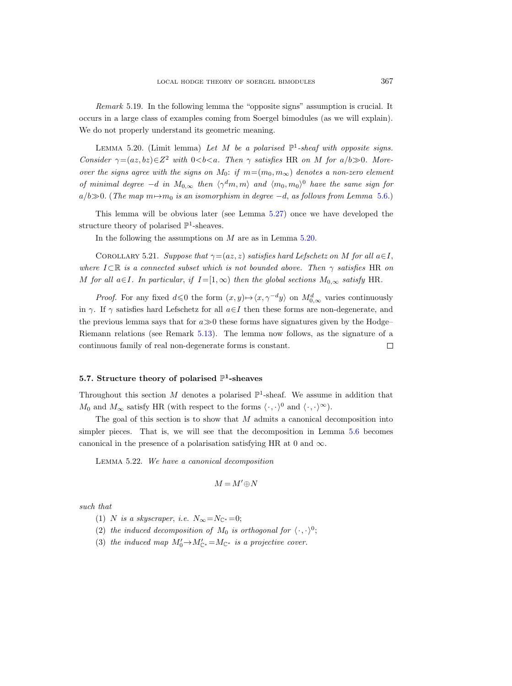Remark 5.19. In the following lemma the "opposite signs" assumption is crucial. It occurs in a large class of examples coming from Soergel bimodules (as we will explain). We do not properly understand its geometric meaning.

<span id="page-26-0"></span>LEMMA 5.20. (Limit lemma) Let M be a polarised  $\mathbb{P}^1$ -sheaf with opposite signs. Consider  $\gamma = (az, bz) \in \mathbb{Z}^2$  with  $0 < b < a$ . Then  $\gamma$  satisfies HR on M for  $a/b \gg 0$ . Moreover the signs agree with the signs on  $M_0$ : if  $m=(m_0, m_\infty)$  denotes a non-zero element of minimal degree  $-d$  in  $M_{0,\infty}$  then  $\langle \gamma^d m, m \rangle$  and  $\langle m_0, m_0 \rangle^0$  have the same sign for  $a/b\gg0$ . (The map  $m\rightarrow m_0$  is an isomorphism in degree  $-d$ , as follows from Lemma [5.6.](#page-20-0))

This lemma will be obvious later (see Lemma [5.27\)](#page-29-1) once we have developed the structure theory of polarised  $\mathbb{P}^1$ -sheaves.

In the following the assumptions on  $M$  are as in Lemma [5.20.](#page-26-0)

<span id="page-26-2"></span>COROLLARY 5.21. Suppose that  $\gamma = (az, z)$  satisfies hard Lefschetz on M for all  $a \in I$ . where  $I\subset\mathbb{R}$  is a connected subset which is not bounded above. Then  $\gamma$  satisfies HR on M for all a∈I. In particular, if  $I=[1,\infty)$  then the global sections  $M_{0,\infty}$  satisfy HR.

*Proof.* For any fixed  $d \le 0$  the form  $(x, y) \mapsto \langle x, \gamma^{-d}y \rangle$  on  $M_{0,\infty}^d$  varies continuously in  $\gamma$ . If  $\gamma$  satisfies hard Lefschetz for all  $a \in I$  then these forms are non-degenerate, and the previous lemma says that for  $a\gg 0$  these forms have signatures given by the Hodge– Riemann relations (see Remark [5.13\)](#page-23-0). The lemma now follows, as the signature of a continuous family of real non-degenerate forms is constant.  $\Box$ 

# 5.7. Structure theory of polarised  $\mathbb{P}^1$ -sheaves

Throughout this section M denotes a polarised  $\mathbb{P}^1$ -sheaf. We assume in addition that  $M_0$  and  $M_\infty$  satisfy HR (with respect to the forms  $\langle \cdot, \cdot \rangle^0$  and  $\langle \cdot, \cdot \rangle^\infty$ ).

The goal of this section is to show that  $M$  admits a canonical decomposition into simpler pieces. That is, we will see that the decomposition in Lemma [5.6](#page-20-0) becomes canonical in the presence of a polarisation satisfying HR at 0 and  $\infty$ .

<span id="page-26-1"></span>Lemma 5.22. We have a canonical decomposition

$$
M=M'\!\oplus\!N
$$

such that

(1) N is a skyscraper, i.e.  $N_{\infty} = N_{\mathbb{C}^*} = 0;$ 

- (2) the induced decomposition of  $M_0$  is orthogonal for  $\langle \cdot, \cdot \rangle^0$ ;
- (3) the induced map  $M'_0 \rightarrow M'_{\mathbb{C}^*} = M_{\mathbb{C}^*}$  is a projective cover.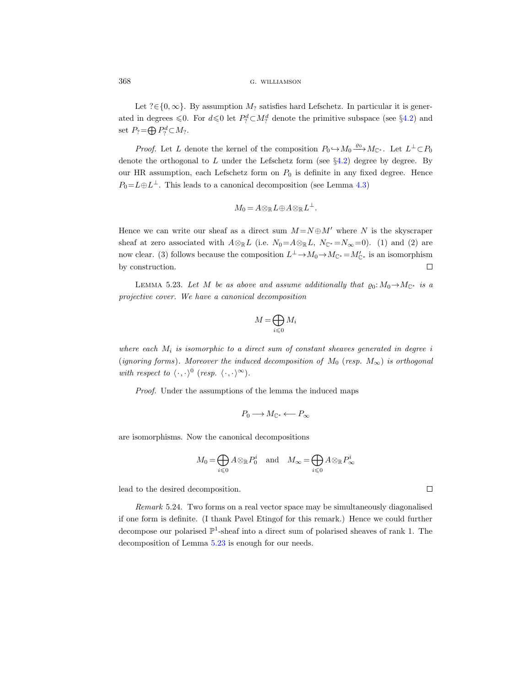Let ?∈{0,  $\infty$ }. By assumption  $M_?$  satisfies hard Lefschetz. In particular it is generated in degrees  $\leq 0$ . For  $d \leq 0$  let  $P_?^d \subset M_?^d$  denote the primitive subspace (see §[4.2\)](#page-17-1) and set  $P_? = \bigoplus P_?^d \subset M_?$ .

*Proof.* Let L denote the kernel of the composition  $P_0 \hookrightarrow M_0 \xrightarrow{\varrho_0} M_{\mathbb{C}^*}$ . Let  $L^{\perp} \subset P_0$ denote the orthogonal to  $L$  under the Lefschetz form (see  $\S4.2$ ) degree by degree. By our HR assumption, each Lefschetz form on  $P_0$  is definite in any fixed degree. Hence  $P_0 = L \oplus L^{\perp}$ . This leads to a canonical decomposition (see Lemma [4.3\)](#page-18-0)

$$
M_0 = A \otimes_{\mathbb{R}} L \oplus A \otimes_{\mathbb{R}} L^{\perp}.
$$

Hence we can write our sheaf as a direct sum  $M = N \oplus M'$  where N is the skyscraper sheaf at zero associated with  $A\otimes_{\mathbb{R}} L$  (i.e.  $N_0=A\otimes_{\mathbb{R}} L$ ,  $N_{\mathbb{C}^*}=N_{\infty}=0$ ). (1) and (2) are now clear. (3) follows because the composition  $L^{\perp} \to M_0 \to M_{\mathbb{C}^*} = M'_{\mathbb{C}^*}$  is an isomorphism  $\Box$ by construction.

<span id="page-27-0"></span>LEMMA 5.23. Let M be as above and assume additionally that  $\varrho_0: M_0 \to M_{\mathbb{C}^*}$  is a projective cover. We have a canonical decomposition

$$
M=\bigoplus_{i\leqslant 0}M_i
$$

where each  $M_i$  is isomorphic to a direct sum of constant sheaves generated in degree i (ignoring forms). Moreover the induced decomposition of  $M_0$  (resp.  $M_{\infty}$ ) is orthogonal with respect to  $\langle \cdot, \cdot \rangle^0$  (resp.  $\langle \cdot, \cdot \rangle^{\infty}$ ).

Proof. Under the assumptions of the lemma the induced maps

$$
P_0 {\:\longrightarrow\:} M_{{\mathbb C}^*} {\:\longleftarrow\:} P_\infty
$$

are isomorphisms. Now the canonical decompositions

$$
M_0 = \bigoplus_{i \leqslant 0} A \otimes_{\mathbb{R}} P_0^i \quad \text{and} \quad M_\infty = \bigoplus_{i \leqslant 0} A \otimes_{\mathbb{R}} P_\infty^i
$$

lead to the desired decomposition.

Remark 5.24. Two forms on a real vector space may be simultaneously diagonalised if one form is definite. (I thank Pavel Etingof for this remark.) Hence we could further decompose our polarised  $\mathbb{P}^1$ -sheaf into a direct sum of polarised sheaves of rank 1. The decomposition of Lemma [5.23](#page-27-0) is enough for our needs.

 $\Box$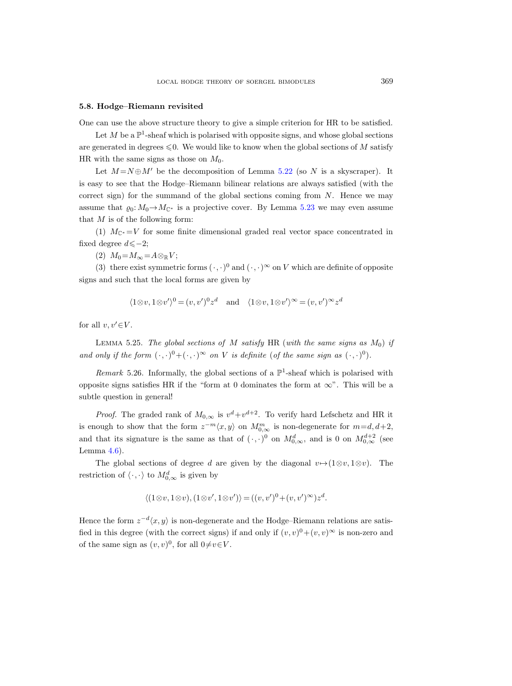# 5.8. Hodge–Riemann revisited

One can use the above structure theory to give a simple criterion for HR to be satisfied.

Let  $M$  be a  $\mathbb{P}^1$ -sheaf which is polarised with opposite signs, and whose global sections are generated in degrees  $\leq 0$ . We would like to know when the global sections of M satisfy HR with the same signs as those on  $M_0$ .

Let  $M = N \oplus M'$  be the decomposition of Lemma [5.22](#page-26-1) (so N is a skyscraper). It is easy to see that the Hodge–Riemann bilinear relations are always satisfied (with the correct sign) for the summand of the global sections coming from  $N$ . Hence we may assume that  $\varrho_0: M_0 \to M_{\mathbb{C}^*}$  is a projective cover. By Lemma [5.23](#page-27-0) we may even assume that  $M$  is of the following form:

(1)  $M_{\mathbb{C}^*} = V$  for some finite dimensional graded real vector space concentrated in fixed degree  $d\leqslant-2$ ;

(2)  $M_0=M_\infty=A\otimes_\mathbb{R} V;$ 

(3) there exist symmetric forms  $(\cdot, \cdot)^0$  and  $(\cdot, \cdot)^\infty$  on V which are definite of opposite signs and such that the local forms are given by

$$
\langle 1 \otimes v, 1 \otimes v' \rangle^{0} = (v, v')^{0} z^{d} \quad \text{and} \quad \langle 1 \otimes v, 1 \otimes v' \rangle^{\infty} = (v, v')^{\infty} z^{d}
$$

for all  $v, v' \in V$ .

<span id="page-28-0"></span>LEMMA 5.25. The global sections of M satisfy HR (with the same signs as  $M_0$ ) if and only if the form  $(\cdot, \cdot)^0 + (\cdot, \cdot)^\infty$  on V is definite (of the same sign as  $(\cdot, \cdot)^0$ ).

Remark 5.26. Informally, the global sections of a  $\mathbb{P}^1$ -sheaf which is polarised with opposite signs satisfies HR if the "form at 0 dominates the form at  $\infty$ ". This will be a subtle question in general!

*Proof.* The graded rank of  $M_{0,\infty}$  is  $v^d + v^{d+2}$ . To verify hard Lefschetz and HR it is enough to show that the form  $z^{-m}\langle x, y \rangle$  on  $M_{0,\infty}^m$  is non-degenerate for  $m=d, d+2$ , and that its signature is the same as that of  $(\cdot, \cdot)^0$  on  $M_{0,\infty}^d$ , and is 0 on  $M_{0,\infty}^{d+2}$  (see Lemma  $4.6$ ).

The global sections of degree d are given by the diagonal  $v \mapsto (1\otimes v, 1\otimes v)$ . The restriction of  $\langle \cdot, \cdot \rangle$  to  $M_{0,\infty}^d$  is given by

$$
\langle (1 \otimes v, 1 \otimes v), (1 \otimes v', 1 \otimes v') \rangle = ((v, v')^0 + (v, v')^{\infty}) z^d.
$$

Hence the form  $z^{-d}\langle x, y \rangle$  is non-degenerate and the Hodge–Riemann relations are satisfied in this degree (with the correct signs) if and only if  $(v, v)^0 + (v, v)^\infty$  is non-zero and of the same sign as  $(v, v)^0$ , for all  $0 \neq v \in V$ .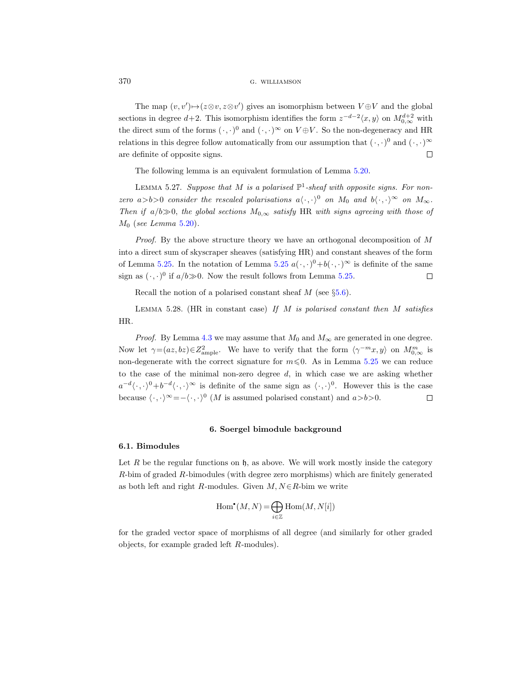The map  $(v, v') \mapsto (z \otimes v, z \otimes v')$  gives an isomorphism between  $V \oplus V$  and the global sections in degree  $d+2$ . This isomorphism identifies the form  $z^{-d-2}\langle x,y\rangle$  on  $M_{0,\infty}^{d+2}$  with the direct sum of the forms  $(\cdot, \cdot)^0$  and  $(\cdot, \cdot)^\infty$  on  $V \oplus V$ . So the non-degeneracy and HR relations in this degree follow automatically from our assumption that  $(\cdot, \cdot)^0$  and  $(\cdot, \cdot)^\infty$ are definite of opposite signs.  $\Box$ 

The following lemma is an equivalent formulation of Lemma [5.20.](#page-26-0)

<span id="page-29-1"></span>LEMMA 5.27. Suppose that M is a polarised  $\mathbb{P}^1$ -sheaf with opposite signs. For nonzero a>b>0 consider the rescaled polarisations  $a\langle \cdot, \cdot \rangle^0$  on  $M_0$  and  $b\langle \cdot, \cdot \rangle^{\infty}$  on  $M_{\infty}$ . Then if  $a/b\gg0$ , the global sections  $M_{0,\infty}$  satisfy HR with signs agreeing with those of  $M_0$  (see Lemma [5.20\)](#page-26-0).

*Proof.* By the above structure theory we have an orthogonal decomposition of  $M$ into a direct sum of skyscraper sheaves (satisfying HR) and constant sheaves of the form of Lemma [5.25.](#page-28-0) In the notation of Lemma [5.25](#page-28-0)  $a(\cdot,\cdot)^0+b(\cdot,\cdot)^\infty$  is definite of the same sign as  $(\cdot, \cdot)^0$  if  $a/b \gg 0$ . Now the result follows from Lemma [5.25.](#page-28-0)  $\Box$ 

Recall the notion of a polarised constant sheaf  $M$  (see §[5.6\)](#page-25-1).

<span id="page-29-2"></span>LEMMA 5.28. (HR in constant case) If  $M$  is polarised constant then  $M$  satisfies HR.

*Proof.* By Lemma [4.3](#page-18-0) we may assume that  $M_0$  and  $M_\infty$  are generated in one degree. Now let  $\gamma = (az, bz) \in Z^2_{\text{ample}}$ . We have to verify that the form  $\langle \gamma^{-m}x, y \rangle$  on  $M^m_{0,\infty}$  is non-degenerate with the correct signature for  $m\leqslant 0$ . As in Lemma [5.25](#page-28-0) we can reduce to the case of the minimal non-zero degree  $d$ , in which case we are asking whether  $a^{-d}\langle \cdot,\cdot \rangle^0+b^{-d}\langle \cdot,\cdot \rangle^{\infty}$  is definite of the same sign as  $\langle \cdot,\cdot \rangle^0$ . However this is the case because  $\langle \cdot, \cdot \rangle^{\infty} = -\langle \cdot, \cdot \rangle^{0}$  (*M* is assumed polarised constant) and  $a > b > 0$ .  $\Box$ 

#### 6. Soergel bimodule background

#### <span id="page-29-0"></span>6.1. Bimodules

Let  $R$  be the regular functions on  $\mathfrak{h}$ , as above. We will work mostly inside the category R-bim of graded R-bimodules (with degree zero morphisms) which are finitely generated as both left and right R-modules. Given  $M, N \in R$ -bim we write

$$
\operatorname{Hom}^{\scriptscriptstyle\bullet}(M,N)=\bigoplus_{i\in\mathbb{Z}}\operatorname{Hom}(M,N[i])
$$

for the graded vector space of morphisms of all degree (and similarly for other graded objects, for example graded left R-modules).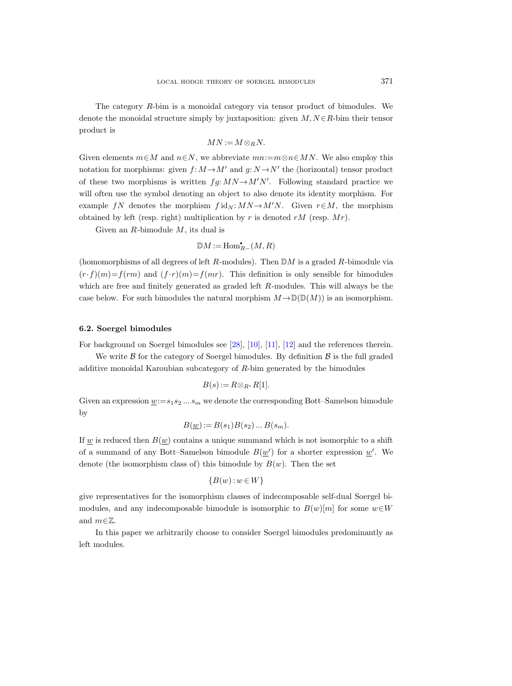The category R-bim is a monoidal category via tensor product of bimodules. We denote the monoidal structure simply by juxtaposition: given  $M, N \in \mathbb{R}$ -bim their tensor product is

$$
MN := M \otimes_R N.
$$

Given elements  $m \in M$  and  $n \in N$ , we abbreviate  $mn := m \otimes n \in MN$ . We also employ this notation for morphisms: given  $f: M \to M'$  and  $g: N \to N'$  the (horizontal) tensor product of these two morphisms is written  $fg: MN \rightarrow M'N'$ . Following standard practice we will often use the symbol denoting an object to also denote its identity morphism. For example fN denotes the morphism  $f \text{id}_N: MN \to M'N$ . Given  $r \in M$ , the morphism obtained by left (resp. right) multiplication by r is denoted rM (resp.  $Mr$ ).

Given an  $R$ -bimodule  $M$ , its dual is

$$
\mathbb{D}M\mathop{{:}{=}} \mathrm{Hom}^{\scriptscriptstyle\bullet}_{R-}(M,R)
$$

(homomorphisms of all degrees of left R-modules). Then  $\mathbb{D}M$  is a graded R-bimodule via  $(r \cdot f)(m) = f(rm)$  and  $(f \cdot r)(m) = f(mr)$ . This definition is only sensible for bimodules which are free and finitely generated as graded left R-modules. This will always be the case below. For such bimodules the natural morphism  $M \to \mathbb{D}(\mathbb{D}(M))$  is an isomorphism.

# <span id="page-30-0"></span>6.2. Soergel bimodules

For background on Soergel bimodules see [\[28\]](#page-62-3), [\[10\]](#page-62-21), [\[11\]](#page-62-0), [\[12\]](#page-62-22) and the references therein.

We write  $\beta$  for the category of Soergel bimodules. By definition  $\beta$  is the full graded additive monoidal Karoubian subcategory of R-bim generated by the bimodules

$$
B(s) := R \otimes_{R^s} R[1].
$$

Given an expression  $\underline{w}:=s_1s_2...s_m$  we denote the corresponding Bott–Samelson bimodule by

$$
B(\underline{w}) := B(s_1)B(s_2)\dots B(s_m).
$$

If  $\underline{w}$  is reduced then  $B(\underline{w})$  contains a unique summand which is not isomorphic to a shift of a summand of any Bott–Samelson bimodule  $B(\underline{w}')$  for a shorter expression  $\underline{w}'$ . We denote (the isomorphism class of) this bimodule by  $B(w)$ . Then the set

$$
\{B(w):w\in W\}
$$

give representatives for the isomorphism classes of indecomposable self-dual Soergel bimodules, and any indecomposable bimodule is isomorphic to  $B(w)[m]$  for some  $w \in W$ and  $m \in \mathbb{Z}$ .

In this paper we arbitrarily choose to consider Soergel bimodules predominantly as left modules.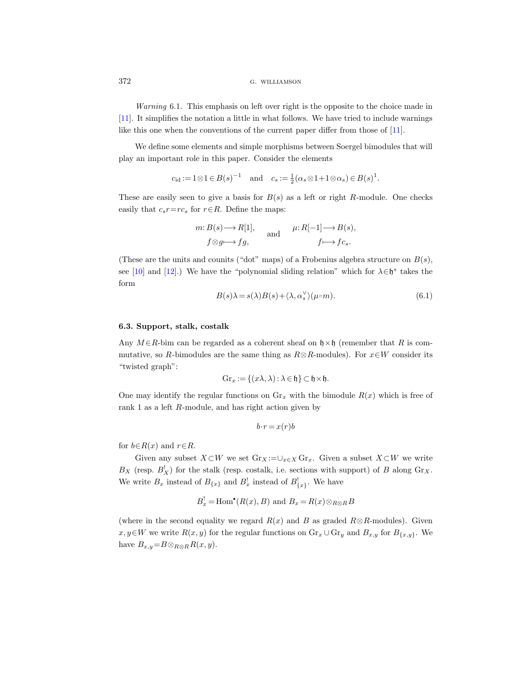Warning 6.1. This emphasis on left over right is the opposite to the choice made in [\[11\]](#page-62-0). It simplifies the notation a little in what follows. We have tried to include warnings like this one when the conventions of the current paper differ from those of [\[11\]](#page-62-0).

We define some elements and simple morphisms between Soergel bimodules that will play an important role in this paper. Consider the elements

$$
c_{\text{id}} := 1 \otimes 1 \in B(s)^{-1}
$$
 and  $c_s := \frac{1}{2}(\alpha_s \otimes 1 + 1 \otimes \alpha_s) \in B(s)^1$ .

These are easily seen to give a basis for  $B(s)$  as a left or right R-module. One checks easily that  $c_s r = rc_s$  for  $r \in R$ . Define the maps:

$$
m: B(s) \longrightarrow R[1], \qquad \text{and} \qquad \mu: R[-1] \longrightarrow B(s),
$$

$$
f \otimes g \longmapsto fg, \qquad \qquad f \longmapsto f c_s.
$$

(These are the units and counits ("dot" maps) of a Frobenius algebra structure on  $B(s)$ , see [\[10\]](#page-62-21) and [\[12\]](#page-62-22).) We have the "polynomial sliding relation" which for  $\lambda \in \mathfrak{h}^*$  takes the form

<span id="page-31-0"></span>
$$
B(s)\lambda = s(\lambda)B(s) + \langle \lambda, \alpha_s^{\vee} \rangle (\mu \circ m). \tag{6.1}
$$

# <span id="page-31-1"></span>6.3. Support, stalk, costalk

Any  $M \in \mathbb{R}$ -bim can be regarded as a coherent sheaf on  $\mathfrak{h} \times \mathfrak{h}$  (remember that R is commutative, so R-bimodules are the same thing as  $R \otimes R$ -modules). For  $x \in W$  consider its "twisted graph":

$$
\mathrm{Gr}_x := \{(x\lambda,\lambda) : \lambda \in \mathfrak{h}\} \subset \mathfrak{h} \times \mathfrak{h}.
$$

One may identify the regular functions on  $\text{Gr}_x$  with the bimodule  $R(x)$  which is free of rank 1 as a left R-module, and has right action given by

$$
b \cdot r = x(r)b
$$

for  $b \in R(x)$  and  $r \in R$ .

Given any subset  $X\subset W$  we set  $\mathrm{Gr}_X\!:=\!\cup_{x\in X}\mathrm{Gr}_x$ . Given a subset  $X\subset W$  we write  $B_X$  (resp.  $B_X^!$ ) for the stalk (resp. costalk, i.e. sections with support) of B along  $\text{Gr}_X$ . We write  $B_x$  instead of  $B_{\{x\}}$  and  $B_x^!$  instead of  $B_{\{x\}}^!$ . We have

$$
B_x^!
$$
 = Hom<sup>\*</sup> $(R(x), B)$  and  $B_x = R(x) \otimes_{R \otimes R} B$ 

(where in the second equality we regard  $R(x)$  and B as graded  $R\otimes R$ -modules). Given  $x, y \in W$  we write  $R(x, y)$  for the regular functions on  $\text{Gr}_x \cup \text{Gr}_y$  and  $B_{x,y}$  for  $B_{\{x,y\}}$ . We have  $B_{x,y}=B\otimes_{R\otimes R} R(x,y)$ .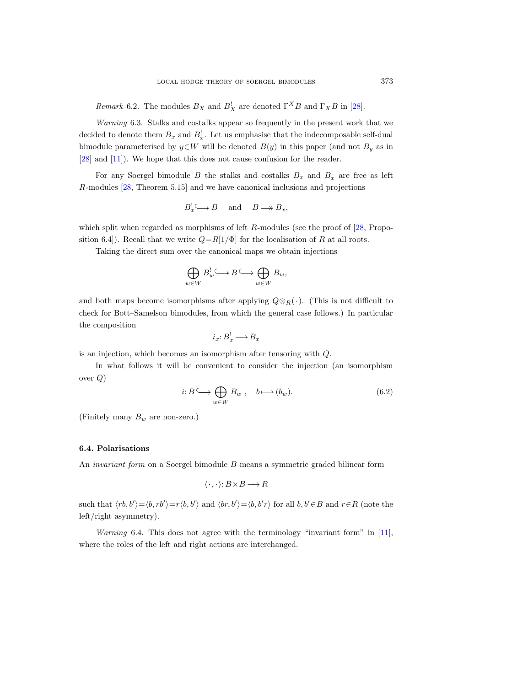*Remark* 6.2. The modules  $B_X$  and  $B_X^!$  are denoted  $\Gamma^X B$  and  $\Gamma_X B$  in [\[28\]](#page-62-3).

Warning 6.3. Stalks and costalks appear so frequently in the present work that we decided to denote them  $B_x$  and  $B_x^!$ . Let us emphasise that the indecomposable self-dual bimodule parameterised by  $y \in W$  will be denoted  $B(y)$  in this paper (and not  $B_y$  as in [\[28\]](#page-62-3) and [\[11\]](#page-62-0)). We hope that this does not cause confusion for the reader.

For any Soergel bimodule B the stalks and costalks  $B_x$  and  $B_x^{\dagger}$  are free as left R-modules [\[28,](#page-62-3) Theorem 5.15] and we have canonical inclusions and projections

$$
B_x^! \longrightarrow B \quad \text{and} \quad B \longrightarrow B_x,
$$

which split when regarded as morphisms of left  $R$ -modules (see the proof of [\[28,](#page-62-3) Proposition 6.4]). Recall that we write  $Q=R[1/\Phi]$  for the localisation of R at all roots.

Taking the direct sum over the canonical maps we obtain injections

$$
\bigoplus_{w\in W} B^!_w \longrightarrow B \longrightarrow \bigoplus_{w\in W} B_w,
$$

and both maps become isomorphisms after applying  $Q \otimes_R (\cdot)$ . (This is not difficult to check for Bott–Samelson bimodules, from which the general case follows.) In particular the composition

$$
i_x \colon B_x^! \longrightarrow B_x
$$

is an injection, which becomes an isomorphism after tensoring with Q.

In what follows it will be convenient to consider the injection (an isomorphism over Q)

<span id="page-32-1"></span>
$$
i: B \longrightarrow \bigoplus_{w \in W} B_w , \quad b \longmapsto (b_w). \tag{6.2}
$$

(Finitely many  $B_w$  are non-zero.)

# <span id="page-32-0"></span>6.4. Polarisations

An *invariant form* on a Soergel bimodule B means a symmetric graded bilinear form

$$
\langle \cdot, \cdot \rangle: B \times B \longrightarrow R
$$

such that  $\langle rb, b' \rangle = \langle b, rb' \rangle = r \langle b, b' \rangle$  and  $\langle br, b' \rangle = \langle b, b'r \rangle$  for all  $b, b' \in B$  and  $r \in R$  (note the left/right asymmetry).

Warning 6.4. This does not agree with the terminology "invariant form" in [\[11\]](#page-62-0), where the roles of the left and right actions are interchanged.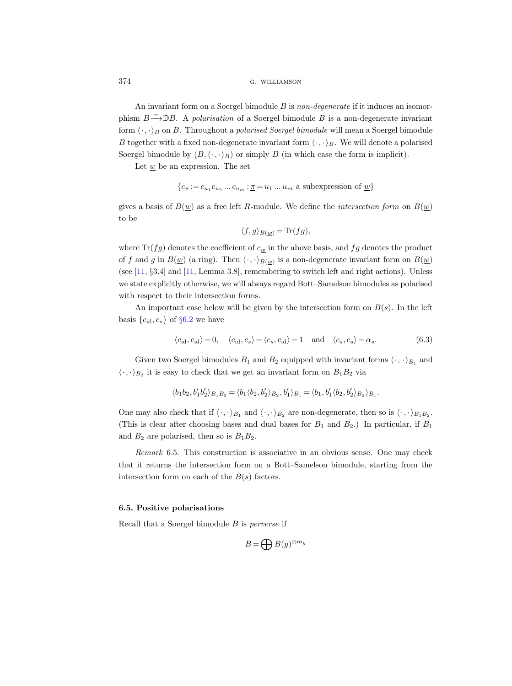An invariant form on a Soergel bimodule  $B$  is non-degenerate if it induces an isomorphism  $B \xrightarrow{\sim} \mathbb{D}B$ . A *polarisation* of a Soergel bimodule B is a non-degenerate invariant form  $\langle \cdot, \cdot \rangle_B$  on B. Throughout a *polarised Soergel bimodule* will mean a Soergel bimodule B together with a fixed non-degenerate invariant form  $\langle \cdot, \cdot \rangle_B$ . We will denote a polarised Soergel bimodule by  $(B, \langle \cdot, \cdot \rangle_B)$  or simply B (in which case the form is implicit).

Let  $w$  be an expression. The set

$$
\{c_{\pi} := c_{u_1}c_{u_2} \dots c_{u_m} : \underline{\pi} = u_1 \dots u_m \text{ a subexpression of } \underline{w}\}
$$

gives a basis of  $B(w)$  as a free left R-module. We define the *intersection form* on  $B(w)$ to be

$$
\langle f, g \rangle_{B(\underline{w})} = \text{Tr}(fg),
$$

where  $\text{Tr}(fg)$  denotes the coefficient of  $c_w$  in the above basis, and  $fg$  denotes the product of f and g in  $B(\underline{w})$  (a ring). Then  $\langle \cdot, \cdot \rangle_{B(\underline{w})}$  is a non-degenerate invariant form on  $B(\underline{w})$ (see [\[11,](#page-62-0) §3.4] and [\[11,](#page-62-0) Lemma 3.8], remembering to switch left and right actions). Unless we state explicitly otherwise, we will always regard Bott–Samelson bimodules as polarised with respect to their intersection forms.

An important case below will be given by the intersection form on  $B(s)$ . In the left basis  ${c_{\rm id}, c_s}$  of §[6.2](#page-30-0) we have

<span id="page-33-0"></span>
$$
\langle c_{\rm id}, c_{\rm id} \rangle = 0, \quad \langle c_{\rm id}, c_s \rangle = \langle c_s, c_{\rm id} \rangle = 1 \quad \text{and} \quad \langle c_s, c_s \rangle = \alpha_s.
$$
 (6.3)

Given two Soergel bimodules  $B_1$  and  $B_2$  equipped with invariant forms  $\langle \cdot, \cdot \rangle_{B_1}$  and  $\langle \cdot, \cdot \rangle_{B_2}$  it is easy to check that we get an invariant form on  $B_1B_2$  via

$$
\langle b_1b_2,b'_1b'_2\rangle_{B_1B_2}=\langle b_1\langle b_2,b'_2\rangle_{B_2},b'_1\rangle_{B_1}=\langle b_1,b'_1\langle b_2,b'_2\rangle_{B_2}\rangle_{B_1}.
$$

One may also check that if  $\langle \cdot, \cdot \rangle_{B_1}$  and  $\langle \cdot, \cdot \rangle_{B_2}$  are non-degenerate, then so is  $\langle \cdot, \cdot \rangle_{B_1 B_2}$ . (This is clear after choosing bases and dual bases for  $B_1$  and  $B_2$ .) In particular, if  $B_1$ and  $B_2$  are polarised, then so is  $B_1B_2$ .

Remark 6.5. This construction is associative in an obvious sense. One may check that it returns the intersection form on a Bott–Samelson bimodule, starting from the intersection form on each of the  $B(s)$  factors.

# <span id="page-33-1"></span>6.5. Positive polarisations

Recall that a Soergel bimodule B is perverse if

$$
B = \bigoplus B(y)^{\oplus m_y}
$$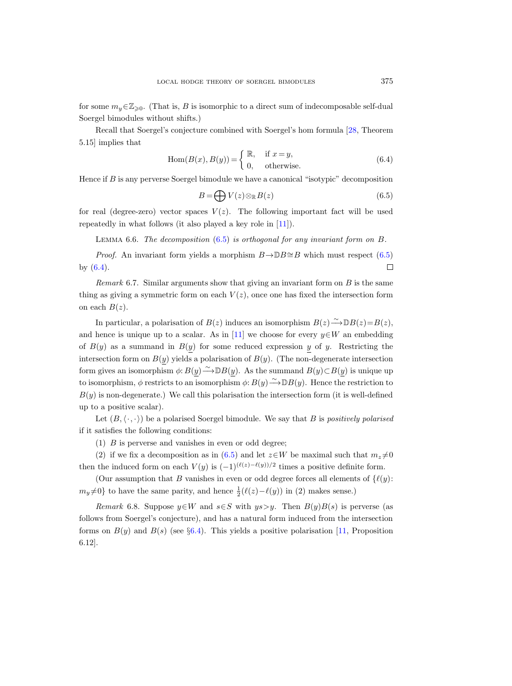for some  $m_y \in \mathbb{Z}_{\geqslant 0}$ . (That is, B is isomorphic to a direct sum of indecomposable self-dual Soergel bimodules without shifts.)

Recall that Soergel's conjecture combined with Soergel's hom formula [\[28,](#page-62-3) Theorem 5.15] implies that

<span id="page-34-1"></span>
$$
Hom(B(x), B(y)) = \begin{cases} \mathbb{R}, & \text{if } x = y, \\ 0, & \text{otherwise.} \end{cases}
$$
\n(6.4)

Hence if  $B$  is any perverse Soergel bimodule we have a canonical "isotypic" decomposition

<span id="page-34-0"></span>
$$
B = \bigoplus V(z) \otimes_{\mathbb{R}} B(z) \tag{6.5}
$$

for real (degree-zero) vector spaces  $V(z)$ . The following important fact will be used repeatedly in what follows (it also played a key role in [\[11\]](#page-62-0)).

<span id="page-34-3"></span>LEMMA 6.6. The decomposition  $(6.5)$  is orthogonal for any invariant form on B.

*Proof.* An invariant form yields a morphism  $B \rightarrow \mathbb{D}B \cong B$  which must respect [\(6.5\)](#page-34-0)  $\Box$ by  $(6.4)$ .

*Remark* 6.7. Similar arguments show that giving an invariant form on  $B$  is the same thing as giving a symmetric form on each  $V(z)$ , once one has fixed the intersection form on each  $B(z)$ .

In particular, a polarisation of  $B(z)$  induces an isomorphism  $B(z) \rightarrow D B(z) = B(z)$ , and hence is unique up to a scalar. As in [\[11\]](#page-62-0) we choose for every  $y \in W$  an embedding of  $B(y)$  as a summand in  $B(y)$  for some reduced expression y of y. Restricting the intersection form on  $B(y)$  yields a polarisation of  $B(y)$ . (The non-degenerate intersection form gives an isomorphism  $\phi: B(y) \longrightarrow \mathbb{D}B(y)$ . As the summand  $B(y) \subset B(y)$  is unique up to isomorphism,  $\phi$  restricts to an isomorphism  $\phi: B(y) \longrightarrow \mathbb{D}B(y)$ . Hence the restriction to  $B(y)$  is non-degenerate.) We call this polarisation the intersection form (it is well-defined up to a positive scalar).

Let  $(B, \langle \cdot, \cdot \rangle)$  be a polarised Soergel bimodule. We say that B is positively polarised if it satisfies the following conditions:

(1) B is perverse and vanishes in even or odd degree;

(2) if we fix a decomposition as in [\(6.5\)](#page-34-0) and let  $z \in W$  be maximal such that  $m_z \neq 0$ then the induced form on each  $V(y)$  is  $(-1)^{(\ell(z)-\ell(y))/2}$  times a positive definite form.

(Our assumption that B vanishes in even or odd degree forces all elements of  $\{\ell(y):$  $m_y \neq 0$ } to have the same parity, and hence  $\frac{1}{2}(\ell(z)-\ell(y))$  in (2) makes sense.)

<span id="page-34-2"></span>Remark 6.8. Suppose  $y \in W$  and  $s \in S$  with  $ys \gt y$ . Then  $B(y)B(s)$  is perverse (as follows from Soergel's conjecture), and has a natural form induced from the intersection forms on  $B(y)$  and  $B(s)$  (see §[6.4\)](#page-32-0). This yields a positive polarisation [\[11,](#page-62-0) Proposition 6.12].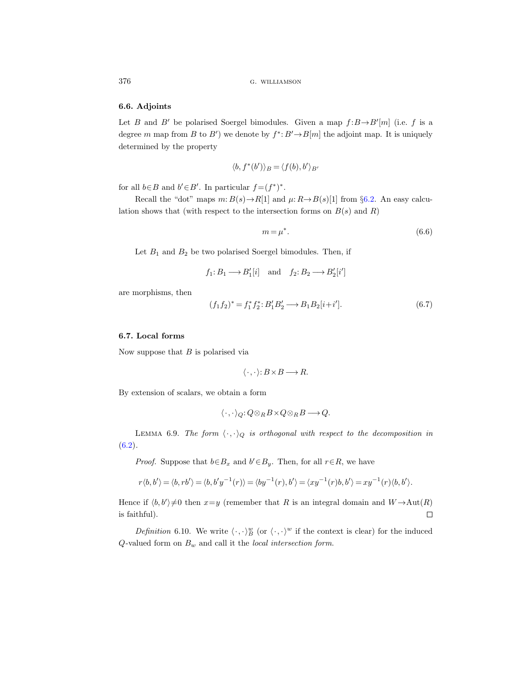# 6.6. Adjoints

Let B and B' be polarised Soergel bimodules. Given a map  $f : B \to B'[m]$  (i.e. f is a degree m map from B to B') we denote by  $f^*$ :  $B' \rightarrow B[m]$  the adjoint map. It is uniquely determined by the property

$$
\langle b, f^*(b')\rangle_B = \langle f(b), b'\rangle_{B'}
$$

for all  $b \in B$  and  $b' \in B'$ . In particular  $f = (f^*)^*$ .

Recall the "dot" maps  $m: B(s) \to R[1]$  and  $\mu: R \to B(s)[1]$  from §[6.2.](#page-30-0) An easy calculation shows that (with respect to the intersection forms on  $B(s)$  and R)

<span id="page-35-1"></span>
$$
m = \mu^*.\tag{6.6}
$$

Let  $B_1$  and  $B_2$  be two polarised Soergel bimodules. Then, if

$$
f_1: B_1 \longrightarrow B'_1[i] \text{ and } f_2: B_2 \longrightarrow B'_2[i']
$$

are morphisms, then

<span id="page-35-2"></span>
$$
(f_1 f_2)^* = f_1^* f_2^* \colon B_1' B_2' \longrightarrow B_1 B_2[i + i'].
$$
\n
$$
(6.7)
$$

#### 6.7. Local forms

Now suppose that  $B$  is polarised via

$$
\langle \cdot, \cdot \rangle: B \times B \longrightarrow R.
$$

By extension of scalars, we obtain a form

$$
\langle \cdot , \cdot \rangle_Q : Q \otimes_R B \times Q \otimes_R B \longrightarrow Q.
$$

<span id="page-35-0"></span>LEMMA 6.9. The form  $\langle \cdot, \cdot \rangle_Q$  is orthogonal with respect to the decomposition in  $(6.2).$  $(6.2).$ 

*Proof.* Suppose that  $b \in B_x$  and  $b' \in B_y$ . Then, for all  $r \in R$ , we have

$$
r\langle b, b' \rangle = \langle b, rb' \rangle = \langle b, b'y^{-1}(r) \rangle = \langle by^{-1}(r), b' \rangle = \langle xy^{-1}(r)b, b' \rangle = xy^{-1}(r)\langle b, b' \rangle.
$$

Hence if  $\langle b, b' \rangle \neq 0$  then  $x=y$  (remember that R is an integral domain and  $W \rightarrow Aut(R)$ ) is faithful).  $\Box$ 

*Definition* 6.10. We write  $\langle \cdot, \cdot \rangle_B^w$  (or  $\langle \cdot, \cdot \rangle^w$  if the context is clear) for the induced  $Q$ -valued form on  $B_w$  and call it the *local intersection form*.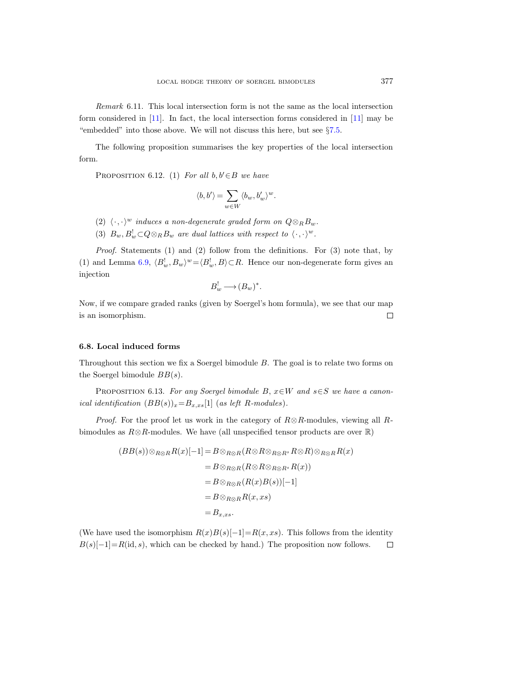Remark 6.11. This local intersection form is not the same as the local intersection form considered in [\[11\]](#page-62-0). In fact, the local intersection forms considered in [\[11\]](#page-62-0) may be "embedded" into those above. We will not discuss this here, but see §[7.5.](#page-54-0)

The following proposition summarises the key properties of the local intersection form.

PROPOSITION 6.12. (1) For all  $b, b' \in B$  we have

$$
\langle b,b'\rangle=\sum_{w\in W}\langle b_w,b'_w\rangle^w.
$$

- (2)  $\langle \cdot, \cdot \rangle^w$  induces a non-degenerate graded form on  $Q \otimes_R B_w$ .
- (3)  $B_w, B_w^! \subset Q \otimes_R B_w$  are dual lattices with respect to  $\langle \cdot, \cdot \rangle^w$ .

Proof. Statements (1) and (2) follow from the definitions. For (3) note that, by (1) and Lemma [6.9,](#page-35-0)  $\langle B_w^!, B_w \rangle^w = \langle B_w^!, B \rangle \subset R$ . Hence our non-degenerate form gives an injection

$$
B_w^! \longrightarrow (B_w)^*.
$$

Now, if we compare graded ranks (given by Soergel's hom formula), we see that our map is an isomorphism.  $\Box$ 

### 6.8. Local induced forms

Throughout this section we fix a Soergel bimodule B. The goal is to relate two forms on the Soergel bimodule  $BB(s)$ .

<span id="page-36-0"></span>PROPOSITION 6.13. For any Soergel bimodule B,  $x \in W$  and  $s \in S$  we have a canonical identification  $(BB(s))_x = B_{x,xs}[1]$  (as left R-modules).

*Proof.* For the proof let us work in the category of  $R \otimes R$ -modules, viewing all Rbimodules as  $R \otimes R$ -modules. We have (all unspecified tensor products are over  $\mathbb{R}$ )

$$
(BB(s)) \otimes_{R \otimes R} R(x)[-1] = B \otimes_{R \otimes R} (R \otimes R \otimes_{R \otimes R^s} R \otimes R) \otimes_{R \otimes R} R(x)
$$
  

$$
= B \otimes_{R \otimes R} (R \otimes R \otimes_{R \otimes R^s} R(x))
$$
  

$$
= B \otimes_{R \otimes R} (R(x)B(s))[-1]
$$
  

$$
= B \otimes_{R \otimes R} R(x, xs)
$$
  

$$
= B_{x, xs}.
$$

(We have used the isomorphism  $R(x)B(s)[-1]=R(x,xs)$ . This follows from the identity  $B(s)[-1]=R(id, s)$ , which can be checked by hand.) The proposition now follows.  $\Box$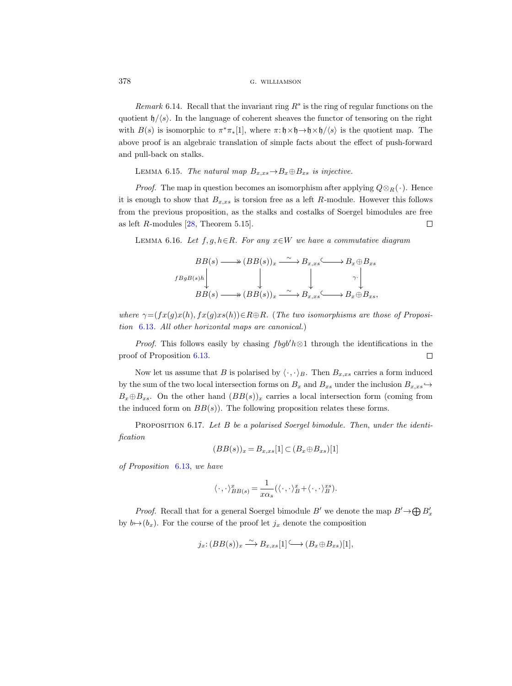Remark 6.14. Recall that the invariant ring  $R^s$  is the ring of regular functions on the quotient  $\mathfrak{h}/\langle s \rangle$ . In the language of coherent sheaves the functor of tensoring on the right with  $B(s)$  is isomorphic to  $\pi^*\pi_*[1]$ , where  $\pi: \mathfrak{h} \times \mathfrak{h} \to \mathfrak{h} \times \mathfrak{h}/\langle s \rangle$  is the quotient map. The above proof is an algebraic translation of simple facts about the effect of push-forward and pull-back on stalks.

LEMMA 6.15. The natural map  $B_{x,xs} \to B_x \oplus B_{xs}$  is injective.

*Proof.* The map in question becomes an isomorphism after applying  $Q \otimes_R (\cdot)$ . Hence it is enough to show that  $B_{x,xs}$  is torsion free as a left R-module. However this follows from the previous proposition, as the stalks and costalks of Soergel bimodules are free as left  $R$ -modules [\[28,](#page-62-3) Theorem 5.15].  $\Box$ 

<span id="page-37-1"></span>LEMMA 6.16. Let  $f, g, h \in \mathbb{R}$ . For any  $x \in W$  we have a commutative diagram

$$
BB(s) \longrightarrow (BB(s))_x \xrightarrow{\sim} B_{x, xs} \longrightarrow B_x \oplus B_{xs}
$$
  
\n
$$
HBgB(s)h \downarrow \qquad \qquad \downarrow \qquad \qquad \downarrow \qquad \qquad \gamma \downarrow
$$
  
\n
$$
BB(s) \longrightarrow (BB(s))_x \xrightarrow{\sim} B_{x, xs} \longrightarrow B_x \oplus B_{xs},
$$

where  $\gamma = (fx(q)x(h), fx(q)xs(h)) \in R \oplus R$ . (The two isomorphisms are those of Proposition [6.13](#page-36-0). All other horizontal maps are canonical.)

*Proof.* This follows easily by chasing  $f \cdot b g b' h \otimes 1$  through the identifications in the proof of Proposition [6.13.](#page-36-0)  $\Box$ 

Now let us assume that B is polarised by  $\langle \cdot, \cdot \rangle_B$ . Then  $B_{x,xs}$  carries a form induced by the sum of the two local intersection forms on  $B_x$  and  $B_{xs}$  under the inclusion  $B_{x,xs} \hookrightarrow$  $B_x \oplus B_{xs}$ . On the other hand  $(BB(s))_x$  carries a local intersection form (coming from the induced form on  $BB(s)$ ). The following proposition relates these forms.

<span id="page-37-0"></span>PROPOSITION 6.17. Let B be a polarised Soergel bimodule. Then, under the identification

$$
(BB(s))_x = B_{x, xs}[1] \subset (B_x \oplus B_{xs})[1]
$$

of Proposition [6.13,](#page-36-0) we have

$$
\langle\,\cdot\,,\,\cdot\,\rangle^x_{BB(s)}=\frac{1}{x\alpha_s}(\langle\,\cdot\,,\cdot\rangle^x_B+\langle\,\cdot\,,\cdot\rangle^{xs}_B).
$$

*Proof.* Recall that for a general Soergel bimodule B' we denote the map  $B' \to \bigoplus B'_x$ by  $b \mapsto (b_x)$ . For the course of the proof let  $j_x$  denote the composition

$$
j_x \colon (BB(s))_x \xrightarrow{\sim} B_{x,xs}[1] \hookrightarrow (B_x \oplus B_{xs})[1],
$$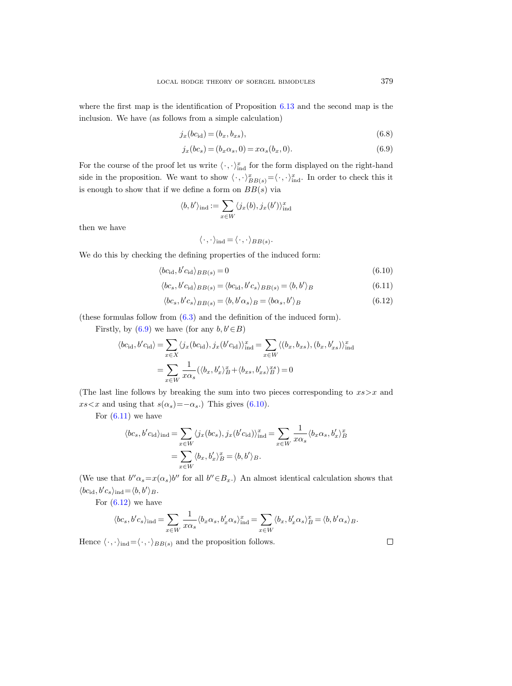where the first map is the identification of Proposition [6.13](#page-36-0) and the second map is the inclusion. We have (as follows from a simple calculation)

<span id="page-38-0"></span>
$$
j_x(bc_{\rm id}) = (b_x, b_{xs}),\tag{6.8}
$$

$$
j_x(bc_s) = (b_x \alpha_s, 0) = x \alpha_s(b_x, 0). \tag{6.9}
$$

For the course of the proof let us write  $\langle \cdot, \cdot \rangle_{\text{ind}}^x$  for the form displayed on the right-hand side in the proposition. We want to show  $\langle \cdot, \cdot \rangle^x_{BB(s)} = \langle \cdot, \cdot \rangle^x_{\text{ind}}$ . In order to check this it is enough to show that if we define a form on  $BB(s)$  via

$$
\langle b, b' \rangle_{\text{ind}} := \sum_{x \in W} \langle j_x(b), j_x(b') \rangle_{\text{ind}}^x
$$

then we have

<span id="page-38-3"></span><span id="page-38-2"></span><span id="page-38-1"></span>
$$
\langle \cdot, \cdot \rangle_{\text{ind}} = \langle \cdot, \cdot \rangle_{BB(s)}.
$$

We do this by checking the defining properties of the induced form:

$$
\langle bc_{\rm id}, b'c_{\rm id} \rangle_{BB(s)} = 0 \tag{6.10}
$$

$$
\langle bc_s, b'c_{\text{id}} \rangle_{BB(s)} = \langle bc_{\text{id}}, b'c_s \rangle_{BB(s)} = \langle b, b' \rangle_B \tag{6.11}
$$

$$
\langle bc_s, b'c_s \rangle_{BB(s)} = \langle b, b' \alpha_s \rangle_B = \langle b \alpha_s, b' \rangle_B \tag{6.12}
$$

(these formulas follow from [\(6.3\)](#page-33-0) and the definition of the induced form).

Firstly, by  $(6.9)$  we have (for any  $b, b' \in B$ )

$$
\langle bc_{\text{id}}, b'c_{\text{id}} \rangle = \sum_{x \in X} \langle j_x(bc_{\text{id}}), j_x(b'c_{\text{id}}) \rangle_{\text{ind}}^x = \sum_{x \in W} \langle (b_x, b_{xs}), (b_x, b'_{xs}) \rangle_{\text{ind}}^x
$$

$$
= \sum_{x \in W} \frac{1}{x\alpha_s} (\langle b_x, b'_x \rangle_B^x + \langle b_{xs}, b'_{xs} \rangle_B^{xs}) = 0
$$

(The last line follows by breaking the sum into two pieces corresponding to  $xs \geq x$  and  $xs\leq x$  and using that  $s(\alpha_s)=-\alpha_s$ .) This gives [\(6.10\)](#page-38-1).

For  $(6.11)$  we have

$$
\langle bc_s, b'c_{\text{id}} \rangle_{\text{ind}} = \sum_{x \in W} \langle j_x(bc_s), j_x(b'c_{\text{id}}) \rangle_{\text{ind}}^x = \sum_{x \in W} \frac{1}{x \alpha_s} \langle b_x \alpha_s, b'_x \rangle_B^x
$$

$$
= \sum_{x \in W} \langle b_x, b'_x \rangle_B^x = \langle b, b' \rangle_B.
$$

(We use that  $b''\alpha_s = x(\alpha_s)b''$  for all  $b'' \in B_x$ .) An almost identical calculation shows that  $\langle bc_{\text{id}}, b'c_s \rangle_{\text{ind}} = \langle b, b' \rangle_B.$ 

For  $(6.12)$  we have

$$
\langle bc_s, b'c_s \rangle_{\text{ind}} = \sum_{x \in W} \frac{1}{x \alpha_s} \langle b_x \alpha_s, b'_x \alpha_s \rangle_{\text{ind}}^x = \sum_{x \in W} \langle b_x, b'_x \alpha_s \rangle_B^x = \langle b, b' \alpha_s \rangle_B.
$$

Hence  $\langle \cdot, \cdot \rangle_{ind} = \langle \cdot, \cdot \rangle_{BB(s)}$  and the proposition follows.

 $\Box$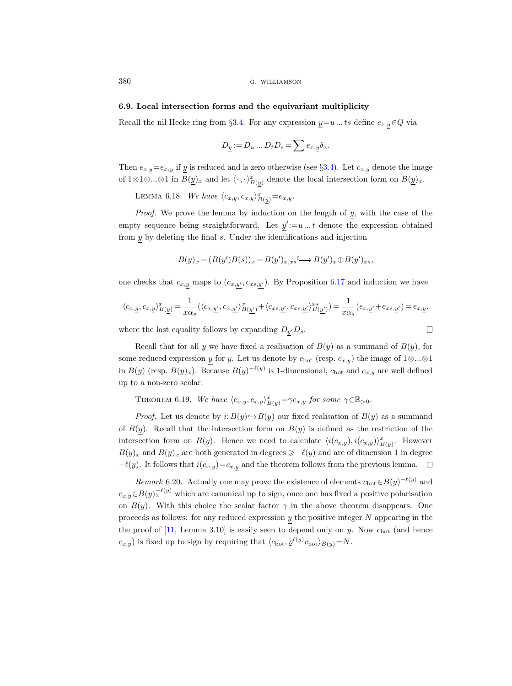#### <span id="page-39-1"></span>6.9. Local intersection forms and the equivariant multiplicity

Recall the nil Hecke ring from §[3.4.](#page-14-3) For any expression  $y=u \dots ts$  define  $e_{x,y} \in Q$  via

$$
D_{\underline{y}} := D_u \dots D_t D_s = \sum e_{x, \underline{y}} \delta_x.
$$

Then  $e_{x,y}=e_{x,y}$  if y is reduced and is zero otherwise (see §[3.4\)](#page-14-3). Let  $c_{x,y}$  denote the image of 1⊗1⊗...⊗1 in  $B(\underline{y})_x$  and let  $\langle \cdot, \cdot \rangle_{B(y)}^x$  denote the local intersection form on  $B(\underline{y})_x$ .

LEMMA 6.18. We have  $\langle c_{x,\underline{y}}, c_{x,\underline{y}} \rangle_{B(y)}^x = e_{x,\underline{y}}$ .

*Proof.* We prove the lemma by induction on the length of  $y$ , with the case of the empty sequence being straightforward. Let  $y' := u \dots t$  denote the expression obtained from  $y$  by deleting the final  $s$ . Under the identifications and injection

$$
B(y)_x = (B(y')B(s))_x = B(y')_{x, xs} \longrightarrow B(y')_x \oplus B(y')_{xs},
$$

one checks that  $c_{x,y}$  maps to  $(c_{x,y}, c_{xs,y'})$ . By Proposition [6.17](#page-37-0) and induction we have

$$
\langle c_{x,\underline{y}},c_{x,\underline{y}}\rangle^x_{B(\underline{y})}=\frac{1}{x\alpha_s}\big(\langle c_{x,\underline{y'}},c_{x,\underline{y'}}\rangle^x_{B(\underline{y'})}+\langle c_{xs,\underline{y'}},c_{xs,\underline{y'}}\rangle^{xs}_{B(\underline{y'})}\big)=\frac{1}{x\alpha_s}\big(e_{x,\underline{y'}}+e_{xs,\underline{y'}}\big)=e_{x,\underline{y}},
$$

where the last equality follows by expanding  $D_{y'}D_s$ .

Recall that for all y we have fixed a realisation of 
$$
B(y)
$$
 as a summand of  $B(y)$ , for  
some reduced expression  $y$  for y. Let us denote by  $c_{bot}$  (resp.  $c_{x,y}$ ) the image of  $1 \otimes ... \otimes 1$   
in  $B(y)$  (resp.  $B(y)_x$ ). Because  $B(y)^{-\ell(y)}$  is 1-dimensional,  $c_{bot}$  and  $c_{x,y}$  are well defined  
up to a non-zero scalar.

<span id="page-39-0"></span>THEOREM 6.19. We have  $\langle c_{x,y}, c_{x,y} \rangle_{B(y)}^x = \gamma e_{x,y}$  for some  $\gamma \in \mathbb{R}_{>0}$ .

*Proof.* Let us denote by  $i: B(y) \rightarrow B(y)$  our fixed realisation of  $B(y)$  as a summand of  $B(y)$ . Recall that the intersection form on  $B(y)$  is defined as the restriction of the intersection form on  $B(\underline{y})$ . Hence we need to calculate  $\langle i(c_{x,y}), i(c_{x,y}) \rangle_{B(y)}^x$ . However  $B(y)_x$  and  $B(y)_x$  are both generated in degrees  $\geq -\ell(y)$  and are of dimension 1 in degree  $-\ell(y)$ . It follows that  $i(c_{x,y})=c_{x,y}$  and the theorem follows from the previous lemma. □

Remark 6.20. Actually one may prove the existence of elements  $c_{\text{bot}} \in B(y)^{-\ell(y)}$  and  $c_{x,y} \in B(y)_x^{-\ell(y)}$  which are canonical up to sign, once one has fixed a positive polarisation on  $B(y)$ . With this choice the scalar factor  $\gamma$  in the above theorem disappears. One proceeds as follows: for any reduced expression  $y$  the positive integer  $N$  appearing in the the proof of  $[11, \text{Lemma } 3.10]$  is easily seen to depend only on y. Now  $c_{\text{bot}}$  (and hence  $(c_{x,y})$  is fixed up to sign by requiring that  $\langle c_{\text{bot}}, \varrho^{\ell(y)} c_{\text{bot}} \rangle_{B(y)} = N$ .

$$
\Box
$$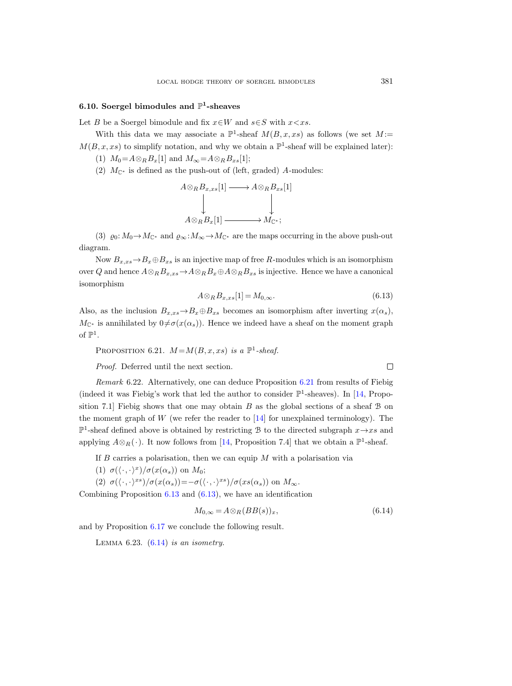# <span id="page-40-3"></span>6.10. Soergel bimodules and  $\mathbb{P}^1$ -sheaves

Let B be a Soergel bimodule and fix  $x \in W$  and  $s \in S$  with  $x < xs$ .

With this data we may associate a  $\mathbb{P}^1$ -sheaf  $M(B, x, xs)$  as follows (we set  $M :=$  $M(B, x, xs)$  to simplify notation, and why we obtain a  $\mathbb{P}^1$ -sheaf will be explained later):

- (1)  $M_0 = A \otimes_R B_x[1]$  and  $M_\infty = A \otimes_R B_{xs}[1]$ ;
- (2)  $M_{\mathbb{C}^*}$  is defined as the push-out of (left, graded) A-modules:

$$
A \otimes_R B_{x, xs}[1] \longrightarrow A \otimes_R B_{xs}[1]
$$
  

$$
\downarrow \qquad \qquad \downarrow
$$
  

$$
A \otimes_R B_x[1] \longrightarrow M_{\mathbb{C}^*};
$$

(3)  $\varrho_0: M_0 \to M_{\mathbb{C}^*}$  and  $\varrho_\infty: M_\infty \to M_{\mathbb{C}^*}$  are the maps occurring in the above push-out diagram.

Now  $B_{x,xs} \to B_x \oplus B_{xs}$  is an injective map of free R-modules which is an isomorphism over Q and hence  $A \otimes_R B_{x,xs} \to A \otimes_R B_x \oplus A \otimes_R B_{xs}$  is injective. Hence we have a canonical isomorphism

<span id="page-40-1"></span>
$$
A \otimes_R B_{x,xs}[1] = M_{0,\infty}.\tag{6.13}
$$

Also, as the inclusion  $B_{x,xs} \to B_x \oplus B_{xs}$  becomes an isomorphism after inverting  $x(\alpha_s)$ ,  $M_{\mathbb{C}^*}$  is annihilated by  $0 \neq \sigma(x(\alpha_s))$ . Hence we indeed have a sheaf on the moment graph of  $\mathbb{P}^1$ .

<span id="page-40-0"></span>PROPOSITION 6.21. 
$$
M=M(B,x, xs)
$$
 is a  $\mathbb{P}^1$ -sheaf.

Proof. Deferred until the next section.

Remark 6.22. Alternatively, one can deduce Proposition [6.21](#page-40-0) from results of Fiebig (indeed it was Fiebig's work that led the author to consider  $\mathbb{P}^1$ -sheaves). In [\[14,](#page-62-19) Proposition 7.1] Fiebig shows that one may obtain  $B$  as the global sections of a sheaf  $B$  on the moment graph of  $W$  (we refer the reader to  $[14]$  for unexplained terminology). The  $\mathbb{P}^1$ -sheaf defined above is obtained by restricting B to the directed subgraph  $x \rightarrow xs$  and applying  $A \otimes_R (\cdot)$ . It now follows from [\[14,](#page-62-19) Proposition 7.4] that we obtain a  $\mathbb{P}^1$ -sheaf.

If  $B$  carries a polarisation, then we can equip  $M$  with a polarisation via

(1) 
$$
\sigma(\langle \cdot, \cdot \rangle^x)/\sigma(x(\alpha_s))
$$
 on  $M_0$ ;

(2)  $\sigma(\langle \cdot, \cdot \rangle^{xs})/\sigma(x(\alpha_s)) = -\sigma(\langle \cdot, \cdot \rangle^{xs})/\sigma(xs(\alpha_s))$  on  $M_\infty$ .

Combining Proposition [6.13](#page-36-0) and [\(6.13\)](#page-40-1), we have an identification

<span id="page-40-2"></span>
$$
M_{0,\infty} = A \otimes_R (BB(s))_x,\tag{6.14}
$$

<span id="page-40-4"></span>and by Proposition [6.17](#page-37-0) we conclude the following result.

LEMMA  $6.23.$   $(6.14)$  is an isometry.

 $\Box$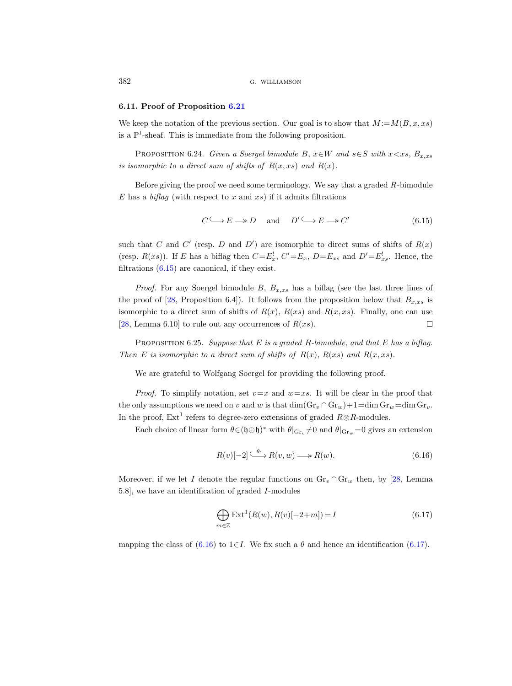# 6.11. Proof of Proposition [6.21](#page-40-0)

We keep the notation of the previous section. Our goal is to show that  $M := M(B, x, xs)$ is a  $\mathbb{P}^1$ -sheaf. This is immediate from the following proposition.

<span id="page-41-0"></span>PROPOSITION 6.24. Given a Soergel bimodule B,  $x \in W$  and  $s \in S$  with  $x \lt x s$ ,  $B_{x, xs}$ is isomorphic to a direct sum of shifts of  $R(x, xs)$  and  $R(x)$ .

Before giving the proof we need some terminology. We say that a graded  $R$ -bimodule E has a biflag (with respect to x and  $xs$ ) if it admits filtrations

<span id="page-41-1"></span>
$$
C \longrightarrow E \longrightarrow D \quad \text{and} \quad D' \longrightarrow E \longrightarrow C' \tag{6.15}
$$

such that C and C' (resp. D and D') are isomorphic to direct sums of shifts of  $R(x)$ (resp.  $R(xs)$ ). If E has a biflag then  $C=E_x^!$ ,  $C'=E_x$ ,  $D=E_{xs}$  and  $D'=E_{xs}^!$ . Hence, the filtrations  $(6.15)$  are canonical, if they exist.

*Proof.* For any Soergel bimodule  $B$ ,  $B_{x,xs}$  has a biflag (see the last three lines of the proof of [\[28,](#page-62-3) Proposition 6.4]). It follows from the proposition below that  $B_{x,x,s}$  is isomorphic to a direct sum of shifts of  $R(x)$ ,  $R(xs)$  and  $R(x, xs)$ . Finally, one can use [\[28,](#page-62-3) Lemma 6.10] to rule out any occurrences of  $R(xs)$ .  $\Box$ 

PROPOSITION 6.25. Suppose that  $E$  is a graded  $R$ -bimodule, and that  $E$  has a biflag. Then E is isomorphic to a direct sum of shifts of  $R(x)$ ,  $R(xs)$  and  $R(x, xs)$ .

We are grateful to Wolfgang Soergel for providing the following proof.

*Proof.* To simplify notation, set  $v=x$  and  $w=xs$ . It will be clear in the proof that the only assumptions we need on v and w is that  $\dim(\text{Gr}_v \cap \text{Gr}_w) + 1 = \dim \text{Gr}_w = \dim \text{Gr}_v$ . In the proof,  $Ext<sup>1</sup>$  refers to degree-zero extensions of graded  $R \otimes R$ -modules.

Each choice of linear form  $\theta \in (\phi \oplus \phi)^*$  with  $\theta|_{\text{Gr}_v} \neq 0$  and  $\theta|_{\text{Gr}_w} = 0$  gives an extension

<span id="page-41-2"></span>
$$
R(v)[-2] \xrightarrow{\theta} R(v, w) \longrightarrow R(w). \tag{6.16}
$$

Moreover, if we let I denote the regular functions on  $\text{Gr}_v \cap \text{Gr}_w$  then, by [\[28,](#page-62-3) Lemma 5.8], we have an identification of graded I-modules

<span id="page-41-3"></span>
$$
\bigoplus_{m\in\mathbb{Z}} \operatorname{Ext}^1(R(w), R(v)[-2+m]) = I \tag{6.17}
$$

mapping the class of [\(6.16\)](#page-41-2) to  $1 \in I$ . We fix such a  $\theta$  and hence an identification [\(6.17\)](#page-41-3).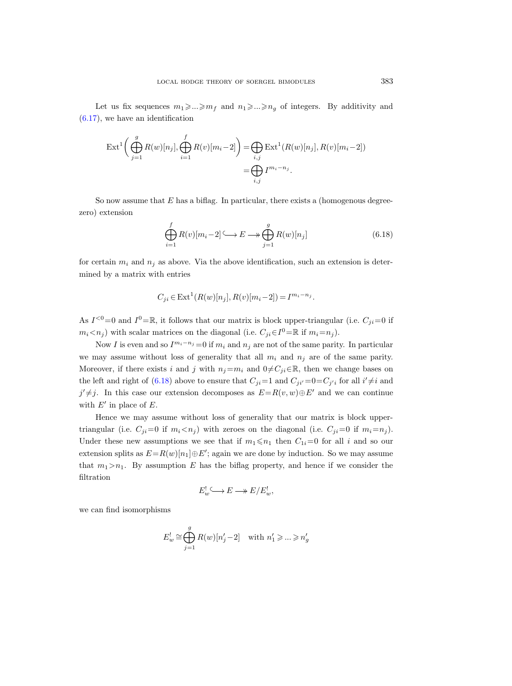Let us fix sequences  $m_1 \geqslant ... \geqslant m_f$  and  $n_1 \geqslant ... \geqslant n_g$  of integers. By additivity and  $(6.17)$ , we have an identification

$$
\text{Ext}^{1}\left(\bigoplus_{j=1}^{g} R(w)[n_{j}], \bigoplus_{i=1}^{f} R(v)[m_{i}-2]\right) = \bigoplus_{i,j} \text{Ext}^{1}(R(w)[n_{j}], R(v)[m_{i}-2])
$$
  
= 
$$
\bigoplus_{i,j} I^{m_{i}-n_{j}}.
$$

So now assume that  $E$  has a biflag. In particular, there exists a (homogenous degreezero) extension

<span id="page-42-0"></span>
$$
\bigoplus_{i=1}^{f} R(v)[m_i - 2] \longrightarrow E \longrightarrow \bigoplus_{j=1}^{g} R(w)[n_j]
$$
\n(6.18)

for certain  $m_i$  and  $n_j$  as above. Via the above identification, such an extension is determined by a matrix with entries

$$
C_{ji} \in \text{Ext}^{1}(R(w)[n_{j}], R(v)[m_{i}-2]) = I^{m_{i}-n_{j}}.
$$

As  $I^{<0}=0$  and  $I^{0}=\mathbb{R}$ , it follows that our matrix is block upper-triangular (i.e.  $C_{ji}=0$  if  $m_i < n_j$ ) with scalar matrices on the diagonal (i.e.  $C_{ji} \in I^0 = \mathbb{R}$  if  $m_i = n_j$ ).

Now I is even and so  $I^{m_i-n_j}=0$  if  $m_i$  and  $n_j$  are not of the same parity. In particular we may assume without loss of generality that all  $m_i$  and  $n_j$  are of the same parity. Moreover, if there exists i and j with  $n_j = m_i$  and  $0 \neq C_{ji} \in \mathbb{R}$ , then we change bases on the left and right of [\(6.18\)](#page-42-0) above to ensure that  $C_{ji}=1$  and  $C_{ji'}=0=C_{j'i}$  for all  $i'\neq i$  and  $j' \neq j$ . In this case our extension decomposes as  $E=R(v, w) \oplus E'$  and we can continue with  $E'$  in place of  $E$ .

Hence we may assume without loss of generality that our matrix is block uppertriangular (i.e.  $C_{ji}=0$  if  $m_i < n_j$ ) with zeroes on the diagonal (i.e.  $C_{ji}=0$  if  $m_i=n_j$ ). Under these new assumptions we see that if  $m_1 \leq n_1$  then  $C_{1i}=0$  for all i and so our extension splits as  $E = R(w)[n_1] \oplus E'$ ; again we are done by induction. So we may assume that  $m_1 > n_1$ . By assumption E has the biflag property, and hence if we consider the filtration

$$
E_w^! \longrightarrow E \longrightarrow E/E_w^!,
$$

we can find isomorphisms

$$
E_w^! \cong \bigoplus_{j=1}^g R(w)[n'_j-2] \quad \text{with } n'_1 \geqslant \ldots \geqslant n'_g
$$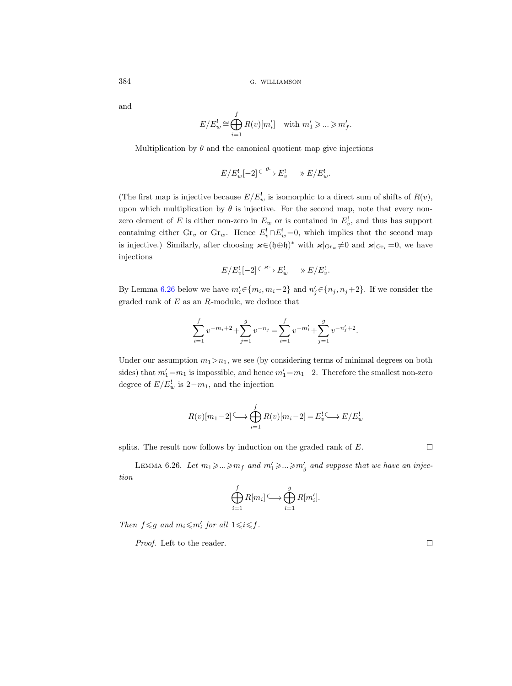and

$$
E/E_w^! \cong \bigoplus_{i=1}^f R(v)[m_i'] \quad \text{with } m_1' \geqslant \ldots \geqslant m_f'.
$$

Multiplication by  $\theta$  and the canonical quotient map give injections

$$
E/E_w^![-2] \stackrel{\theta}{\longleftrightarrow} E_v^! \longrightarrow E/E_w^!.
$$

(The first map is injective because  $E/E_w^!$  is isomorphic to a direct sum of shifts of  $R(v)$ , upon which multiplication by  $\theta$  is injective. For the second map, note that every nonzero element of E is either non-zero in  $E_w$  or is contained in  $E_v^!$ , and thus has support containing either  $\text{Gr}_v$  or  $\text{Gr}_w$ . Hence  $E_v^! \cap E_w^! = 0$ , which implies that the second map is injective.) Similarly, after choosing  $\varkappa \in (\mathfrak{h} \oplus \mathfrak{h})^*$  with  $\varkappa|_{\text{Gr}_w} \neq 0$  and  $\varkappa|_{\text{Gr}_v} = 0$ , we have injections

$$
E/E_v^![-2] \xrightarrow{\varkappa} E_w^! \longrightarrow E/E_v^!.
$$

By Lemma [6.26](#page-43-0) below we have  $m'_i \in \{m_i, m_i-2\}$  and  $n'_j \in \{n_j, n_j+2\}$ . If we consider the graded rank of  $E$  as an  $R$ -module, we deduce that

$$
\sum_{i=1}^{f} v^{-m_i+2} + \sum_{j=1}^{g} v^{-n_j} = \sum_{i=1}^{f} v^{-m'_i} + \sum_{j=1}^{g} v^{-n'_j+2}.
$$

Under our assumption  $m_1 > n_1$ , we see (by considering terms of minimal degrees on both sides) that  $m'_1 = m_1$  is impossible, and hence  $m'_1 = m_1 - 2$ . Therefore the smallest non-zero degree of  $E/E_w^!$  is  $2-m_1$ , and the injection

$$
R(v)[m_1-2] \longrightarrow \bigoplus_{i=1}^f R(v)[m_i-2] = E_v^! \longrightarrow E/E_w^!
$$

splits. The result now follows by induction on the graded rank of E.

 $\Box$ 

<span id="page-43-0"></span>LEMMA 6.26. Let  $m_1 \geqslant ... \geqslant m_f$  and  $m'_1 \geqslant ... \geqslant m'_g$  and suppose that we have an injection

$$
\bigoplus_{i=1}^f R[m_i] \longrightarrow \bigoplus_{i=1}^g R[m'_i].
$$

Then  $f \leq g$  and  $m_i \leq m'_i$  for all  $1 \leq i \leq f$ .

Proof. Left to the reader.

 $\Box$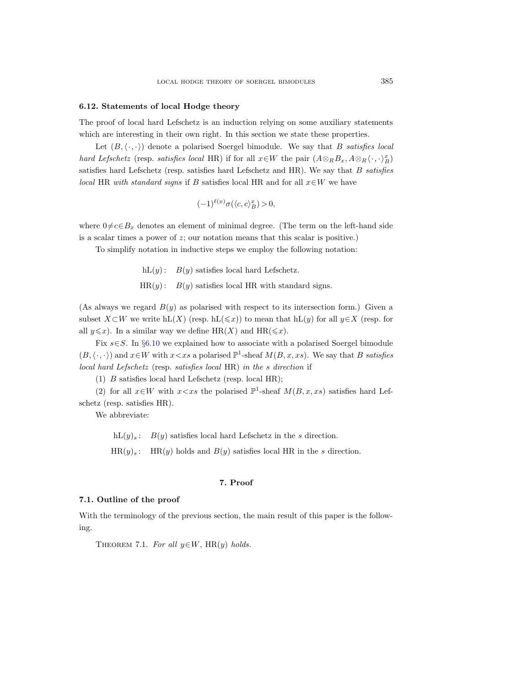# 6.12. Statements of local Hodge theory

The proof of local hard Lefschetz is an induction relying on some auxiliary statements which are interesting in their own right. In this section we state these properties.

Let  $(B, \langle \cdot, \cdot \rangle)$  denote a polarised Soergel bimodule. We say that B satisfies local hard Lefschetz (resp. satisfies local HR) if for all  $x \in W$  the pair  $(A \otimes_R B_x, A \otimes_R \langle \cdot, \cdot \rangle_B^x)$ satisfies hard Lefschetz (resp. satisfies hard Lefschetz and HR). We say that  $B$  satisfies local HR with standard signs if B satisfies local HR and for all  $x \in W$  we have

$$
(-1)^{\ell(x)}\sigma(\langle c,c\rangle_B^x) > 0,
$$

where  $0 \neq c \in B_x$  denotes an element of minimal degree. (The term on the left-hand side is a scalar times a power of z; our notation means that this scalar is positive.)

To simplify notation in inductive steps we employ the following notation:

 $hL(y)$ :  $B(y)$  satisfies local hard Lefschetz.

 $HR(y)$ :  $B(y)$  satisfies local HR with standard signs.

(As always we regard  $B(y)$  as polarised with respect to its intersection form.) Given a subset  $X\subset W$  we write hL(X) (resp. hL( $\leq x$ )) to mean that hL(y) for all  $y\in X$  (resp. for all  $y \leq x$ ). In a similar way we define HR(X) and HR( $\leq x$ ).

Fix  $s \in S$ . In §[6.10](#page-40-3) we explained how to associate with a polarised Soergel bimodule  $(B, \langle \cdot, \cdot \rangle)$  and  $x \in W$  with  $x < xs$  a polarised  $\mathbb{P}^1$ -sheaf  $M(B, x, xs)$ . We say that B satisfies local hard Lefschetz (resp. satisfies local HR) in the s direction if

(1) B satisfies local hard Lefschetz (resp. local HR);

(2) for all  $x \in W$  with  $x \le xs$  the polarised  $\mathbb{P}^1$ -sheaf  $M(B, x, xs)$  satisfies hard Lefschetz (resp. satisfies HR).

We abbreviate:

 $hL(y)_s$ :  $B(y)$  satisfies local hard Lefschetz in the s direction.

 $HR(y)_s$ :  $HR(y)$  holds and  $B(y)$  satisfies local HR in the s direction.

# 7. Proof

#### <span id="page-44-0"></span>7.1. Outline of the proof

With the terminology of the previous section, the main result of this paper is the following.

<span id="page-44-1"></span>THEOREM 7.1. For all  $y \in W$ , HR(y) holds.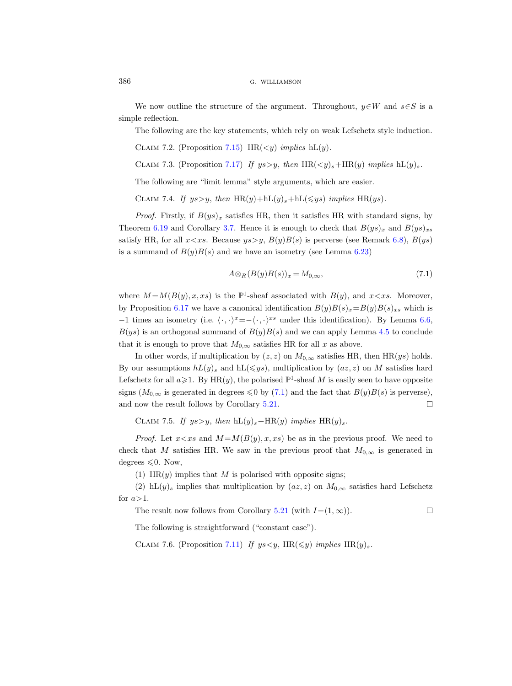We now outline the structure of the argument. Throughout,  $y \in W$  and  $s \in S$  is a simple reflection.

The following are the key statements, which rely on weak Lefschetz style induction.

<span id="page-45-1"></span>CLAIM 7.2. (Proposition [7.15\)](#page-51-0) HR( $\langle y \rangle$  implies hL(y).

<span id="page-45-4"></span>CLAIM 7.3. (Proposition [7.17\)](#page-52-0) If  $ys>y$ , then  $HR(*y*)<sub>s</sub>+HR(*y*)$  implies  $hL(*y*)<sub>s</sub>$ .

The following are "limit lemma" style arguments, which are easier.

<span id="page-45-2"></span>CLAIM 7.4. If  $ys>y$ , then  $HR(y)+hL(y)_s+hL(\leqslant ys)$  implies  $HR(ys)$ .

*Proof.* Firstly, if  $B(ys)_x$  satisfies HR, then it satisfies HR with standard signs, by Theorem [6.19](#page-39-0) and Corollary [3.7.](#page-16-3) Hence it is enough to check that  $B(ys)_x$  and  $B(ys)_{xs}$ satisfy HR, for all  $x \leq xs$ . Because  $ys \geq y$ ,  $B(y)B(s)$  is perverse (see Remark [6.8\)](#page-34-2),  $B(ys)$ is a summand of  $B(y)B(s)$  and we have an isometry (see Lemma [6.23\)](#page-40-4)

<span id="page-45-0"></span>
$$
A \otimes_R (B(y)B(s))_x = M_{0,\infty},\tag{7.1}
$$

 $\Box$ 

where  $M=M(B(y), x, xs)$  is the  $\mathbb{P}^1$ -sheaf associated with  $B(y)$ , and  $x < xs$ . Moreover, by Proposition [6.17](#page-37-0) we have a canonical identification  $B(y)B(s)_x=B(y)B(s)_x$  which is −1 times an isometry (i.e.  $\langle \cdot, \cdot \rangle^x = -\langle \cdot, \cdot \rangle^{xs}$  under this identification). By Lemma [6.6,](#page-34-3)  $B(ys)$  is an orthogonal summand of  $B(y)B(s)$  and we can apply Lemma [4.5](#page-18-2) to conclude that it is enough to prove that  $M_{0,\infty}$  satisfies HR for all x as above.

In other words, if multiplication by  $(z, z)$  on  $M_{0,\infty}$  satisfies HR, then HR(ys) holds. By our assumptions  $hL(y)$ , and  $hL(\leqslant y)$ , multiplication by  $(az, z)$  on M satisfies hard Lefschetz for all  $a \geqslant 1$ . By HR(y), the polarised  $\mathbb{P}^1$ -sheaf M is easily seen to have opposite signs ( $M_{0,\infty}$  is generated in degrees  $\leq 0$  by [\(7.1\)](#page-45-0) and the fact that  $B(y)B(s)$  is perverse), and now the result follows by Corollary [5.21.](#page-26-2)  $\Box$ 

<span id="page-45-5"></span>CLAIM 7.5. If  $ys>y$ , then  $hL(y)_s+HR(y)$  implies  $HR(y)_s$ .

*Proof.* Let  $x \leq xs$  and  $M = M(B(y), x, xs)$  be as in the previous proof. We need to check that M satisfies HR. We saw in the previous proof that  $M_{0,\infty}$  is generated in degrees  $\leq 0$ . Now,

(1) HR(y) implies that M is polarised with opposite signs;

(2) hL(y)<sub>s</sub> implies that multiplication by  $(az, z)$  on  $M_{0,\infty}$  satisfies hard Lefschetz for  $a>1$ .

The result now follows from Corollary [5.21](#page-26-2) (with  $I=(1,\infty)$ ).

The following is straightforward ("constant case").

<span id="page-45-3"></span>CLAIM 7.6. (Proposition [7.11\)](#page-47-0) If  $ys < y$ , HR( $\leq y$ ) implies HR(y)<sub>s</sub>.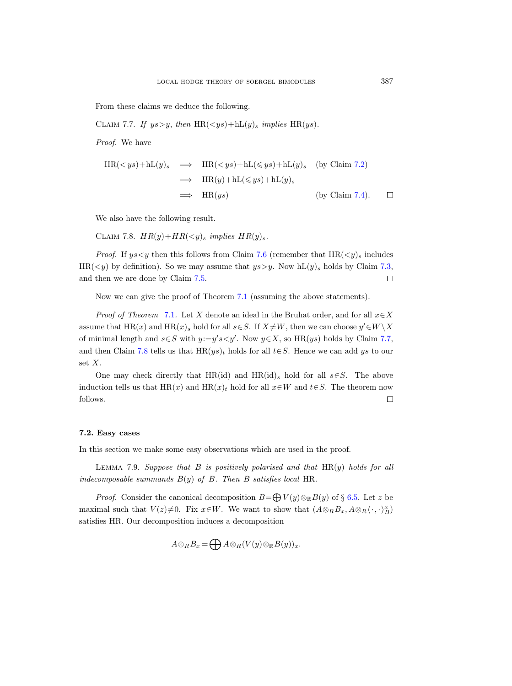From these claims we deduce the following.

<span id="page-46-0"></span>CLAIM 7.7. If  $ys>y$ , then  $HR(*ys*) + hL(*y*)$ <sub>s</sub> implies  $HR(*ys*)$ .

Proof. We have

$$
HR(ys) + hL(y)s \implies HR(sys) + hL(ξys) + hL(y)s (by Claim 7.2)\n
$$
\implies HR(y) + hL(ξys) + hL(y)s
$$
\n
$$
\implies HR(ys) \qquad \qquad (by Claim 7.4).
$$
$$

We also have the following result.

<span id="page-46-1"></span>CLAIM 7.8.  $HR(y) + HR(*y*)$ <sub>s</sub> implies  $HR(y)$ <sub>s</sub>.

*Proof.* If  $ys < y$  then this follows from Claim [7.6](#page-45-3) (remember that  $HR(*y*)_s$  includes  $HR(*y*)$  by definition). So we may assume that  $ys>y$ . Now  $hL(*y*)$ <sub>s</sub> holds by Claim [7.3,](#page-45-4)  $\Box$ and then we are done by Claim [7.5.](#page-45-5)

Now we can give the proof of Theorem [7.1](#page-44-1) (assuming the above statements).

*Proof of Theorem* [7.1](#page-44-1). Let X denote an ideal in the Bruhat order, and for all  $x \in X$ assume that  $HR(x)$  and  $HR(x)$ , hold for all  $s \in S$ . If  $X \neq W$ , then we can choose  $y' \in W \setminus X$ of minimal length and  $s \in S$  with  $y:=y's < y'$ . Now  $y \in X$ , so HR(ys) holds by Claim [7.7,](#page-46-0) and then Claim [7.8](#page-46-1) tells us that  $HR(ys)<sub>t</sub>$  holds for all  $t \in S$ . Hence we can add ys to our set X.

One may check directly that  $HR(id)$  and  $HR(id)_s$  hold for all  $s \in S$ . The above induction tells us that HR(x) and HR(x)t hold for all  $x \in W$  and  $t \in S$ . The theorem now follows.  $\Box$ 

#### 7.2. Easy cases

In this section we make some easy observations which are used in the proof.

<span id="page-46-2"></span>LEMMA 7.9. Suppose that  $B$  is positively polarised and that  $HR(y)$  holds for all indecomposable summands  $B(y)$  of B. Then B satisfies local HR.

*Proof.* Consider the canonical decomposition  $B = \bigoplus V(y) \otimes_{\mathbb{R}} B(y)$  of § [6.5.](#page-33-1) Let z be maximal such that  $V(z) \neq 0$ . Fix  $x \in W$ . We want to show that  $(A \otimes_R B_x, A \otimes_R \langle \cdot, \cdot \rangle_B^x)$ satisfies HR. Our decomposition induces a decomposition

$$
A \otimes_R B_x = \bigoplus A \otimes_R (V(y) \otimes_R B(y))_x.
$$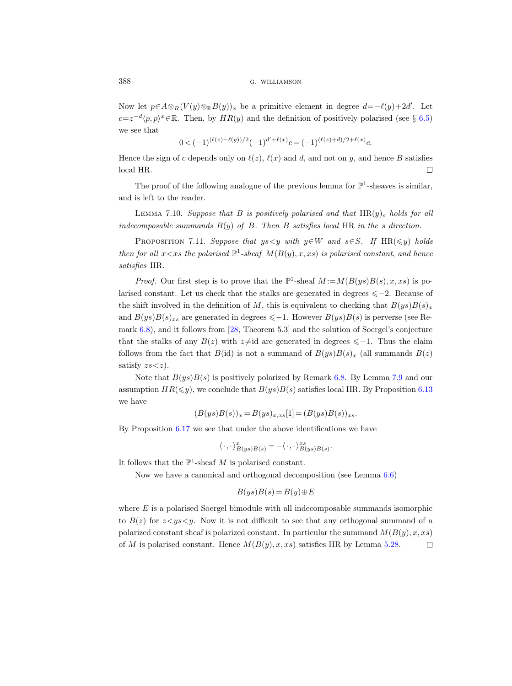Now let  $p \in A \otimes_R (V(y) \otimes_R B(y))_x$  be a primitive element in degree  $d = -\ell(y)+2d'$ . Let  $c=z^{-d}\langle p,p\rangle^x\in\mathbb{R}$ . Then, by  $HR(y)$  and the definition of positively polarised (see § [6.5\)](#page-33-1) we see that

$$
0<(-1)^{(\ell(z)-\ell(y))/2}(-1)^{d'+\ell(x)}c=(-1)^{(\ell(z)+d)/2+\ell(x)}c.
$$

Hence the sign of c depends only on  $\ell(z)$ ,  $\ell(x)$  and d, and not on y, and hence B satisfies local HR.  $\Box$ 

The proof of the following analogue of the previous lemma for  $\mathbb{P}^1$ -sheaves is similar, and is left to the reader.

<span id="page-47-1"></span>LEMMA 7.10. Suppose that B is positively polarised and that  $HR(y)$ <sub>s</sub> holds for all indecomposable summands  $B(y)$  of B. Then B satisfies local HR in the s direction.

<span id="page-47-0"></span>PROPOSITION 7.11. Suppose that  $ys with  $y\in W$  and  $s\in S$ . If  $HR(\leq y)$  holds$ then for all  $x \leq xs$  the polarised  $\mathbb{P}^1$ -sheaf  $M(B(y), x, xs)$  is polarised constant, and hence satisfies HR.

*Proof.* Our first step is to prove that the  $\mathbb{P}^1$ -sheaf  $M := M(B(ys)B(s), x, xs)$  is polarised constant. Let us check that the stalks are generated in degrees  $\leq -2$ . Because of the shift involved in the definition of M, this is equivalent to checking that  $B(ys)B(s)<sub>x</sub>$ and  $B(ys)B(s)_{xs}$  are generated in degrees  $\leq -1$ . However  $B(ys)B(s)$  is perverse (see Remark [6.8\)](#page-34-2), and it follows from [\[28,](#page-62-3) Theorem 5.3] and the solution of Soergel's conjecture that the stalks of any  $B(z)$  with  $z\neq id$  are generated in degrees  $\leq -1$ . Thus the claim follows from the fact that  $B(id)$  is not a summand of  $B(ys)B(s)_x$  (all summands  $B(z)$ ) satisfy  $zs\lt z$ ).

Note that  $B(ys)B(s)$  is positively polarized by Remark [6.8.](#page-34-2) By Lemma [7.9](#page-46-2) and our assumption  $HR(\leq y)$ , we conclude that  $B(ys)B(s)$  satisfies local HR. By Proposition [6.13](#page-36-0) we have

$$
(B(ys)B(s))x = B(ys)x,xs[1] = (B(ys)B(s))xs.
$$

By Proposition [6.17](#page-37-0) we see that under the above identifications we have

$$
\langle\cdot\,,\cdot\rangle^x_{B(ys)B(s)}=-\langle\cdot\,,\cdot\rangle^{xs}_{B(ys)B(s)}.
$$

It follows that the  $\mathbb{P}^1$ -sheaf M is polarised constant.

Now we have a canonical and orthogonal decomposition (see Lemma [6.6\)](#page-34-3)

$$
B(ys)B(s) = B(y) \oplus E
$$

where  $E$  is a polarised Soergel bimodule with all indecomposable summands isomorphic to  $B(z)$  for  $z < y s < y$ . Now it is not difficult to see that any orthogonal summand of a polarized constant sheaf is polarized constant. In particular the summand  $M(B(y), x, xs)$ of M is polarised constant. Hence  $M(B(y), x, xs)$  satisfies HR by Lemma [5.28.](#page-29-2)  $\Box$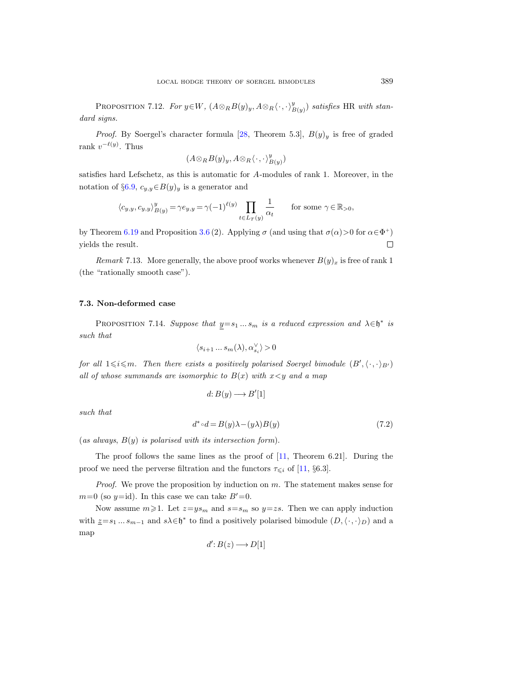<span id="page-48-1"></span>PROPOSITION 7.12. For  $y \in W$ ,  $(A \otimes_R B(y)_y, A \otimes_R \langle \cdot, \cdot \rangle_{B(y)}^y)$  satisfies HR with standard signs.

*Proof.* By Soergel's character formula [\[28,](#page-62-3) Theorem 5.3],  $B(y)_y$  is free of graded rank  $v^{-\ell(y)}$ . Thus

$$
(A \otimes_R B(y)_y, A \otimes_R \langle \cdot, \cdot \rangle^y_{B(y)})
$$

satisfies hard Lefschetz, as this is automatic for A-modules of rank 1. Moreover, in the notation of §[6.9,](#page-39-1)  $c_{y,y} \in B(y)_y$  is a generator and

$$
\langle c_{y,y}, c_{y,y} \rangle_{B(y)}^y = \gamma e_{y,y} = \gamma (-1)^{\ell(y)} \prod_{t \in L_T(y)} \frac{1}{\alpha_t} \quad \text{for some } \gamma \in \mathbb{R}_{>0},
$$

by Theorem [6.19](#page-39-0) and Proposition [3.6](#page-15-0) (2). Applying  $\sigma$  (and using that  $\sigma(\alpha) > 0$  for  $\alpha \in \Phi^+$ ) yields the result.  $\Box$ 

Remark 7.13. More generally, the above proof works whenever  $B(y)_x$  is free of rank 1 (the "rationally smooth case").

# 7.3. Non-deformed case

<span id="page-48-2"></span>PROPOSITION 7.14. Suppose that  $y=s_1...s_m$  is a reduced expression and  $\lambda \in \mathfrak{h}^*$  is such that

$$
\langle s_{i+1}\dots s_m(\lambda),\alpha_{s_i}^\vee\rangle>0
$$

for all  $1 \leq i \leq m$ . Then there exists a positively polarised Soergel bimodule  $(B', \langle \cdot, \cdot \rangle_{B'})$ all of whose summands are isomorphic to  $B(x)$  with  $x < y$  and a map

$$
d: B(y) \longrightarrow B'[1]
$$

such that

<span id="page-48-0"></span>
$$
d^* \circ d = B(y)\lambda - (y\lambda)B(y) \tag{7.2}
$$

(as always,  $B(y)$  is polarised with its intersection form).

The proof follows the same lines as the proof of [\[11,](#page-62-0) Theorem 6.21]. During the proof we need the perverse filtration and the functors  $\tau_{\leq i}$  of [\[11,](#page-62-0) §6.3].

*Proof.* We prove the proposition by induction on  $m$ . The statement makes sense for  $m=0$  (so  $y=id$ ). In this case we can take  $B'=0$ .

Now assume  $m \ge 1$ . Let  $z=ys_m$  and  $s=s_m$  so  $y=zs$ . Then we can apply induction with  $z=s_1... s_{m-1}$  and  $s\lambda \in \mathfrak{h}^*$  to find a positively polarised bimodule  $(D, \langle \cdot, \cdot \rangle_D)$  and a map

$$
d': B(z) \longrightarrow D[1]
$$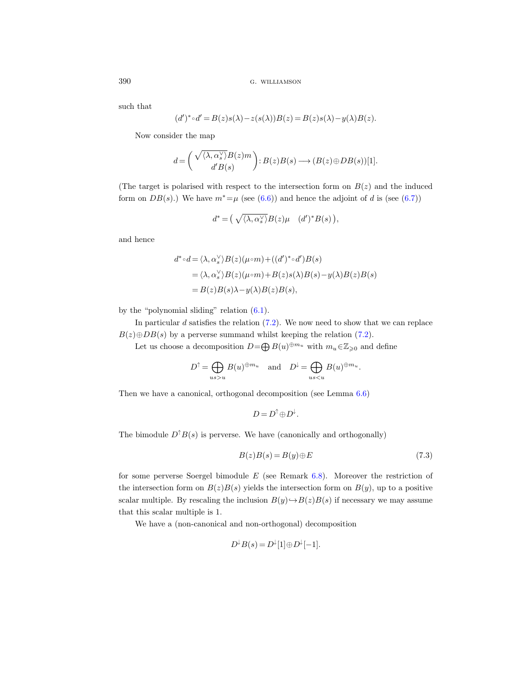such that

$$
(d')^*\circ d'=B(z)s(\lambda)-z(s(\lambda))B(z)=B(z)s(\lambda)-y(\lambda)B(z).
$$

Now consider the map

$$
d = \left( \frac{\sqrt{\langle \lambda, \alpha_s^{\vee} \rangle} B(z)m}{d'B(s)} \right) : B(z)B(s) \longrightarrow (B(z) \oplus DB(s))[1].
$$

(The target is polarised with respect to the intersection form on  $B(z)$  and the induced form on  $DB(s)$ .) We have  $m^* = \mu$  (see [\(6.6\)](#page-35-1)) and hence the adjoint of d is (see [\(6.7\)](#page-35-2))

$$
d^* = \left(\sqrt{\langle \lambda, \alpha_s^{\vee} \rangle} B(z) \mu \quad (d')^* B(s)\right),
$$

and hence

$$
d^* \circ d = \langle \lambda, \alpha_s^{\vee} \rangle B(z) (\mu \circ m) + ((d')^* \circ d')B(s)
$$
  
=  $\langle \lambda, \alpha_s^{\vee} \rangle B(z) (\mu \circ m) + B(z) s(\lambda) B(s) - y(\lambda) B(z) B(s)$   
=  $B(z)B(s) \lambda - y(\lambda) B(z) B(s),$ 

by the "polynomial sliding" relation [\(6.1\)](#page-31-0).

In particular  $d$  satisfies the relation  $(7.2)$ . We now need to show that we can replace  $B(z) \oplus DB(s)$  by a perverse summand whilst keeping the relation [\(7.2\)](#page-48-0).

Let us choose a decomposition  $D = \bigoplus B(u)^{\oplus m_u}$  with  $m_u \in \mathbb{Z}_{\geq 0}$  and define

$$
D^{\uparrow} = \bigoplus_{us > u} B(u)^{\oplus m_u} \quad \text{and} \quad D^{\downarrow} = \bigoplus_{us < u} B(u)^{\oplus m_u}.
$$

Then we have a canonical, orthogonal decomposition (see Lemma [6.6\)](#page-34-3)

$$
D=D^{\uparrow}\oplus D^{\downarrow}.
$$

The bimodule  $D^{\dagger}B(s)$  is perverse. We have (canonically and orthogonally)

$$
B(z)B(s) = B(y) \oplus E \tag{7.3}
$$

for some perverse Soergel bimodule  $E$  (see Remark [6.8\)](#page-34-2). Moreover the restriction of the intersection form on  $B(z)B(s)$  yields the intersection form on  $B(y)$ , up to a positive scalar multiple. By rescaling the inclusion  $B(y) \rightarrow B(z)B(s)$  if necessary we may assume that this scalar multiple is 1.

We have a (non-canonical and non-orthogonal) decomposition

$$
D^{\downarrow}B(s) = D^{\downarrow}[1] \oplus D^{\downarrow}[-1].
$$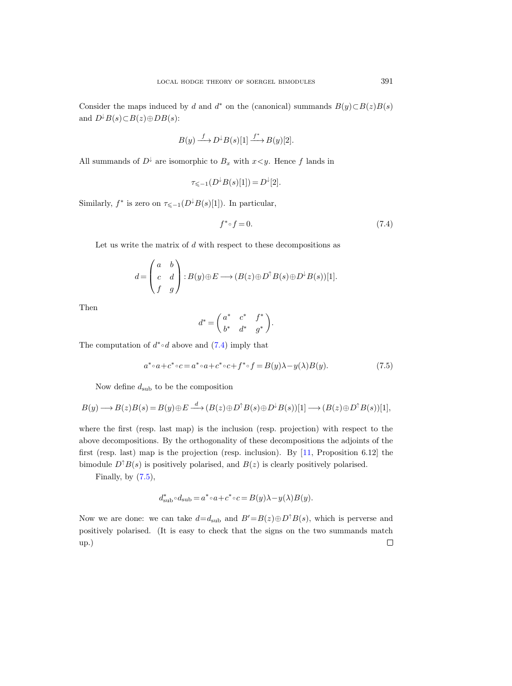Consider the maps induced by d and d<sup>\*</sup> on the (canonical) summands  $B(y) \subset B(z)B(s)$ and  $D^{\downarrow}B(s) \subset B(z) \oplus DB(s)$ :

$$
B(y) \xrightarrow{f} D^{\downarrow}B(s)[1] \xrightarrow{f^*} B(y)[2].
$$

All summands of  $D^{\downarrow}$  are isomorphic to  $B_x$  with  $x < y$ . Hence f lands in

$$
\tau_{\leq -1}(D^\downarrow B(s)[1]) = D^\downarrow [2].
$$

Similarly,  $f^*$  is zero on  $\tau_{\leq -1}(D^{\downarrow}B(s)[1])$ . In particular,

<span id="page-50-0"></span>
$$
f^* \circ f = 0. \tag{7.4}
$$

Let us write the matrix of  $d$  with respect to these decompositions as

$$
d = \begin{pmatrix} a & b \\ c & d \\ f & g \end{pmatrix} : B(y) \oplus E \longrightarrow (B(z) \oplus D^{\dagger} B(s) \oplus D^{\dagger} B(s))[1].
$$

Then

$$
d^* = \begin{pmatrix} a^* & c^* & f^* \\ b^* & d^* & g^* \end{pmatrix}.
$$

The computation of  $d^* \circ d$  above and  $(7.4)$  imply that

<span id="page-50-1"></span>
$$
a^* \circ a + c^* \circ c = a^* \circ a + c^* \circ c + f^* \circ f = B(y)\lambda - y(\lambda)B(y). \tag{7.5}
$$

Now define  $d_{\text{sub}}$  to be the composition

$$
B(y) \longrightarrow B(z)B(s) = B(y) \oplus E \stackrel{d}{\longrightarrow} (B(z) \oplus D^{\uparrow}B(s) \oplus D^{\downarrow}B(s))[1] \longrightarrow (B(z) \oplus D^{\uparrow}B(s))[1],
$$

where the first (resp. last map) is the inclusion (resp. projection) with respect to the above decompositions. By the orthogonality of these decompositions the adjoints of the first (resp. last) map is the projection (resp. inclusion). By [\[11,](#page-62-0) Proposition 6.12] the bimodule  $D^{\dagger}B(s)$  is positively polarised, and  $B(z)$  is clearly positively polarised.

Finally, by  $(7.5)$ ,

$$
d_{\mathrm{sub}}^*\circ d_{\mathrm{sub}}\,{=}\,a^*\!\circ\! a\,{+}\,c^*\!\circ\! c\,{=}\,B(y)\lambda\,{-}\,y(\lambda)B(y).
$$

Now we are done: we can take  $d=d_{sub}$  and  $B'=B(z)\oplus D^{\dagger}B(s)$ , which is perverse and positively polarised. (It is easy to check that the signs on the two summands match up.) $\Box$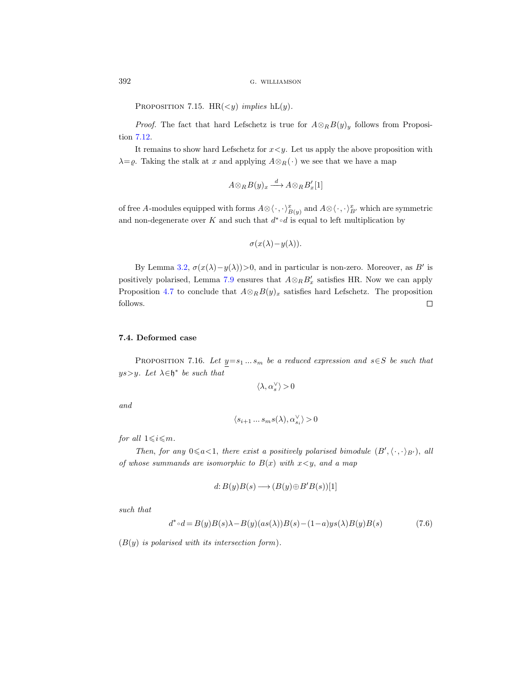<span id="page-51-0"></span>PROPOSITION 7.15. HR( $) implies hL(y).$ 

*Proof.* The fact that hard Lefschetz is true for  $A \otimes_R B(y)_y$  follows from Proposition [7.12.](#page-48-1)

It remains to show hard Lefschetz for  $x \leq y$ . Let us apply the above proposition with  $\lambda = \varrho$ . Taking the stalk at x and applying  $A \otimes_R (\cdot)$  we see that we have a map

$$
A \otimes_R B(y)_x \xrightarrow{d} A \otimes_R B'_x[1]
$$

of free A-modules equipped with forms  $A \otimes \langle\cdot\,,\cdot\rangle^x_{B(y)}$  and  $A \otimes \langle\cdot\,,\cdot\rangle^x_{B'}$  which are symmetric and non-degenerate over K and such that  $d^* \circ d$  is equal to left multiplication by

$$
\sigma(x(\lambda)-y(\lambda)).
$$

By Lemma [3.2,](#page-13-2)  $\sigma(x(\lambda)-y(\lambda))>0$ , and in particular is non-zero. Moreover, as B' is positively polarised, Lemma [7.9](#page-46-2) ensures that  $A \otimes_R B'_x$  satisfies HR. Now we can apply Proposition [4.7](#page-19-1) to conclude that  $A \otimes_R B(y)_x$  satisfies hard Lefschetz. The proposition follows.  $\Box$ 

# 7.4. Deformed case

PROPOSITION 7.16. Let  $y=s_1...s_m$  be a reduced expression and  $s\in S$  be such that  $ys>y$ . Let  $\lambda \in \mathfrak{h}^*$  be such that

 $\langle \lambda,\alpha_s^{\vee} \rangle > 0$ 

and

$$
\langle s_{i+1}\dots s_m s(\lambda), \alpha_{s_i}^\vee \rangle > 0
$$

for all  $1 \leq i \leq m$ .

Then, for any  $0 \le a < 1$ , there exist a positively polarised bimodule  $(B', \langle \cdot, \cdot \rangle_{B'})$ , all of whose summands are isomorphic to  $B(x)$  with  $x < y$ , and a map

$$
d: B(y)B(s) \longrightarrow (B(y) \oplus B'B(s))[1]
$$

such that

$$
d^* \circ d = B(y)B(s)\lambda - B(y)(as(\lambda))B(s) - (1-a)ys(\lambda)B(y)B(s)
$$
\n(7.6)

 $(B(y)$  is polarised with its intersection form).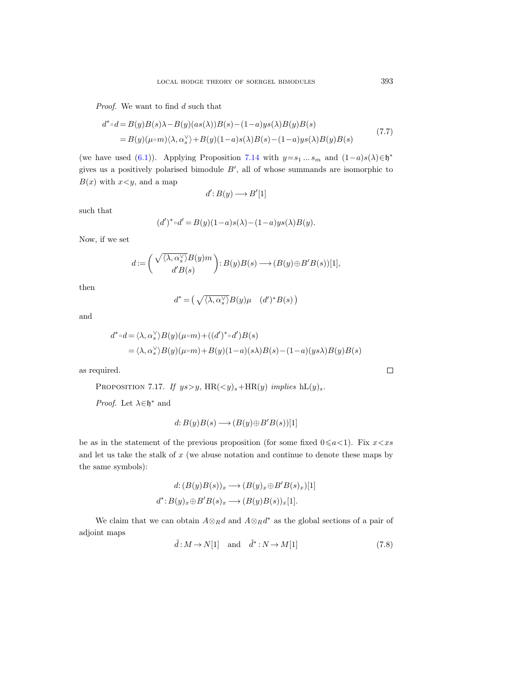Proof. We want to find d such that

$$
d^* \circ d = B(y)B(s)\lambda - B(y)(as(\lambda))B(s) - (1-a)ys(\lambda)B(y)B(s)
$$
  
=  $B(y)(\mu \circ m)\langle \lambda, \alpha_s^{\vee} \rangle + B(y)(1-a)s(\lambda)B(s) - (1-a)ys(\lambda)B(y)B(s)$  (7.7)

(we have used [\(6.1\)](#page-31-0)). Applying Proposition [7.14](#page-48-2) with  $y=s_1...s_m$  and  $(1-a)s(\lambda) \in \mathfrak{h}^*$ gives us a positively polarised bimodule  $B'$ , all of whose summands are isomorphic to  $B(x)$  with  $x \leq y$ , and a map

$$
d' \colon B(y) \longrightarrow B'[1]
$$

such that

$$
(d')^* \circ d' = B(y)(1-a)s(\lambda) - (1-a)ys(\lambda)B(y).
$$

Now, if we set

$$
d := \left( \frac{\sqrt{\langle \lambda, \alpha_s^{\vee} \rangle} B(y)m}{d'B(s)} \right) : B(y)B(s) \longrightarrow (B(y) \oplus B'B(s))[1],
$$

then

$$
d^* = \left(\sqrt{\langle \lambda, \alpha_s^{\vee} \rangle} B(y) \mu \quad (d')^* B(s)\right)
$$

and

$$
d^* \circ d = \langle \lambda, \alpha_s^{\vee} \rangle B(y) (\mu \circ m) + ((d')^* \circ d')B(s)
$$
  
= 
$$
\langle \lambda, \alpha_s^{\vee} \rangle B(y) (\mu \circ m) + B(y) (1 - a)(s\lambda)B(s) - (1 - a)(ys\lambda)B(y)B(s)
$$

<span id="page-52-0"></span>as required.

PROPOSITION 7.17. If  $ys>y$ ,  $HR(*y*)$ <sub>s</sub>+HR(y) implies  $hL(*y*)$ <sub>s</sub>.

*Proof.* Let  $\lambda \in \mathfrak{h}^*$  and

$$
d: B(y)B(s) \longrightarrow (B(y) \oplus B'B(s))[1]
$$

be as in the statement of the previous proposition (for some fixed  $0 \leq a \leq 1$ ). Fix  $x \leq xs$ and let us take the stalk of  $x$  (we abuse notation and continue to denote these maps by the same symbols):

$$
d: (B(y)B(s))_x \longrightarrow (B(y)_x \oplus B'B(s)_x)[1]
$$
  

$$
d^*: B(y)_x \oplus B'B(s)_x \longrightarrow (B(y)B(s))_x[1].
$$

We claim that we can obtain  $A \otimes_R d$  and  $A \otimes_R d^*$  as the global sections of a pair of adjoint maps

<span id="page-52-1"></span>
$$
\tilde{d}: M \to N[1] \quad \text{and} \quad \tilde{d}^*: N \to M[1] \tag{7.8}
$$

 $\Box$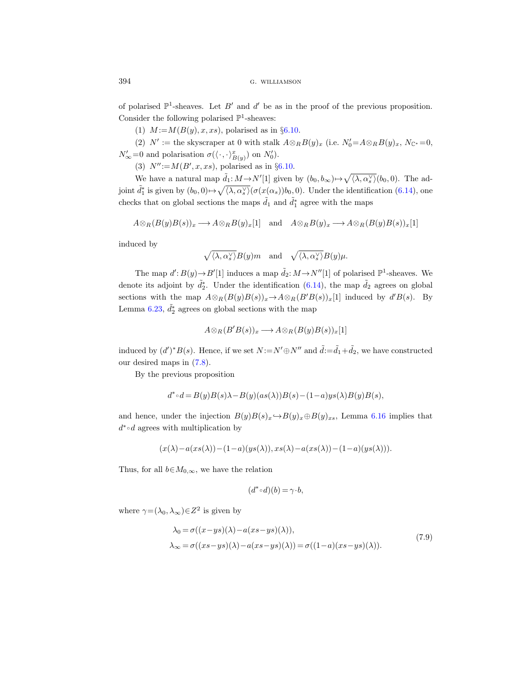of polarised  $\mathbb{P}^1$ -sheaves. Let B' and d' be as in the proof of the previous proposition. Consider the following polarised  $\mathbb{P}^1$ -sheaves:

(1)  $M := M(B(y), x, xs)$ , polarised as in §[6.10.](#page-40-3)

(2)  $N' :=$  the skyscraper at 0 with stalk  $A \otimes_R B(y)_x$  (i.e.  $N'_0 = A \otimes_R B(y)_x$ ,  $N_{\mathbb{C}^*} = 0$ ,  $N'_{\infty}=0$  and polarisation  $\sigma(\langle \cdot, \cdot \rangle_{B(y)}^x)$  on  $N'_0$ ).

(3)  $N'' := M(B', x, xs)$ , polarised as in §[6.10.](#page-40-3)

We have a natural map  $\tilde{d}_1: M \to N'[1]$  given by  $(b_0, b_\infty) \mapsto \sqrt{\langle \lambda, \alpha_s^{\vee} \rangle} (b_0, 0)$ . The adjoint  $\tilde{d}_1^*$  is given by  $(b_0, 0) \mapsto \sqrt{\langle \lambda, \alpha_s^{\vee} \rangle} (\sigma(x(\alpha_s))b_0, 0)$ . Under the identification [\(6.14\)](#page-40-2), one checks that on global sections the maps  $\tilde{d}_1$  and  $\tilde{d}_1^*$  agree with the maps

 $A \otimes_R (B(y)B(s))_x \longrightarrow A \otimes_R B(y)_x[1]$  and  $A \otimes_R B(y)_x \longrightarrow A \otimes_R (B(y)B(s))_x[1]$ 

induced by

$$
\sqrt{\langle \lambda, \alpha_s^{\vee} \rangle} B(y)m
$$
 and  $\sqrt{\langle \lambda, \alpha_s^{\vee} \rangle} B(y)\mu$ .

The map  $d' : B(y) \to B'[1]$  induces a map  $\tilde{d}_2 : M \to N''[1]$  of polarised  $\mathbb{P}^1$ -sheaves. We denote its adjoint by  $\tilde{d}_2^*$ . Under the identification [\(6.14\)](#page-40-2), the map  $\tilde{d}_2$  agrees on global sections with the map  $A \otimes_R (B(y)B(s))_x \to A \otimes_R (B'B(s))_x[1]$  induced by  $d'B(s)$ . By Lemma [6.23,](#page-40-4)  $\tilde{d}_2^*$  agrees on global sections with the map

$$
A \otimes_R (B'B(s))_x \longrightarrow A \otimes_R (B(y)B(s))_x[1]
$$

induced by  $(d')^*B(s)$ . Hence, if we set  $N := N' \oplus N''$  and  $\tilde{d} := \tilde{d}_1 + \tilde{d}_2$ , we have constructed our desired maps in [\(7.8\)](#page-52-1).

By the previous proposition

$$
d^* \circ d = B(y)B(s)\lambda - B(y)(as(\lambda))B(s) - (1-a)ys(\lambda)B(y)B(s),
$$

and hence, under the injection  $B(y)B(s)<sub>x</sub> \to B(y)<sub>x</sub> \oplus B(y)<sub>xs</sub>$ , Lemma [6.16](#page-37-1) implies that  $d^* \circ d$  agrees with multiplication by

$$
(x(\lambda)-a(xs(\lambda))-(1-a)(ys(\lambda)),xs(\lambda)-a(xs(\lambda))-(1-a)(ys(\lambda))).
$$

Thus, for all  $b \in M_{0,\infty}$ , we have the relation

$$
(d^* \circ d)(b) = \gamma \cdot b,
$$

<span id="page-53-0"></span>where  $\gamma = (\lambda_0, \lambda_\infty) \in \mathbb{Z}^2$  is given by

$$
\lambda_0 = \sigma((x - ys)(\lambda) - a(xs - ys)(\lambda)),
$$
  
\n
$$
\lambda_{\infty} = \sigma((xs - ys)(\lambda) - a(xs - ys)(\lambda)) = \sigma((1 - a)(xs - ys)(\lambda)).
$$
\n(7.9)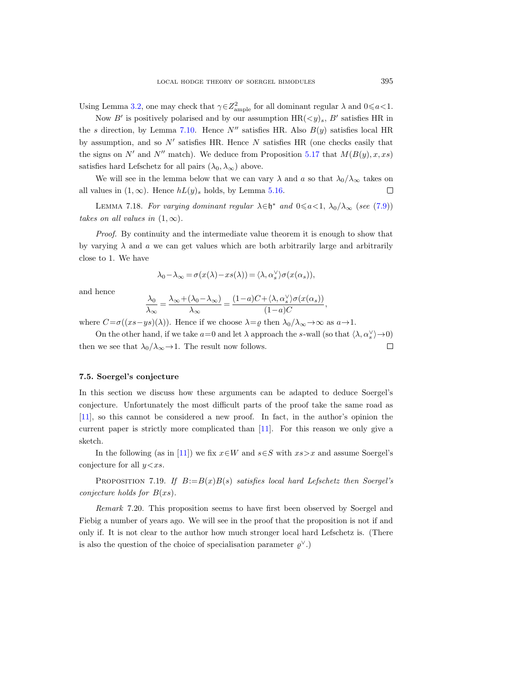Using Lemma [3.2,](#page-13-2) one may check that  $\gamma \in Z^2_{\rm ample}$  for all dominant regular  $\lambda$  and  $0 \le a < 1$ .

Now B' is positively polarised and by our assumption  $HR(*y*)<sub>s</sub>$ , B' satisfies HR in the s direction, by Lemma [7.10.](#page-47-1) Hence  $N''$  satisfies HR. Also  $B(y)$  satisfies local HR by assumption, and so  $N'$  satisfies HR. Hence  $N$  satisfies HR (one checks easily that the signs on N' and N'' match). We deduce from Proposition [5.17](#page-24-1) that  $M(B(y), x, xs)$ satisfies hard Lefschetz for all pairs  $(\lambda_0, \lambda_\infty)$  above.

We will see in the lemma below that we can vary  $\lambda$  and a so that  $\lambda_0/\lambda_\infty$  takes on all values in  $(1, \infty)$ . Hence  $hL(y)$ , holds, by Lemma [5.16.](#page-24-2)  $\Box$ 

LEMMA 7.18. For varying dominant regular  $\lambda \in \mathfrak{h}^*$  and  $0 \leq a < 1$ ,  $\lambda_0/\lambda_{\infty}$  (see [\(7.9\)](#page-53-0)) takes on all values in  $(1, \infty)$ .

Proof. By continuity and the intermediate value theorem it is enough to show that by varying  $\lambda$  and a we can get values which are both arbitrarily large and arbitrarily close to 1. We have

$$
\lambda_0 - \lambda_\infty = \sigma(x(\lambda) - xs(\lambda)) = \langle \lambda, \alpha_s^{\vee} \rangle \sigma(x(\alpha_s)),
$$

and hence

$$
\frac{\lambda_0}{\lambda_{\infty}} = \frac{\lambda_{\infty} + (\lambda_0 - \lambda_{\infty})}{\lambda_{\infty}} = \frac{(1 - a)C + \langle \lambda, \alpha_s^{\vee} \rangle \sigma(x(\alpha_s))}{(1 - a)C},
$$

where  $C=\sigma((xs-ys)(\lambda))$ . Hence if we choose  $\lambda=\varrho$  then  $\lambda_0/\lambda_\infty\to\infty$  as  $a\to1$ .

On the other hand, if we take  $a=0$  and let  $\lambda$  approach the s-wall (so that  $\langle \lambda, \alpha_s^\vee \rangle \rightarrow 0$ ) then we see that  $\lambda_0/\lambda_\infty \to 1$ . The result now follows.  $\Box$ 

# <span id="page-54-0"></span>7.5. Soergel's conjecture

In this section we discuss how these arguments can be adapted to deduce Soergel's conjecture. Unfortunately the most difficult parts of the proof take the same road as [\[11\]](#page-62-0), so this cannot be considered a new proof. In fact, in the author's opinion the current paper is strictly more complicated than [\[11\]](#page-62-0). For this reason we only give a sketch.

In the following (as in [\[11\]](#page-62-0)) we fix  $x \in W$  and  $s \in S$  with  $xs > x$  and assume Soergel's conjecture for all  $y < xs$ .

PROPOSITION 7.19. If  $B:=B(x)B(s)$  satisfies local hard Lefschetz then Soergel's conjecture holds for  $B(xs)$ .

Remark 7.20. This proposition seems to have first been observed by Soergel and Fiebig a number of years ago. We will see in the proof that the proposition is not if and only if. It is not clear to the author how much stronger local hard Lefschetz is. (There is also the question of the choice of specialisation parameter  $\varrho^{\vee}$ .)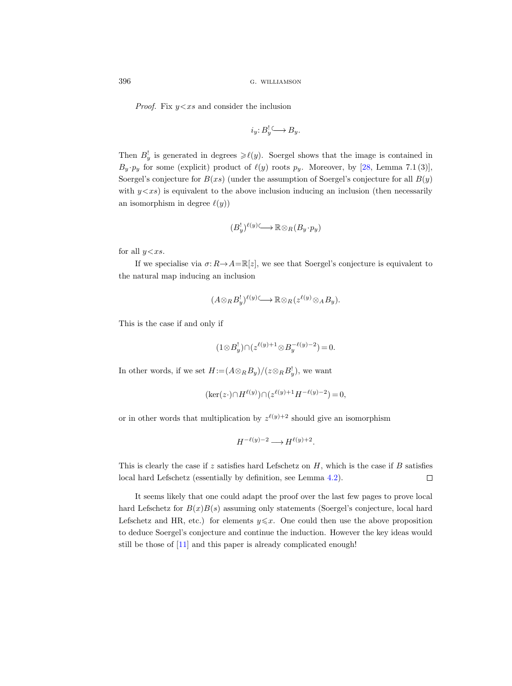*Proof.* Fix  $y < xs$  and consider the inclusion

$$
i_y: B_y^! \longrightarrow B_y.
$$

Then  $B_y^!$  is generated in degrees  $\geq \ell(y)$ . Soergel shows that the image is contained in  $B_y \cdot p_y$  for some (explicit) product of  $\ell(y)$  roots  $p_y$ . Moreover, by [\[28,](#page-62-3) Lemma 7.1 (3)], Soergel's conjecture for  $B(xs)$  (under the assumption of Soergel's conjecture for all  $B(y)$ ) with  $y \leq xs$ ) is equivalent to the above inclusion inducing an inclusion (then necessarily an isomorphism in degree  $\ell(y)$ )

$$
(B_y^!)^{\ell(y)}{\longleftarrow} \mathbb{R} \otimes_R (B_y \cdot p_y)
$$

for all  $y < xs$ .

If we specialise via  $\sigma: R \to A=\mathbb{R}[z]$ , we see that Soergel's conjecture is equivalent to the natural map inducing an inclusion

$$
(A \otimes_R B_y^!)^{\ell(y)} \longrightarrow \mathbb{R} \otimes_R (z^{\ell(y)} \otimes_A B_y).
$$

This is the case if and only if

$$
(1 \otimes B_y^!) \cap (z^{\ell(y)+1} \otimes B_y^{-\ell(y)-2}) = 0.
$$

In other words, if we set  $H = (A \otimes_R B_y)/(z \otimes_R B_y^!)$ , we want

$$
(\ker(z \cdot) \cap H^{\ell(y)}) \cap (z^{\ell(y)+1} H^{-\ell(y)-2}) = 0,
$$

or in other words that multiplication by  $z^{\ell(y)+2}$  should give an isomorphism

$$
H^{-\ell(y)-2}\longrightarrow H^{\ell(y)+2}.
$$

This is clearly the case if z satisfies hard Lefschetz on  $H$ , which is the case if  $B$  satisfies local hard Lefschetz (essentially by definition, see Lemma [4.2\)](#page-17-2).  $\Box$ 

It seems likely that one could adapt the proof over the last few pages to prove local hard Lefschetz for  $B(x)B(s)$  assuming only statements (Soergel's conjecture, local hard Lefschetz and HR, etc.) for elements  $y \leq x$ . One could then use the above proposition to deduce Soergel's conjecture and continue the induction. However the key ideas would still be those of [\[11\]](#page-62-0) and this paper is already complicated enough!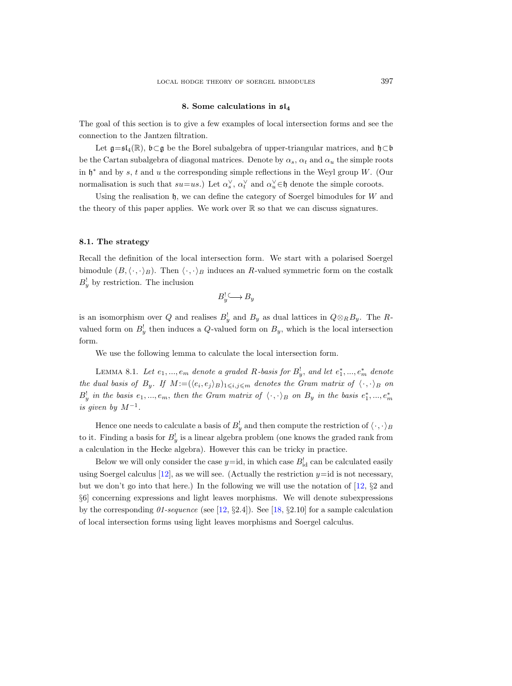#### 8. Some calculations in  $sl_4$

<span id="page-56-0"></span>The goal of this section is to give a few examples of local intersection forms and see the connection to the Jantzen filtration.

Let  $\mathfrak{g}=\mathfrak{sl}_4(\mathbb{R})$ ,  $\mathfrak{b}\subset\mathfrak{g}$  be the Borel subalgebra of upper-triangular matrices, and  $\mathfrak{h}\subset\mathfrak{b}$ be the Cartan subalgebra of diagonal matrices. Denote by  $\alpha_s$ ,  $\alpha_t$  and  $\alpha_u$  the simple roots in  $\mathfrak{h}^*$  and by s, t and u the corresponding simple reflections in the Weyl group W. (Our normalisation is such that  $su=us$ .) Let  $\alpha_s^{\vee}$ ,  $\alpha_t^{\vee}$  and  $\alpha_u^{\vee} \in \mathfrak{h}$  denote the simple coroots.

Using the realisation  $\mathfrak{h}$ , we can define the category of Soergel bimodules for W and the theory of this paper applies. We work over  $\mathbb R$  so that we can discuss signatures.

#### 8.1. The strategy

Recall the definition of the local intersection form. We start with a polarised Soergel bimodule  $(B, \langle \cdot, \cdot \rangle_B)$ . Then  $\langle \cdot, \cdot \rangle_B$  induces an R-valued symmetric form on the costalk  $B_y^!$  by restriction. The inclusion

$$
B_y^! \hookrightarrow B_y
$$

is an isomorphism over Q and realises  $B_y^!$  and  $B_y$  as dual lattices in  $Q \otimes_R B_y$ . The Rvalued form on  $B_y^!$  then induces a Q-valued form on  $B_y$ , which is the local intersection form.

We use the following lemma to calculate the local intersection form.

LEMMA 8.1. Let  $e_1, ..., e_m$  denote a graded R-basis for  $B_y^!$ , and let  $e_1^*, ..., e_m^*$  denote the dual basis of  $B_y$ . If  $M := (\langle e_i, e_j \rangle_B)_{1 \leq i,j \leq m}$  denotes the Gram matrix of  $\langle \cdot, \cdot \rangle_B$  on  $B_y^!$  in the basis  $e_1, ..., e_m$ , then the Gram matrix of  $\langle \cdot, \cdot \rangle_B$  on  $B_y$  in the basis  $e_1^*, ..., e_m^*$ is given by  $M^{-1}$ .

Hence one needs to calculate a basis of  $B_y^!$  and then compute the restriction of  $\langle \cdot, \cdot \rangle_B$ to it. Finding a basis for  $B_y^!$  is a linear algebra problem (one knows the graded rank from a calculation in the Hecke algebra). However this can be tricky in practice.

Below we will only consider the case  $y=id$ , in which case  $B<sub>id</sub><sup>!</sup>$  can be calculated easily using Soergel calculus [\[12\]](#page-62-22), as we will see. (Actually the restriction  $y=id$  is not necessary, but we don't go into that here.) In the following we will use the notation of  $[12, §2]$  and §6] concerning expressions and light leaves morphisms. We will denote subexpressions by the corresponding  $01$ -sequence (see [\[12,](#page-62-22) §2.4]). See [\[18,](#page-62-23) §2.10] for a sample calculation of local intersection forms using light leaves morphisms and Soergel calculus.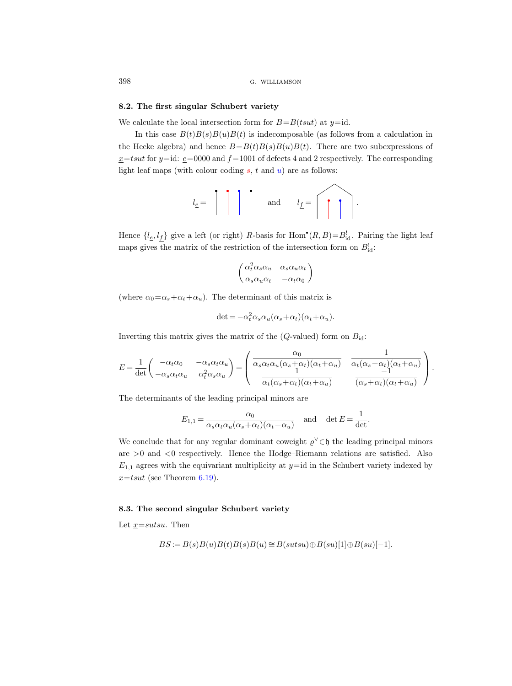### 8.2. The first singular Schubert variety

We calculate the local intersection form for  $B=B(t sut)$  at  $y=id$ .

In this case  $B(t)B(s)B(u)B(t)$  is indecomposable (as follows from a calculation in the Hecke algebra) and hence  $B=B(t)B(s)B(u)B(t)$ . There are two subexpressions of  $x$ =tsut for y=id:  $e$ =0000 and f =1001 of defects 4 and 2 respectively. The corresponding light leaf maps (with colour coding  $s, t$  and  $u$ ) are as follows:

$$
l_{\underline{e}} = \begin{bmatrix} 1 & 1 \\ 1 & 1 \end{bmatrix} \quad \text{and} \quad l_{\underline{f}} = \begin{bmatrix} 1 & 1 \\ 1 & 1 \end{bmatrix}.
$$

Hence  $\{l_{\underline{e}}, l_{\underline{f}}\}$  give a left (or right) R-basis for Hom<sup>•</sup> $(R, B) = B_{id}^!$ . Pairing the light leaf maps gives the matrix of the restriction of the intersection form on  $B_{\rm id}^!$ :

$$
\begin{pmatrix}\n\alpha_t^2 \alpha_s \alpha_u & \alpha_s \alpha_u \alpha_t \\
\alpha_s \alpha_u \alpha_t & -\alpha_t \alpha_0\n\end{pmatrix}
$$

(where  $\alpha_0 = \alpha_s + \alpha_t + \alpha_u$ ). The determinant of this matrix is

$$
\det = -\alpha_t^2 \alpha_s \alpha_u (\alpha_s + \alpha_t)(\alpha_t + \alpha_u).
$$

Inverting this matrix gives the matrix of the  $(Q$ -valued) form on  $B_{\rm id}$ :

$$
E = \frac{1}{\det} \begin{pmatrix} -\alpha_t \alpha_0 & -\alpha_s \alpha_t \alpha_u \\ -\alpha_s \alpha_t \alpha_u & \alpha_t^2 \alpha_s \alpha_u \end{pmatrix} = \begin{pmatrix} \frac{\alpha_0}{\alpha_s \alpha_t \alpha_u (\alpha_s + \alpha_t)(\alpha_t + \alpha_u)} & \frac{1}{\alpha_t (\alpha_s + \alpha_t)(\alpha_t + \alpha_u)} \\ \frac{1}{\alpha_t (\alpha_s + \alpha_t)(\alpha_t + \alpha_u)} & \frac{-1}{(\alpha_s + \alpha_t)(\alpha_t + \alpha_u)} \end{pmatrix}.
$$

The determinants of the leading principal minors are

$$
E_{1,1} = \frac{\alpha_0}{\alpha_s \alpha_t \alpha_u (\alpha_s + \alpha_t)(\alpha_t + \alpha_u)} \quad \text{and} \quad \det E = \frac{1}{\det}.
$$

We conclude that for any regular dominant coweight  $\varrho^{\vee} \in \mathfrak{h}$  the leading principal minors are  $>0$  and  $<0$  respectively. Hence the Hodge–Riemann relations are satisfied. Also  $E_{1,1}$  agrees with the equivariant multiplicity at  $y=id$  in the Schubert variety indexed by  $x = t$ *sut* (see Theorem [6.19\)](#page-39-0).

# 8.3. The second singular Schubert variety

Let  $x=stst$ . Then

$$
BS := B(s)B(u)B(t)B(s)B(u) \cong B(sutsu) \oplus B(su)[1] \oplus B(su)[-1].
$$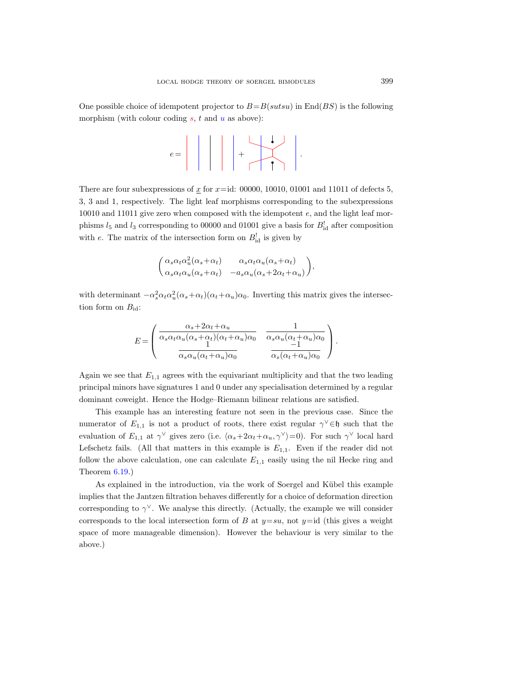One possible choice of idempotent projector to  $B=B(sutsu)$  in End(BS) is the following morphism (with colour coding  $s, t$  and  $u$  as above):



There are four subexpressions of x for  $x=$ id: 00000, 10010, 01001 and 11011 of defects 5, 3, 3 and 1, respectively. The light leaf morphisms corresponding to the subexpressions 10010 and 11011 give zero when composed with the idempotent e, and the light leaf morphisms  $l_5$  and  $l_3$  corresponding to 00000 and 01001 give a basis for  $B^!_{\rm id}$  after composition with e. The matrix of the intersection form on  $B<sub>id</sub><sup>!</sup>$  is given by

$$
\begin{pmatrix}\n\alpha_s \alpha_t \alpha_u^2 (\alpha_s + \alpha_t) & \alpha_s \alpha_t \alpha_u (\alpha_s + \alpha_t) \\
\alpha_s \alpha_t \alpha_u (\alpha_s + \alpha_t) & -a_s \alpha_u (\alpha_s + 2\alpha_t + \alpha_u)\n\end{pmatrix},
$$

with determinant  $-\alpha_s^2 \alpha_t \alpha_u^2(\alpha_s + \alpha_t)(\alpha_t + \alpha_u)\alpha_0$ . Inverting this matrix gives the intersection form on  $B_{\rm id}$ :

$$
E = \begin{pmatrix} \frac{\alpha_s + 2\alpha_t + \alpha_u}{\alpha_s \alpha_t \alpha_u (\alpha_s + \alpha_t)(\alpha_t + \alpha_u)\alpha_0} & \frac{1}{\alpha_s \alpha_u (\alpha_t + \alpha_u)\alpha_0} \\ \frac{1}{\alpha_s \alpha_u (\alpha_t + \alpha_u)\alpha_0} & \frac{-1}{\alpha_s (\alpha_t + \alpha_u)\alpha_0} \end{pmatrix}.
$$

Again we see that  $E_{1,1}$  agrees with the equivariant multiplicity and that the two leading principal minors have signatures 1 and 0 under any specialisation determined by a regular dominant coweight. Hence the Hodge–Riemann bilinear relations are satisfied.

This example has an interesting feature not seen in the previous case. Since the numerator of  $E_{1,1}$  is not a product of roots, there exist regular  $\gamma^{\vee} \in \mathfrak{h}$  such that the evaluation of  $E_{1,1}$  at  $\gamma^{\vee}$  gives zero (i.e.  $\langle \alpha_s+2\alpha_t+\alpha_u, \gamma^{\vee} \rangle = 0$ ). For such  $\gamma^{\vee}$  local hard Lefschetz fails. (All that matters in this example is  $E_{1,1}$ . Even if the reader did not follow the above calculation, one can calculate  $E_{1,1}$  easily using the nil Hecke ring and Theorem [6.19.](#page-39-0))

As explained in the introduction, via the work of Soergel and Kübel this example implies that the Jantzen filtration behaves differently for a choice of deformation direction corresponding to  $\gamma^{\vee}$ . We analyse this directly. (Actually, the example we will consider corresponds to the local intersection form of B at  $y=su$ , not  $y=id$  (this gives a weight space of more manageable dimension). However the behaviour is very similar to the above.)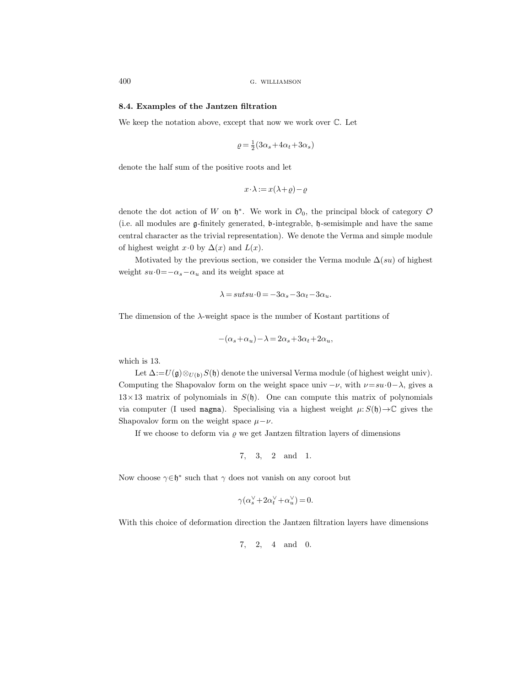# 8.4. Examples of the Jantzen filtration

We keep the notation above, except that now we work over C. Let

$$
\varrho = \frac{1}{2}(3\alpha_s + 4\alpha_t + 3\alpha_s)
$$

denote the half sum of the positive roots and let

$$
x \cdot \lambda := x(\lambda + \varrho) - \varrho
$$

denote the dot action of W on  $\mathfrak{h}^*$ . We work in  $\mathcal{O}_0$ , the principal block of category  $\mathcal O$ (i.e. all modules are  $\mathfrak{g}$ -finitely generated,  $\mathfrak{b}$ -integrable,  $\mathfrak{h}$ -semisimple and have the same central character as the trivial representation). We denote the Verma and simple module of highest weight  $x \cdot 0$  by  $\Delta(x)$  and  $L(x)$ .

Motivated by the previous section, we consider the Verma module  $\Delta(su)$  of highest weight  $su\cdot 0=-\alpha_s-\alpha_u$  and its weight space at

$$
\lambda = sutsu \cdot 0 = -3\alpha_s - 3\alpha_t - 3\alpha_u.
$$

The dimension of the  $\lambda$ -weight space is the number of Kostant partitions of

$$
-(\alpha_s + \alpha_u) - \lambda = 2\alpha_s + 3\alpha_t + 2\alpha_u,
$$

which is 13.

Let  $\Delta:=U(\mathfrak{g})\otimes_{U(\mathfrak{b})}S(\mathfrak{h})$  denote the universal Verma module (of highest weight univ). Computing the Shapovalov form on the weight space univ  $-\nu$ , with  $\nu=su\cdot 0-\lambda$ , gives a  $13\times13$  matrix of polynomials in  $S(\mathfrak{h})$ . One can compute this matrix of polynomials via computer (I used magma). Specialising via a highest weight  $\mu: S(\mathfrak{h}) \to \mathbb{C}$  gives the Shapovalov form on the weight space  $\mu-\nu$ .

If we choose to deform via  $\varrho$  we get Jantzen filtration layers of dimensions

$$
7, \quad 3, \quad 2 \quad \text{and} \quad 1.
$$

Now choose  $\gamma \in \mathfrak{h}^*$  such that  $\gamma$  does not vanish on any coroot but

$$
\gamma(\alpha_s^\vee\!+\!2\alpha_t^\vee\!+\!\alpha_u^\vee)\,{=}\,0.
$$

With this choice of deformation direction the Jantzen filtration layers have dimensions

$$
7, \quad 2, \quad 4 \quad \text{and} \quad 0.
$$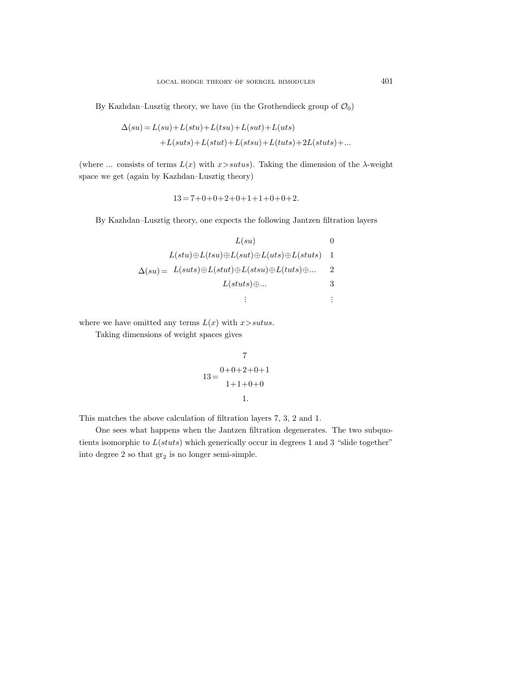By Kazhdan–Lusztig theory, we have (in the Grothendieck group of  $\mathcal{O}_0$ )

$$
\Delta(su) = L(su) + L(stu) + L(tsu) + L(sut) + L(uts)
$$

$$
+ L(suts) + L(stut) + L(stsu) + L(tuts) + 2L(stuts) + \dots
$$

(where ... consists of terms  $L(x)$  with  $x >$ sutus). Taking the dimension of the  $\lambda$ -weight space we get (again by Kazhdan–Lusztig theory)

$$
13 = 7 + 0 + 0 + 2 + 0 + 1 + 1 + 0 + 0 + 2.
$$

By Kazhdan–Lusztig theory, one expects the following Jantzen filtration layers

| L(su)                                                                       |  |
|-----------------------------------------------------------------------------|--|
| $L(stu) \oplus L(tsu) \oplus L(sut) \oplus L(uts) \oplus L(stuts)$          |  |
| $\Delta(su) = L(suts) \oplus L(stut) \oplus L(stsu) \oplus L(tuts) \oplus $ |  |
| $L(stuts) \oplus $                                                          |  |
|                                                                             |  |

where we have omitted any terms  $L(x)$  with  $x >$ sutus.

Taking dimensions of weight spaces gives

$$
7
$$
  
13=
$$
0+0+2+0+1
$$
  
1+1+0+0  
1.

This matches the above calculation of filtration layers 7, 3, 2 and 1.

One sees what happens when the Jantzen filtration degenerates. The two subquotients isomorphic to  $L(stats)$  which generically occur in degrees 1 and 3 "slide together" into degree 2 so that  $gr_2$  is no longer semi-simple.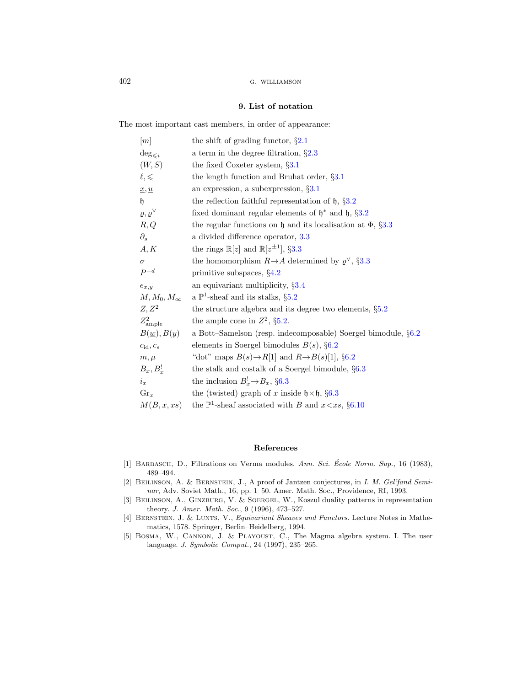# 9. List of notation

<span id="page-61-4"></span>The most important cast members, in order of appearance:

| m                              | the shift of grading functor, $\S 2.1$                                        |
|--------------------------------|-------------------------------------------------------------------------------|
| $\deg_{\leq i}$                | a term in the degree filtration, $\S 2.3$                                     |
| (W, S)                         | the fixed Coxeter system, $\S 3.1$                                            |
| $\ell, \leq$                   | the length function and Bruhat order, $\S3.1$                                 |
| $\underline{x}, \underline{u}$ | an expression, a subexpression, $\S 3.1$                                      |
| h                              | the reflection faithful representation of $\mathfrak{h}, \S3.2$               |
| $\varrho, \varrho^{\vee}$      | fixed dominant regular elements of $\mathfrak{h}^*$ and $\mathfrak{h}, \S3.2$ |
| R, Q                           | the regular functions on $\mathfrak h$ and its localisation at $\Phi$ , §3.3  |
| $\partial_{\varepsilon}$       | a divided difference operator, 3.3                                            |
| A, K                           | the rings $\mathbb{R}[z]$ and $\mathbb{R}[z^{\pm 1}]$ , §3.3                  |
| $\sigma$                       | the homomorphism $R\rightarrow A$ determined by $\varrho^{\vee}$ , §3.3       |
| $P^{-d}$                       | primitive subspaces, $\S4.2$                                                  |
| $e_{x,y}$                      | an equivariant multiplicity, $\S 3.4$                                         |
| $M, M_0, M_\infty$             | a $\mathbb{P}^1$ -sheaf and its stalks, §5.2                                  |
| $Z, Z^2$                       | the structure algebra and its degree two elements, $\S5.2$                    |
| $Z_{\rm ample}^2$              | the ample cone in $Z^2$ , $\S5.2$ .                                           |
| $B(\underline{w}), B(y)$       | a Bott-Samelson (resp. indecomposable) Soergel bimodule, $\S6.2$              |
| $c_{\text{id}}, c_s$           | elements in Soergel bimodules $B(s)$ , $\S6.2$                                |
| $m, \mu$                       | "dot" maps $B(s) \rightarrow R[1]$ and $R \rightarrow B(s)[1]$ , §6.2         |
| $B_x, B_x^!$                   | the stalk and costalk of a Soergel bimodule, $\S6.3$                          |
| $i_x$                          | the inclusion $B_x^! \rightarrow B_x$ , §6.3                                  |
| $\mathrm{Gr}_{r}$              | the (twisted) graph of x inside $\mathfrak{h} \times \mathfrak{h}$ , $\S6.3$  |
| M(B,x,xs)                      | the $\mathbb{P}^1$ -sheaf associated with B and $x \leq xs$ , §6.10           |

# References

- <span id="page-61-2"></span>[1] BARBASCH, D., Filtrations on Verma modules. Ann. Sci. École Norm. Sup., 16 (1983), 489–494.
- <span id="page-61-0"></span>[2] BEILINSON, A. & BERNSTEIN, J., A proof of Jantzen conjectures, in I. M. Gel'fand Seminar, Adv. Soviet Math., 16, pp. 1–50. Amer. Math. Soc., Providence, RI, 1993.
- <span id="page-61-3"></span>[3] Beilinson, A., Ginzburg, V. & Soergel, W., Koszul duality patterns in representation theory. J. Amer. Math. Soc., 9 (1996), 473–527.
- <span id="page-61-1"></span>[4] Bernstein, J. & Lunts, V., Equivariant Sheaves and Functors. Lecture Notes in Mathematics, 1578. Springer, Berlin–Heidelberg, 1994.
- <span id="page-61-5"></span>[5] Bosma, W., Cannon, J. & Playoust, C., The Magma algebra system. I. The user language. J. Symbolic Comput., 24 (1997), 235–265.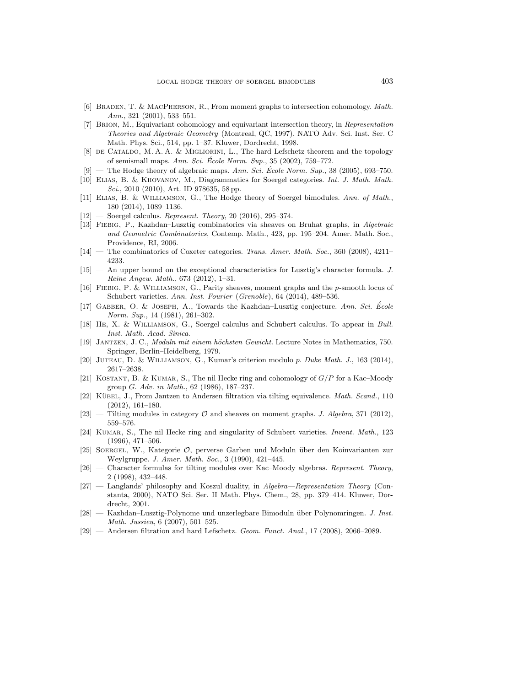- <span id="page-62-18"></span>[6] Braden, T. & MacPherson, R., From moment graphs to intersection cohomology. Math. Ann., 321 (2001), 533–551.
- <span id="page-62-16"></span>[7] Brion, M., Equivariant cohomology and equivariant intersection theory, in Representation Theories and Algebraic Geometry (Montreal, QC, 1997), NATO Adv. Sci. Inst. Ser. C Math. Phys. Sci., 514, pp. 1–37. Kluwer, Dordrecht, 1998.
- <span id="page-62-1"></span>[8] DE CATALDO, M. A. A. & MIGLIORINI, L., The hard Lefschetz theorem and the topology of semismall maps. Ann. Sci. École Norm. Sup., 35 (2002), 759–772.
- <span id="page-62-2"></span> $[9]$  — The Hodge theory of algebraic maps. Ann. Sci. Ecole Norm. Sup., 38 (2005), 693–750.
- <span id="page-62-21"></span>[10] Elias, B. & Khovanov, M., Diagrammatics for Soergel categories. Int. J. Math. Math. Sci., 2010 (2010), Art. ID 978635, 58 pp.
- <span id="page-62-0"></span>[11] ELIAS, B. & WILLIAMSON, G., The Hodge theory of Soergel bimodules. Ann. of Math., 180 (2014), 1089–1136.
- <span id="page-62-22"></span> $[12]$  — Soergel calculus. Represent. Theory, 20 (2016), 295–374.
- <span id="page-62-4"></span>[13] FIEBIG, P., Kazhdan–Lusztig combinatorics via sheaves on Bruhat graphs, in Algebraic and Geometric Combinatorics, Contemp. Math., 423, pp. 195–204. Amer. Math. Soc., Providence, RI, 2006.
- <span id="page-62-19"></span>[14] — The combinatorics of Coxeter categories. Trans. Amer. Math. Soc., 360 (2008), 4211– 4233.
- <span id="page-62-5"></span>[15] — An upper bound on the exceptional characteristics for Lusztig's character formula. J. Reine Angew. Math., 673 (2012), 1–31.
- <span id="page-62-20"></span>[16] Fiebig, P. & Williamson, G., Parity sheaves, moment graphs and the p-smooth locus of Schubert varieties. Ann. Inst. Fourier (Grenoble), 64 (2014), 489–536.
- <span id="page-62-8"></span>[17] Gabber, O. & Joseph, A., Towards the Kazhdan–Lusztig conjecture. Ann. Sci. Ecole ´ Norm. Sup., 14 (1981), 261–302.
- <span id="page-62-23"></span>[18] He, X. & Williamson, G., Soergel calculus and Schubert calculus. To appear in Bull. Inst. Math. Acad. Sinica.
- <span id="page-62-7"></span>[19] JANTZEN, J.C., Moduln mit einem höchsten Gewicht. Lecture Notes in Mathematics, 750. Springer, Berlin–Heidelberg, 1979.
- <span id="page-62-17"></span>[20] Juteau, D. & Williamson, G., Kumar's criterion modulo p. Duke Math. J., 163 (2014), 2617–2638.
- <span id="page-62-14"></span>[21] KOSTANT, B. & KUMAR, S., The nil Hecke ring and cohomology of  $G/P$  for a Kac–Moody group G. Adv. in Math., 62 (1986), 187–237.
- <span id="page-62-10"></span>[22] KÜBEL, J., From Jantzen to Andersen filtration via tilting equivalence. Math. Scand., 110 (2012), 161–180.
- <span id="page-62-11"></span>[23] — Tilting modules in category  $\mathcal O$  and sheaves on moment graphs. J. Algebra, 371 (2012), 559–576.
- <span id="page-62-15"></span>[24] KUMAR, S., The nil Hecke ring and singularity of Schubert varieties. Invent. Math., 123 (1996), 471–506.
- <span id="page-62-12"></span>[25] Soergel, W., Kategorie O, perverse Garben und Moduln ¨uber den Koinvarianten zur Weylgruppe. J. Amer. Math. Soc., 3 (1990), 421–445.
- <span id="page-62-13"></span>[26] — Character formulas for tilting modules over Kac–Moody algebras. Represent. Theory, 2 (1998), 432–448.
- <span id="page-62-6"></span> $[27]$  — Langlands' philosophy and Koszul duality, in Algebra—Representation Theory (Constanta, 2000), NATO Sci. Ser. II Math. Phys. Chem., 28, pp. 379–414. Kluwer, Dordrecht, 2001.
- <span id="page-62-3"></span>[28] — Kazhdan–Lusztig-Polynome und unzerlegbare Bimoduln ¨uber Polynomringen. J. Inst. Math. Jussieu, 6 (2007), 501–525.
- <span id="page-62-9"></span>[29] — Andersen filtration and hard Lefschetz. Geom. Funct. Anal., 17 (2008), 2066–2089.